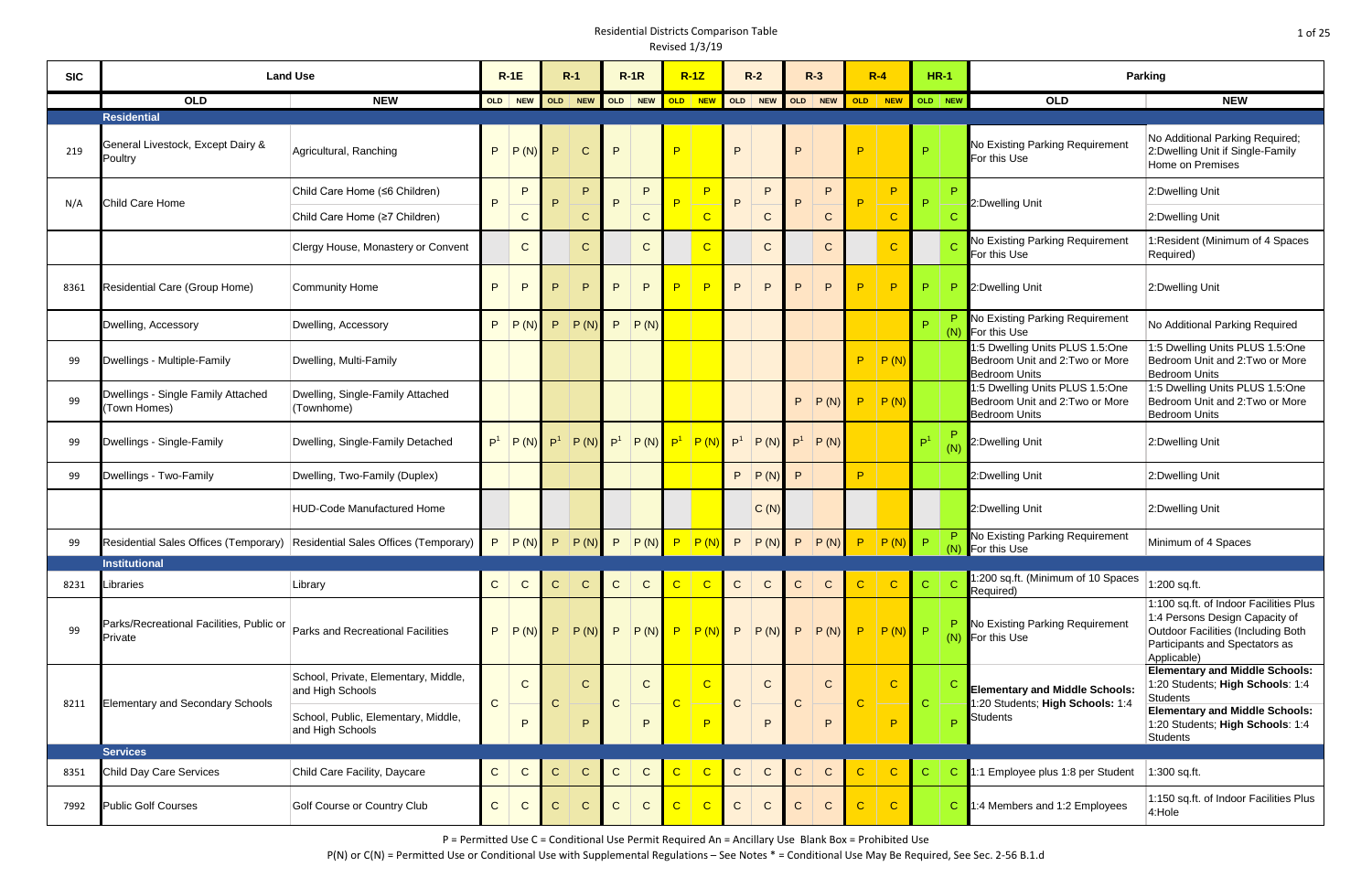# Residential Districts Comparison Table

Revised 1/3/19

| <b>SIC</b> |                                                     | <b>Land Use</b>                                          |                | $R-1E$       |                | $R-1$          |              | $R-1R$                                                       |                | $R-1Z$         |                | $R-2$        |                | $R-3$        |                | $R-4$         |                | <b>HR-1</b> |                                                                                            | <b>Parking</b>                                                                                                                                                         |
|------------|-----------------------------------------------------|----------------------------------------------------------|----------------|--------------|----------------|----------------|--------------|--------------------------------------------------------------|----------------|----------------|----------------|--------------|----------------|--------------|----------------|---------------|----------------|-------------|--------------------------------------------------------------------------------------------|------------------------------------------------------------------------------------------------------------------------------------------------------------------------|
|            | <b>OLD</b>                                          | <b>NEW</b>                                               |                |              |                |                |              | OLD NEW OLD NEW OLD NEW OLD NEW                              |                |                |                | OLD NEW      |                | OLD NEW      |                | OLD NEW       | OLD NEW        |             | <b>OLD</b>                                                                                 | <b>NEW</b>                                                                                                                                                             |
|            | <b>Residential</b>                                  |                                                          |                |              |                |                |              |                                                              |                |                |                |              |                |              |                |               |                |             |                                                                                            |                                                                                                                                                                        |
| 219        | General Livestock, Except Dairy &<br>Poultry        | Agricultural, Ranching                                   | P              | P(N)         | P              | $\mathbf C$    | P            |                                                              | D              |                | P              |              | P              |              | D              |               | Þ              |             | No Existing Parking Requirement<br>For this Use                                            | No Additional Parking Required;<br>2: Dwelling Unit if Single-Family<br>Home on Premises                                                                               |
|            |                                                     | Child Care Home (≤6 Children)                            | P              | P            | D              | $\mathsf{P}$   | $\Box$       | P                                                            | D              | P              | P              | P            | P              | P.           | D              | P             | Þ              | Þ           |                                                                                            | 2:Dwelling Unit                                                                                                                                                        |
| N/A        | Child Care Home                                     | Child Care Home (≥7 Children)                            |                | $\mathsf{C}$ |                | $\mathbf C$    |              | $\mathbf C$                                                  |                | $\mathbf C$    |                | $\mathsf{C}$ |                | $\mathsf{C}$ |                | $\mathbf C$   |                |             | 2:Dwelling Unit                                                                            | 2:Dwelling Unit                                                                                                                                                        |
|            |                                                     | Clergy House, Monastery or Convent                       |                | $\mathsf{C}$ |                | $\mathbf C$    |              | $\mathbf C$                                                  |                | $\overline{C}$ |                | $\mathsf{C}$ |                | $\mathsf{C}$ |                | $\mathbf C$   |                |             | No Existing Parking Requirement<br>For this Use                                            | 1: Resident (Minimum of 4 Spaces<br>Required)                                                                                                                          |
| 8361       | Residential Care (Group Home)                       | Community Home                                           | P.             | P            | P              | P              | P            | P                                                            | <b>P</b>       | P              | P              | P            | P.             | P            | D              | P             | P              | P           | 2:Dwelling Unit                                                                            | 2:Dwelling Unit                                                                                                                                                        |
|            | Dwelling, Accessory                                 | Dwelling, Accessory                                      | P.             | P(N)         | P.             | P(N)           | P            | P(N)                                                         |                |                |                |              |                |              |                |               | Þ              | (N)         | No Existing Parking Requirement<br>For this Use                                            | No Additional Parking Required                                                                                                                                         |
| 99         | Dwellings - Multiple-Family                         | Dwelling, Multi-Family                                   |                |              |                |                |              |                                                              |                |                |                |              |                |              | P              | P(N)          |                |             | 1:5 Dwelling Units PLUS 1.5:One<br>Bedroom Unit and 2: Two or More<br><b>Bedroom Units</b> | 1:5 Dwelling Units PLUS 1.5:One<br>Bedroom Unit and 2: Two or More<br><b>Bedroom Units</b>                                                                             |
| 99         | Dwellings - Single Family Attached<br>(Town Homes)  | Dwelling, Single-Family Attached<br>(Townhome)           |                |              |                |                |              |                                                              |                |                |                |              | P.             | P(N)         | P              | P(N)          |                |             | 1:5 Dwelling Units PLUS 1.5:One<br>Bedroom Unit and 2: Two or More<br><b>Bedroom Units</b> | 1:5 Dwelling Units PLUS 1.5:One<br>Bedroom Unit and 2: Two or More<br><b>Bedroom Units</b>                                                                             |
| 99         | Dwellings - Single-Family                           | Dwelling, Single-Family Detached                         | P <sup>1</sup> | P(N)         | P <sup>1</sup> | $ P(N) P^1$    |              | $\left  P(N) \right  \left  P^1 \right  \left  P(N) \right $ |                |                | P <sup>1</sup> | P(N)         | P <sup>1</sup> | P(N)         |                |               | P <sup>1</sup> |             | 2:Dwelling Unit                                                                            | 2:Dwelling Unit                                                                                                                                                        |
| 99         | Dwellings - Two-Family                              | Dwelling, Two-Family (Duplex)                            |                |              |                |                |              |                                                              |                |                | P              | P(N)         | P              |              | D              |               |                |             | 2:Dwelling Unit                                                                            | 2:Dwelling Unit                                                                                                                                                        |
|            |                                                     | <b>HUD-Code Manufactured Home</b>                        |                |              |                |                |              |                                                              |                |                |                | C(N)         |                |              |                |               |                |             | 2:Dwelling Unit                                                                            | 2:Dwelling Unit                                                                                                                                                        |
| 99         | Residential Sales Offices (Temporary)               | Residential Sales Offices (Temporary)                    | P              | P(N)         | P              | P(N)           | P            | $P(N)$ $P$                                                   |                | P(N            | P              | P(N)         | P.             | P(N)         | P              | P(N)          | $\mathsf{P}$   |             | <b>P</b> No Existing Parking Requirement<br>(N) For this Use                               | Minimum of 4 Spaces                                                                                                                                                    |
|            | <b>Institutional</b>                                |                                                          |                |              |                |                |              |                                                              |                |                |                |              |                |              |                |               |                |             |                                                                                            |                                                                                                                                                                        |
| 8231       | Libraries                                           | Library                                                  | $\mathsf C$    | $\mathsf{C}$ | $\mathbf{C}$   | $\overline{C}$ | $\mathsf{C}$ | $\mathsf{C}$                                                 | $\mathbf{C}$   | $\overline{C}$ | $\mathbf{C}$   | $\mathbf C$  | $\mathsf{C}$   | $\mathbf C$  | $\mathbf C$    | $\mathbf C$   | $\mathbf{C}$   |             | 1:200 sq.ft. (Minimum of 10 Spaces<br>Required)                                            | 1:200 sq.ft.                                                                                                                                                           |
| 99         | Parks/Recreational Facilities, Public or<br>Private | Parks and Recreational Facilities                        | P              | P(N)         | P              | P(N)           | P            | $P(N)$ $P$                                                   |                | P(N)           | P              | P(N)         | P              | P(N)         | P              | $P(N)$ $P$    |                |             | No Existing Parking Requirement<br>$(N)$ For this Use                                      | 1:100 sq.ft. of Indoor Facilities Plus<br>1:4 Persons Design Capacity of<br><b>Outdoor Facilities (Including Both</b><br>Participants and Spectators as<br>Applicable) |
| 8211       | <b>Elementary and Secondary Schools</b>             | School, Private, Elementary, Middle,<br>and High Schools | $\mathsf{C}$   | $\mathbf{C}$ | $\mathsf{C}$   | $\mathbf C$    | $\mathsf{C}$ | $\mathsf{C}$                                                 | $\Gamma$       | $\overline{C}$ | $\mathbf C$    | $\mathsf{C}$ | ${\bf C}$      | $\mathsf{C}$ | $\mathbf C$    | $\mathbf C$   | $\mathbf{C}$   |             | <b>Elementary and Middle Schools:</b><br>1:20 Students; High Schools: 1:4                  | <b>Elementary and Middle Schools:</b><br>1:20 Students; High Schools: 1:4<br><b>Students</b>                                                                           |
|            |                                                     | School, Public, Elementary, Middle,<br>and High Schools  |                | P            |                | P              |              | P                                                            |                | P              |                | P            |                | P            |                | P             |                | Ď           | <b>Students</b>                                                                            | <b>Elementary and Middle Schools:</b><br>1:20 Students; High Schools: 1:4<br><b>Students</b>                                                                           |
|            | <b>Services</b>                                     |                                                          |                |              |                |                |              |                                                              |                |                |                |              |                |              |                |               |                |             |                                                                                            |                                                                                                                                                                        |
| 8351       | <b>Child Day Care Services</b>                      | Child Care Facility, Daycare                             | $\mathsf C$    | $\mathbf C$  | $\mathbf{C}$   | $\mathbf C$    | $\mathbf C$  | $\mathbf C$                                                  | $\overline{C}$ | $\overline{C}$ | $\mathsf{C}$   | $\mathbf C$  | $\mathsf{C}$   | $\mathbf C$  | $\overline{C}$ | $\mathbf C$   | $\mathsf{C}$   | $\subset$   | 1:1 Employee plus 1:8 per Student                                                          | 1:300 sq.ft.                                                                                                                                                           |
| 7992       | <b>Public Golf Courses</b>                          | Golf Course or Country Club                              | $\mathsf{C}$   | $\mathbf C$  | C              | $\mathbf C$    | $\mathbf C$  | $\mathbf C$                                                  |                | $\overline{C}$ | $\mathbf{C}$   | $\mathsf{C}$ | $\mathbf{C}$   | $\mathbf C$  |                | $\mathcal{C}$ |                |             | 1:4 Members and 1:2 Employees                                                              | 1:150 sq.ft. of Indoor Facilities Plus<br>4:Hole                                                                                                                       |

P = Permitted Use C = Conditional Use Permit Required An = Ancillary Use Blank Box = Prohibited Use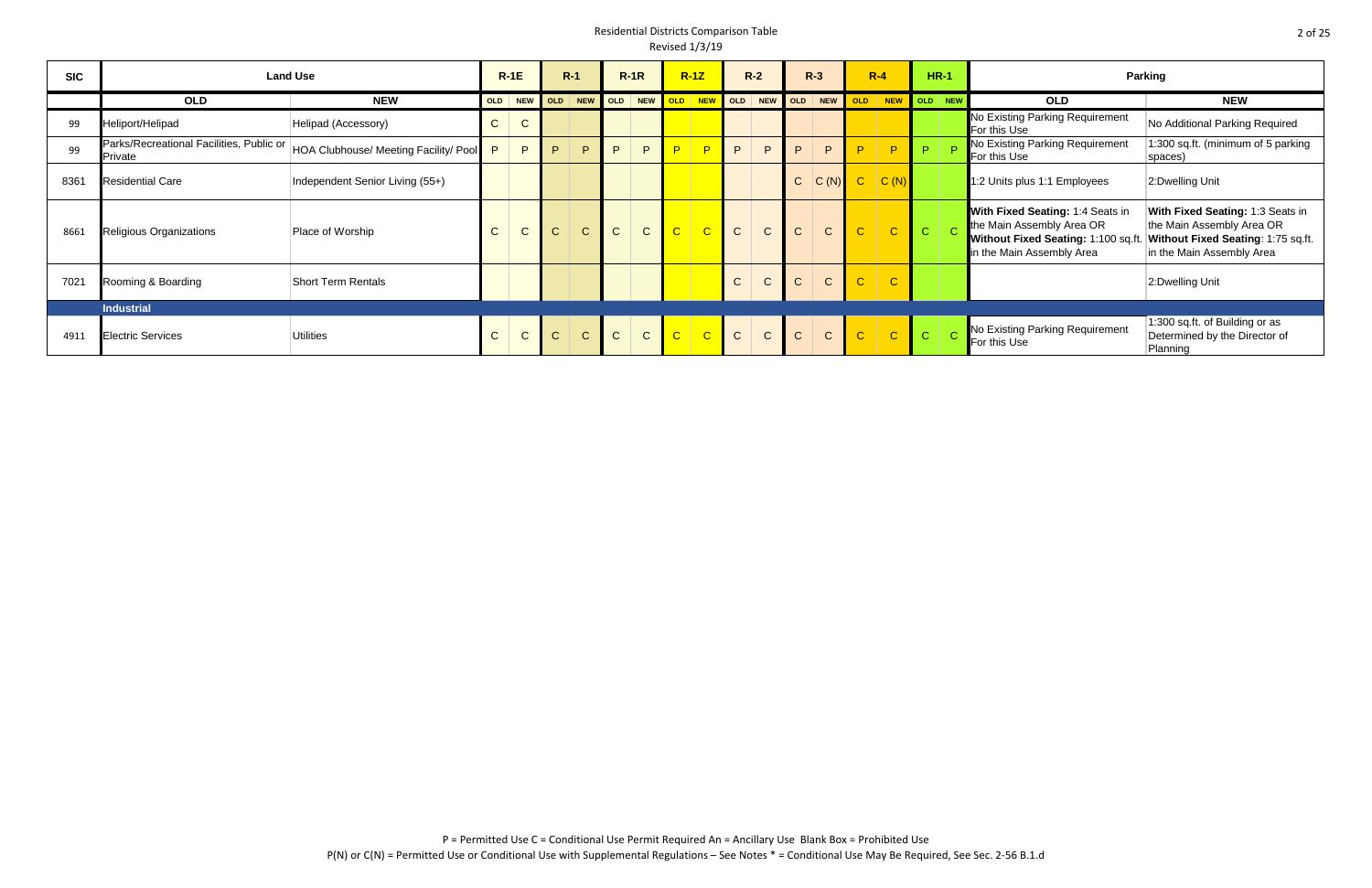| <b>SIC</b> |                                                     | <b>Land Use</b>                       |              | $R-1E$          |               | $R-1$        |              | $R-1R$          |                | $R-1Z$         | $R-2$        |              |              | $R-3$              |        | $R - 4$      |                | <b>HR-1</b> |                                                                                                                                         | <b>Parking</b>                                                                                                                   |
|------------|-----------------------------------------------------|---------------------------------------|--------------|-----------------|---------------|--------------|--------------|-----------------|----------------|----------------|--------------|--------------|--------------|--------------------|--------|--------------|----------------|-------------|-----------------------------------------------------------------------------------------------------------------------------------------|----------------------------------------------------------------------------------------------------------------------------------|
|            | <b>OLD</b>                                          | <b>NEW</b>                            |              | OLD NEW OLD NEW |               |              |              | OLD NEW OLD NEW |                |                | OLD NEW      |              |              | OLD NEW OLD        |        | NEW OLD NEW  |                |             | <b>OLD</b>                                                                                                                              | <b>NEW</b>                                                                                                                       |
| 99         | Heliport/Helipad                                    | Helipad (Accessory)                   | $\mathsf{C}$ | $\mathsf{C}$    |               |              |              |                 |                |                |              |              |              |                    |        |              |                |             | No Existing Parking Requirement<br>For this Use                                                                                         | No Additional Parking Required                                                                                                   |
| 99         | Parks/Recreational Facilities, Public or<br>Private | HOA Clubhouse/ Meeting Facility/ Pool | P            | P               | D.            | P            | $\mathbf{D}$ | P               | D.             | P              | P.           | D            | D            | P                  |        | D            | D.             |             | No Existing Parking Requirement<br>For this Use                                                                                         | 1:300 sq.ft. (minimum of 5 parking<br>spaces)                                                                                    |
| 8361       | <b>Residential Care</b>                             | Independent Senior Living (55+)       |              |                 |               |              |              |                 |                |                |              |              |              | $C \mid C(N) \mid$ |        | C(N)         |                |             | 1:2 Units plus 1:1 Employees                                                                                                            | 2:Dwelling Unit                                                                                                                  |
| 8661       | Religious Organizations                             | Place of Worship                      | $\mathsf{C}$ | $\mathsf{C}$    | $\mathcal{C}$ | $\mathbf C$  | $\mathsf{C}$ | $\mathsf{C}$    | $\overline{C}$ | $\overline{C}$ | $\mathsf{C}$ | $\mathsf{C}$ | $\mathsf{C}$ | $\mathsf{C}$       | $\sim$ | $\mathbf{C}$ | $\overline{C}$ |             | <b>With Fixed Seating: 1:4 Seats in</b><br>the Main Assembly Area OR<br>Without Fixed Seating: 1:100 sq.ft<br>in the Main Assembly Area | With Fixed Seating: 1:3 Seats in<br>the Main Assembly Area OR<br>Without Fixed Seating: 1:75 sq.ft.<br>in the Main Assembly Area |
| 7021       | Rooming & Boarding                                  | <b>Short Term Rentals</b>             |              |                 |               |              |              |                 |                |                | $\mathsf{C}$ | $\mathsf{C}$ | $\mathsf{C}$ | $\overline{C}$     | $\sim$ | $\mathbf{C}$ |                |             |                                                                                                                                         | 2:Dwelling Unit                                                                                                                  |
|            | <b>Industrial</b>                                   |                                       |              |                 |               |              |              |                 |                |                |              |              |              |                    |        |              |                |             |                                                                                                                                         |                                                                                                                                  |
| 4911       | <b>Electric Services</b>                            | <b>Utilities</b>                      | $\mathsf{C}$ | $\mathsf{C}$    | $\mathsf{C}$  | $\mathsf{C}$ | $\mathsf{C}$ | $\mathsf{C}$    | C              | $\overline{C}$ | $\mathsf{C}$ | $\mathsf{C}$ | $\mathsf{C}$ | $\mathbf{C}$       |        | $\mathbf{C}$ | C              |             | No Existing Parking Requirement<br>For this Use                                                                                         | 1:300 sq.ft. of Building or as<br>Determined by the Director of<br>Planning                                                      |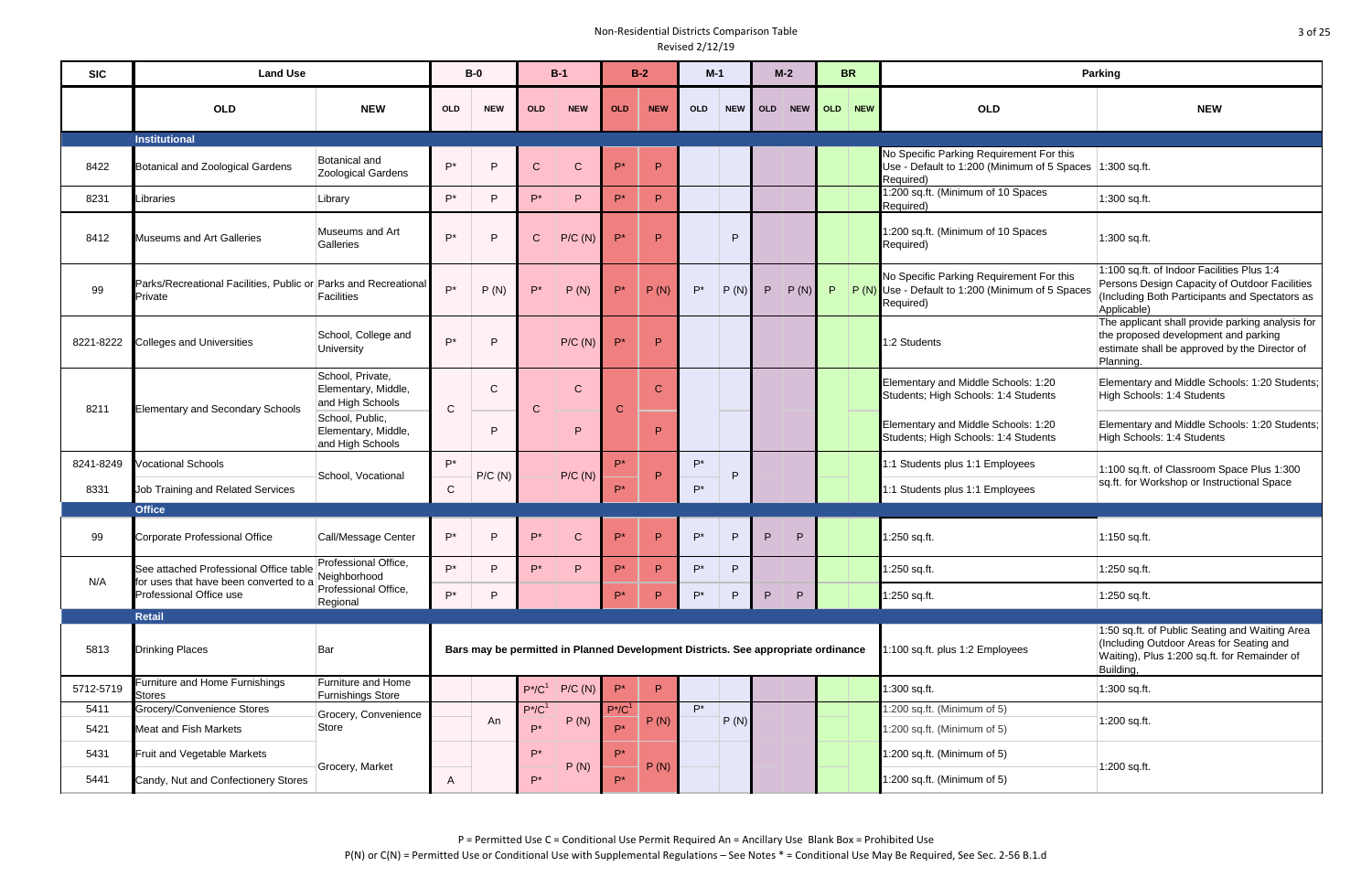| <b>SIC</b> | <b>Land Use</b>                                                                  |                                                             |             | $B-0$        |                    | $B-1$         |                | $B-2$        | $M-1$      |            |            | $M-2$      | <b>BR</b>                                                                         |                                                                                                                   | <b>Parking</b>                                                                                                                                               |
|------------|----------------------------------------------------------------------------------|-------------------------------------------------------------|-------------|--------------|--------------------|---------------|----------------|--------------|------------|------------|------------|------------|-----------------------------------------------------------------------------------|-------------------------------------------------------------------------------------------------------------------|--------------------------------------------------------------------------------------------------------------------------------------------------------------|
|            | <b>OLD</b>                                                                       | <b>NEW</b>                                                  | <b>OLD</b>  | <b>NEW</b>   | <b>OLD</b>         | <b>NEW</b>    | <b>OLD</b>     | <b>NEW</b>   | <b>OLD</b> | <b>NEW</b> | <b>OLD</b> | <b>NEW</b> | NEW<br><b>OLD</b>                                                                 | <b>OLD</b>                                                                                                        | <b>NEW</b>                                                                                                                                                   |
|            | <b>Institutional</b>                                                             |                                                             |             |              |                    |               |                |              |            |            |            |            |                                                                                   |                                                                                                                   |                                                                                                                                                              |
| 8422       | Botanical and Zoological Gardens                                                 | <b>Botanical and</b><br><b>Zoological Gardens</b>           | $P^*$       | P            | $\mathsf{C}$       | $\mathbf C$   | D*             | P            |            |            |            |            |                                                                                   | No Specific Parking Requirement For this<br>Use - Default to 1:200 (Minimum of 5 Spaces 1:300 sq.ft.<br>Required) |                                                                                                                                                              |
| 8231       | Libraries                                                                        | Library                                                     | $P^*$       | P            | $P^*$              | P             | D <sup>*</sup> | P.           |            |            |            |            |                                                                                   | 1:200 sq.ft. (Minimum of 10 Spaces<br>Required)                                                                   | 1:300 sq.ft.                                                                                                                                                 |
| 8412       | <b>Museums and Art Galleries</b>                                                 | Museums and Art<br>Galleries                                | P*          | P            | $\mathsf{C}$       | P/C(N)        | $P^*$          | P            |            | P          |            |            |                                                                                   | 1:200 sq.ft. (Minimum of 10 Spaces<br>Required)                                                                   | 1:300 sq.ft.                                                                                                                                                 |
| 99         | Parks/Recreational Facilities, Public or Parks and Recreational<br>Private       | <b>Facilities</b>                                           | $P^*$       | P(N)         | $P^*$              | P(N)          | $P^*$          | P(N)         | $P^*$      | P(N)       | P.         | P(N)       | P.                                                                                | No Specific Parking Requirement For this<br>P (N) Use - Default to 1:200 (Minimum of 5 Spaces<br>Required)        | 1:100 sq.ft. of Indoor Facilities Plus 1:4<br>Persons Design Capacity of Outdoor Facilities<br>(Including Both Participants and Spectators as<br>Applicable) |
| 8221-8222  | <b>Colleges and Universities</b>                                                 | School, College and<br>University                           | $P^*$       | P            |                    | P/C(N)        | $P^*$          | P            |            |            |            |            |                                                                                   | 1:2 Students                                                                                                      | The applicant shall provide parking analysis for<br>the proposed development and parking<br>estimate shall be approved by the Director of<br>Planning.       |
| 8211       | <b>Elementary and Secondary Schools</b>                                          | School, Private,<br>Elementary, Middle,<br>and High Schools | $\mathsf C$ | $\mathsf{C}$ | $\mathbf C$        | $\mathsf{C}$  | $\mathbf C$    | $\mathbf{C}$ |            |            |            |            |                                                                                   | Elementary and Middle Schools: 1:20<br>Students; High Schools: 1:4 Students                                       | Elementary and Middle Schools: 1:20 Students;<br>High Schools: 1:4 Students                                                                                  |
|            |                                                                                  | School, Public,<br>Elementary, Middle,<br>and High Schools  |             | P            |                    | P             |                | P            |            |            |            |            |                                                                                   | Elementary and Middle Schools: 1:20<br>Students; High Schools: 1:4 Students                                       | Elementary and Middle Schools: 1:20 Students;<br>High Schools: 1:4 Students                                                                                  |
| 8241-8249  | <b>Vocational Schools</b>                                                        | School, Vocational                                          | P*          | P/C(N)       |                    | P/C(N)        | D*             | P.           | P*         | P          |            |            |                                                                                   | :1 Students plus 1:1 Employees                                                                                    | 1:100 sq.ft. of Classroom Space Plus 1:300                                                                                                                   |
| 8331       | Job Training and Related Services                                                |                                                             | ${\bf C}$   |              |                    |               | D <sup>*</sup> |              | P*         |            |            |            |                                                                                   | :1 Students plus 1:1 Employees                                                                                    | sq.ft. for Workshop or Instructional Space                                                                                                                   |
|            | <b>Office</b>                                                                    |                                                             |             |              |                    |               |                |              |            |            |            |            |                                                                                   |                                                                                                                   |                                                                                                                                                              |
| 99         | Corporate Professional Office                                                    | Call/Message Center                                         | $P^*$       | P            | D*                 | $\mathcal{C}$ | D*             | P            | $P^*$      | P          | P          | P          |                                                                                   | :250 sq.ft.                                                                                                       | 1:150 sq.ft.                                                                                                                                                 |
| N/A        | See attached Professional Office table<br>for uses that have been converted to a | Professional Office,<br>Neighborhood                        | $P^*$       | P            | $\mathsf{P}^\star$ | P             | $P^*$          | P            | $P^*$      | P          |            |            |                                                                                   | :250 sq.ft.                                                                                                       | 1:250 sq.ft.                                                                                                                                                 |
|            | Professional Office use                                                          | Professional Office,<br>Regional                            | $P^*$       | P.           |                    |               | $P^*$          | P.           | $P^*$      | P          | P          | P          |                                                                                   | 1:250 sq.ft.                                                                                                      | 1:250 sq.ft.                                                                                                                                                 |
|            | Retail                                                                           |                                                             |             |              |                    |               |                |              |            |            |            |            |                                                                                   |                                                                                                                   |                                                                                                                                                              |
| 5813       | <b>Drinking Places</b>                                                           | Bar                                                         |             |              |                    |               |                |              |            |            |            |            | Bars may be permitted in Planned Development Districts. See appropriate ordinance | 1:100 sq.ft. plus 1:2 Employees                                                                                   | 1:50 sq.ft. of Public Seating and Waiting Area<br>(Including Outdoor Areas for Seating and<br>Waiting), Plus 1:200 sq.ft. for Remainder of<br>Building,      |
| 5712-5719  | Furniture and Home Furnishings<br>Stores                                         | Furniture and Home<br>Furnishings Store                     |             |              | $P^*/C^1$          | P/C(N)        | $P^*$          | P.           |            |            |            |            |                                                                                   | 1:300 sq.ft.                                                                                                      | 1:300 sq.ft.                                                                                                                                                 |
| 5411       | Grocery/Convenience Stores                                                       | Grocery, Convenience                                        |             |              | $P^*/C^1$          |               | $P^*/C^1$      |              | $P^*$      |            |            |            |                                                                                   | :200 sq.ft. (Minimum of 5)                                                                                        |                                                                                                                                                              |
| 5421       | <b>Meat and Fish Markets</b>                                                     | Store                                                       |             | An           | $P^*$              | P(N)          | D*             | P(N)         |            | P(N)       |            |            |                                                                                   | :200 sq.ft. (Minimum of 5)                                                                                        | 1:200 sq.ft.                                                                                                                                                 |
| 5431       | Fruit and Vegetable Markets                                                      | Grocery, Market                                             |             |              | $P^*$              | P(N)          | $P^*$          | P(N)         |            |            |            |            |                                                                                   | :200 sq.ft. (Minimum of 5)                                                                                        | 1:200 sq.ft.                                                                                                                                                 |
| 5441       | Candy, Nut and Confectionery Stores                                              |                                                             | A           |              | $P^*$              |               | P*             |              |            |            |            |            |                                                                                   | :200 sq.ft. (Minimum of 5)                                                                                        |                                                                                                                                                              |

P = Permitted Use C = Conditional Use Permit Required An = Ancillary Use Blank Box = Prohibited Use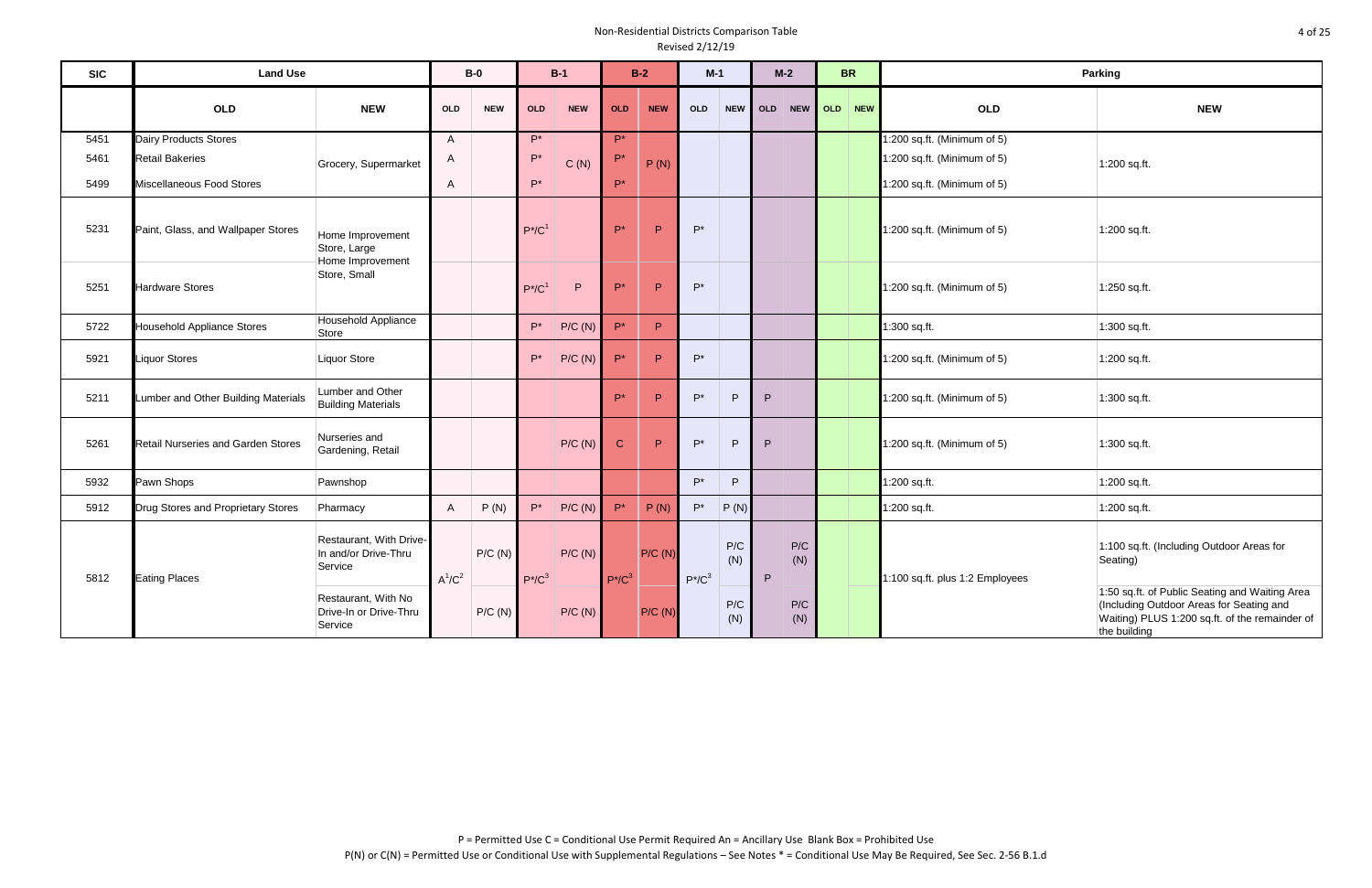| <b>SIC</b> | <b>Land Use</b>                           |                                                            |              | $B-0$      |                    | $B-1$      |                    | $B-2$        | $M-1$      |            | $M-2$                      | <b>BR</b> |                                 | Parking                                                                                                                                                      |
|------------|-------------------------------------------|------------------------------------------------------------|--------------|------------|--------------------|------------|--------------------|--------------|------------|------------|----------------------------|-----------|---------------------------------|--------------------------------------------------------------------------------------------------------------------------------------------------------------|
|            | <b>OLD</b>                                | <b>NEW</b>                                                 | OLD          | <b>NEW</b> | OLD                | <b>NEW</b> | <b>OLD</b>         | <b>NEW</b>   | <b>OLD</b> | <b>NEW</b> | OLD<br><b>NEW</b>          | OLD NEW   | <b>OLD</b>                      | <b>NEW</b>                                                                                                                                                   |
| 5451       | Dairy Products Stores                     |                                                            | $\mathsf{A}$ |            | $\mathsf{P}^\star$ |            | $P^*$              |              |            |            |                            |           | 1:200 sq.ft. (Minimum of 5)     |                                                                                                                                                              |
| 5461       | <b>Retail Bakeries</b>                    | Grocery, Supermarket                                       | $\mathsf{A}$ |            | $P^*$              | C(N)       | $P^*$              | P(N)         |            |            |                            |           | :200 sq.ft. (Minimum of 5)      | 1:200 sq.ft.                                                                                                                                                 |
| 5499       | Miscellaneous Food Stores                 |                                                            | $\mathsf{A}$ |            | $\mathsf{P}^\star$ |            | $\mathsf{P}^\star$ |              |            |            |                            |           | 1:200 sq.ft. (Minimum of 5)     |                                                                                                                                                              |
| 5231       | Paint, Glass, and Wallpaper Stores        | Home Improvement<br>Store, Large<br>Home Improvement       |              |            | $P^*/C^1$          |            | $P^*$              | P            | $P^*$      |            |                            |           | 1:200 sq.ft. (Minimum of 5)     | 1:200 sq.ft.                                                                                                                                                 |
| 5251       | <b>Hardware Stores</b>                    | Store, Small                                               |              |            | $P^*/C^1$          | P          | $P^*$              | P.           | $P^*$      |            |                            |           | 1:200 sq.ft. (Minimum of 5)     | 1:250 sq.ft.                                                                                                                                                 |
| 5722       | <b>Household Appliance Stores</b>         | Household Appliance<br>Store                               |              |            | $P^*$              | P/C(N)     | $P^*$              | P.           |            |            |                            |           | 1:300 sq.ft.                    | 1:300 sq.ft.                                                                                                                                                 |
| 5921       | <b>Liquor Stores</b>                      | <b>Liquor Store</b>                                        |              |            | $P^*$              | P/C(N)     | $P^*$              | P            | $P^*$      |            |                            |           | 1:200 sq.ft. (Minimum of 5)     | 1:200 sq.ft.                                                                                                                                                 |
| 5211       | Lumber and Other Building Materials       | Lumber and Other<br><b>Building Materials</b>              |              |            |                    |            | P*                 | P            | $P^*$      | P          | P                          |           | 1:200 sq.ft. (Minimum of 5)     | 1:300 sq.ft.                                                                                                                                                 |
| 5261       | <b>Retail Nurseries and Garden Stores</b> | Nurseries and<br>Gardening, Retail                         |              |            |                    | P/C(N)     | $\mathbf C$        | $\mathsf{P}$ | $P^*$      | P          | P                          |           | 1:200 sq.ft. (Minimum of 5)     | 1:300 sq.ft.                                                                                                                                                 |
| 5932       | Pawn Shops                                | Pawnshop                                                   |              |            |                    |            |                    |              | $P^*$      | P.         |                            |           | 1:200 sq.ft.                    | 1:200 sq.ft.                                                                                                                                                 |
| 5912       | Drug Stores and Proprietary Stores        | Pharmacy                                                   | $\mathsf{A}$ | P(N)       | $P^*$              | P/C(N)     | $P^*$              | P(N)         | $P^*$      | P(N)       |                            |           | 1:200 sq.ft.                    | 1:200 sq.ft.                                                                                                                                                 |
| 5812       | <b>Eating Places</b>                      | Restaurant, With Drive-<br>In and/or Drive-Thru<br>Service | $A^1/C^2$    | P/C(N)     | $P^*/C^3$          | P/C(N)     | $P^*/C^3$          | P/C(N)       | $P^*/C^3$  | P/C<br>(N) | P/C<br>(N)<br>$\mathsf{P}$ |           | 1:100 sq.ft. plus 1:2 Employees | 1:100 sq.ft. (Including Outdoor Areas for<br>Seating)                                                                                                        |
|            |                                           | Restaurant, With No<br>Drive-In or Drive-Thru<br>Service   |              | P/C(N)     |                    | P/C(N)     |                    | P/C(N)       |            | P/C<br>(N) | P/C<br>(N)                 |           |                                 | 1:50 sq.ft. of Public Seating and Waiting Area<br>(Including Outdoor Areas for Seating and<br>Waiting) PLUS 1:200 sq.ft. of the remainder of<br>the building |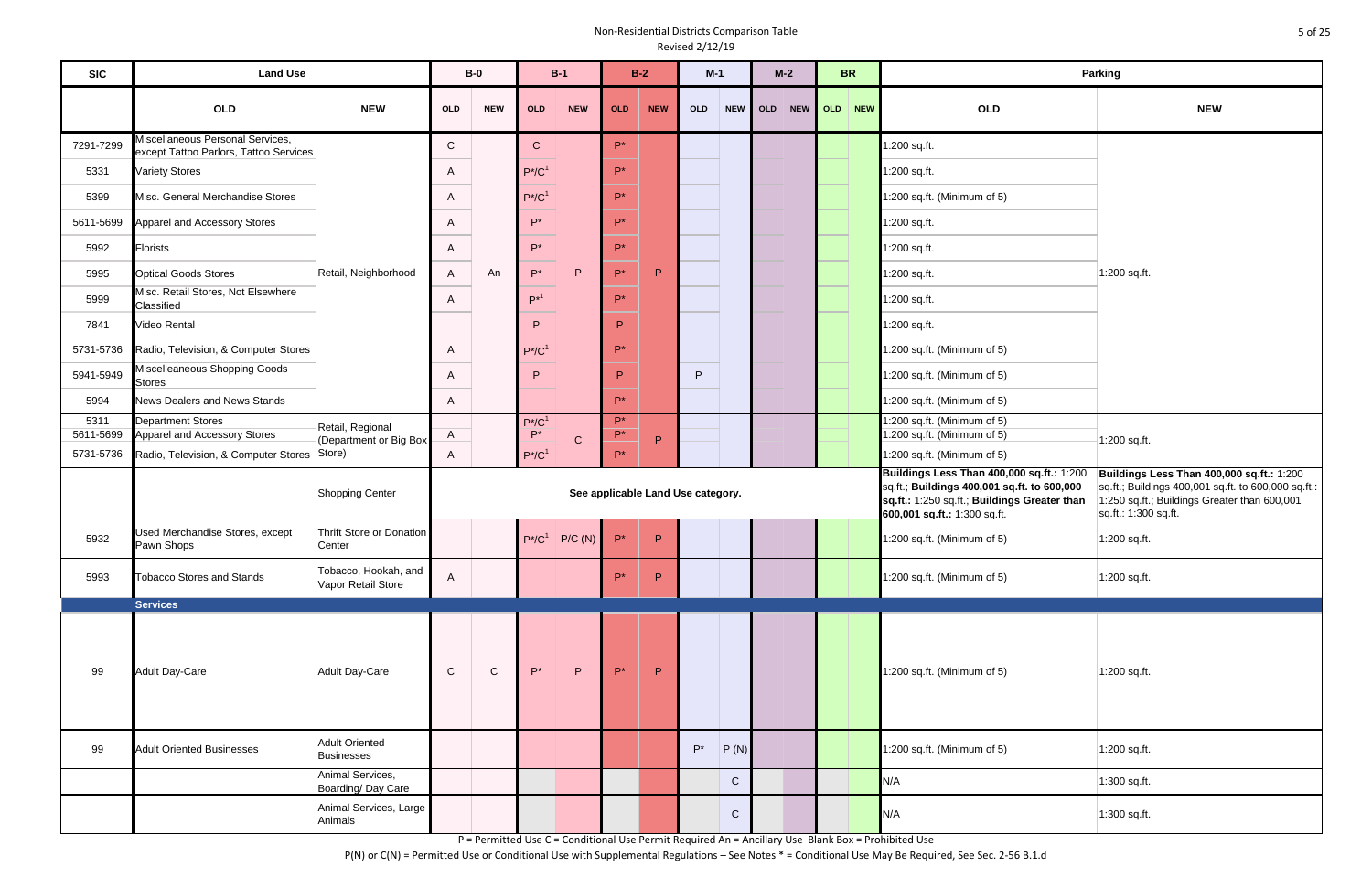| <b>SIC</b>        | <b>Land Use</b>                                                            |                                            |              | $B-0$       |                                 | $B-1$       |                    | $B-2$                             | $M-1$      |              | $M-2$             |            | <b>BR</b>  |                                                                                                                                                                          | Parking                                                                                                                |
|-------------------|----------------------------------------------------------------------------|--------------------------------------------|--------------|-------------|---------------------------------|-------------|--------------------|-----------------------------------|------------|--------------|-------------------|------------|------------|--------------------------------------------------------------------------------------------------------------------------------------------------------------------------|------------------------------------------------------------------------------------------------------------------------|
|                   | <b>OLD</b>                                                                 | <b>NEW</b>                                 | OLD          | <b>NEW</b>  | <b>OLD</b>                      | <b>NEW</b>  | <b>OLD</b>         | <b>NEW</b>                        | <b>OLD</b> | <b>NEW</b>   | OLD<br><b>NEW</b> | <b>OLD</b> | <b>NEW</b> | <b>OLD</b>                                                                                                                                                               | <b>NEW</b>                                                                                                             |
| 7291-7299         | Miscellaneous Personal Services,<br>except Tattoo Parlors, Tattoo Services |                                            | $\mathsf{C}$ |             | $\mathsf{C}$                    |             | $P^*$              |                                   |            |              |                   |            |            | 1:200 sq.ft.                                                                                                                                                             |                                                                                                                        |
| 5331              | <b>Variety Stores</b>                                                      |                                            | A            |             | $P^*/C^1$                       |             | P*                 |                                   |            |              |                   |            |            | 1:200 sq.ft.                                                                                                                                                             |                                                                                                                        |
| 5399              | Misc. General Merchandise Stores                                           |                                            | A            |             | $P^*/C^1$                       |             | P*                 |                                   |            |              |                   |            |            | 1:200 sq.ft. (Minimum of 5)                                                                                                                                              |                                                                                                                        |
| 5611-5699         | Apparel and Accessory Stores                                               |                                            | A            |             | $P^*$                           |             | <b>Q</b>           |                                   |            |              |                   |            |            | 1:200 sq.ft.                                                                                                                                                             |                                                                                                                        |
| 5992              | <b>Florists</b>                                                            |                                            | A            |             | $P^*$                           |             | P*                 |                                   |            |              |                   |            |            | 1:200 sq.ft.                                                                                                                                                             |                                                                                                                        |
| 5995              | <b>Optical Goods Stores</b>                                                | Retail, Neighborhood                       | $\mathsf{A}$ | An          | $\mathsf{P}^\star$              | P           | P*                 | P                                 |            |              |                   |            |            | 1:200 sq.ft.                                                                                                                                                             | 1:200 sq.ft.                                                                                                           |
| 5999              | Misc. Retail Stores, Not Elsewhere<br>Classified                           |                                            | $\mathsf{A}$ |             | $P^{*1}$                        |             | $P^*$              |                                   |            |              |                   |            |            | 1:200 sq.ft.                                                                                                                                                             |                                                                                                                        |
| 7841              | Video Rental                                                               |                                            |              |             | P                               |             | P.                 |                                   |            |              |                   |            |            | 1:200 sq.ft.                                                                                                                                                             |                                                                                                                        |
| 5731-5736         | Radio, Television, & Computer Stores                                       |                                            | A            |             | $P^*/C^1$                       |             | $P^*$              |                                   |            |              |                   |            |            | 1:200 sq.ft. (Minimum of 5)                                                                                                                                              |                                                                                                                        |
| 5941-5949         | Miscelleaneous Shopping Goods<br>Stores                                    |                                            | A            |             | P                               |             | P.                 |                                   | P          |              |                   |            |            | 1:200 sq.ft. (Minimum of 5)                                                                                                                                              |                                                                                                                        |
| 5994              | <b>News Dealers and News Stands</b>                                        |                                            | $\mathsf{A}$ |             |                                 |             | $P^*$              |                                   |            |              |                   |            |            | 1:200 sq.ft. (Minimum of 5)                                                                                                                                              |                                                                                                                        |
| 5311<br>5611-5699 | <b>Department Stores</b><br>Apparel and Accessory Stores                   | Retail, Regional                           | $\mathsf{A}$ |             | $P^*/C^1$<br>$\mathsf{P}^\star$ |             | $P^*$<br>P*        |                                   |            |              |                   |            |            | 1:200 sq.ft. (Minimum of 5)<br>1:200 sq.ft. (Minimum of 5)                                                                                                               |                                                                                                                        |
| 5731-5736         | Radio, Television, & Computer Stores                                       | (Department or Big Box<br>Store)           | A            |             | $P^*/C^1$                       | $\mathbf C$ | $P^*$              | P                                 |            |              |                   |            |            | 1:200 sq.ft. (Minimum of 5)                                                                                                                                              | 1:200 sq.ft.                                                                                                           |
|                   |                                                                            | Shopping Center                            |              |             |                                 |             |                    | See applicable Land Use category. |            |              |                   |            |            | Buildings Less Than 400,000 sq.ft.: 1:200<br>sq.ft.; Buildings 400,001 sq.ft. to 600,000<br>sq.ft.: 1:250 sq.ft.; Buildings Greater than<br>600,001 sq.ft.: 1:300 sq.ft. | <b>Buildings Less Than 400</b><br>sq.ft.; Buildings 400,001 so<br>1:250 sq.ft.; Buildings Grea<br>sq.ft.: 1:300 sq.ft. |
| 5932              | Used Merchandise Stores, except<br>Pawn Shops                              | Thrift Store or Donation<br>Center         |              |             | $P^*/C^1$                       | P/C(N)      | $P^*$              | P                                 |            |              |                   |            |            | 1:200 sq.ft. (Minimum of 5)                                                                                                                                              | 1:200 sq.ft.                                                                                                           |
| 5993              | <b>Tobacco Stores and Stands</b>                                           | Tobacco, Hookah, and<br>Vapor Retail Store | $\mathsf{A}$ |             |                                 |             | $P^*$              | P                                 |            |              |                   |            |            | 1:200 sq.ft. (Minimum of 5)                                                                                                                                              | 1:200 sq.ft.                                                                                                           |
|                   | <b>Services</b>                                                            |                                            |              |             |                                 |             |                    |                                   |            |              |                   |            |            |                                                                                                                                                                          |                                                                                                                        |
| 99                | <b>Adult Day-Care</b>                                                      | Adult Day-Care                             | ${\rm C}$    | $\mathbf C$ | $\mathsf{P}^\star$              | P           | $\mathsf{P}^\star$ | $\mathsf P$                       |            |              |                   |            |            | 1:200 sq.ft. (Minimum of 5)                                                                                                                                              | 1:200 sq.ft.                                                                                                           |
| 99                | <b>Adult Oriented Businesses</b>                                           | Adult Oriented<br>Businesses               |              |             |                                 |             |                    |                                   | $P^*$      | P(N)         |                   |            |            | 1:200 sq.ft. (Minimum of 5)                                                                                                                                              | 1:200 sq.ft.                                                                                                           |
|                   |                                                                            | Animal Services,<br>Boarding/Day Care      |              |             |                                 |             |                    |                                   |            | $\mathsf{C}$ |                   |            |            | N/A                                                                                                                                                                      | 1:300 sq.ft.                                                                                                           |
|                   |                                                                            | Animal Services, Large<br>Animals          |              |             |                                 |             |                    |                                   |            | $\mathbf C$  |                   |            |            | N/A                                                                                                                                                                      | 1:300 sq.ft.                                                                                                           |

|                                                          | <b>Parking</b>                                                                                                                                                           |
|----------------------------------------------------------|--------------------------------------------------------------------------------------------------------------------------------------------------------------------------|
|                                                          | <b>NEW</b>                                                                                                                                                               |
|                                                          | 1:200 sq.ft.                                                                                                                                                             |
|                                                          | 1:200 sq.ft.                                                                                                                                                             |
| 000 sq.ft.: 1:200<br>q.ft. to 600,000<br>gs Greater than | Buildings Less Than 400,000 sq.ft.: 1:200<br>sq.ft.; Buildings 400,001 sq.ft. to 600,000 sq.ft.:<br>1:250 sq.ft.; Buildings Greater than 600,001<br>sq.ft.: 1:300 sq.ft. |
|                                                          | 1:200 sq.ft.                                                                                                                                                             |
|                                                          | 1:200 sq.ft.                                                                                                                                                             |
|                                                          | 1:200 sq.ft.                                                                                                                                                             |
|                                                          | 1:200 sq.ft.                                                                                                                                                             |
|                                                          | 1:300 sq.ft.                                                                                                                                                             |
|                                                          | 1:300 sq.ft.                                                                                                                                                             |

P = Permitted Use C = Conditional Use Permit Required An = Ancillary Use Blank Box = Prohibited Use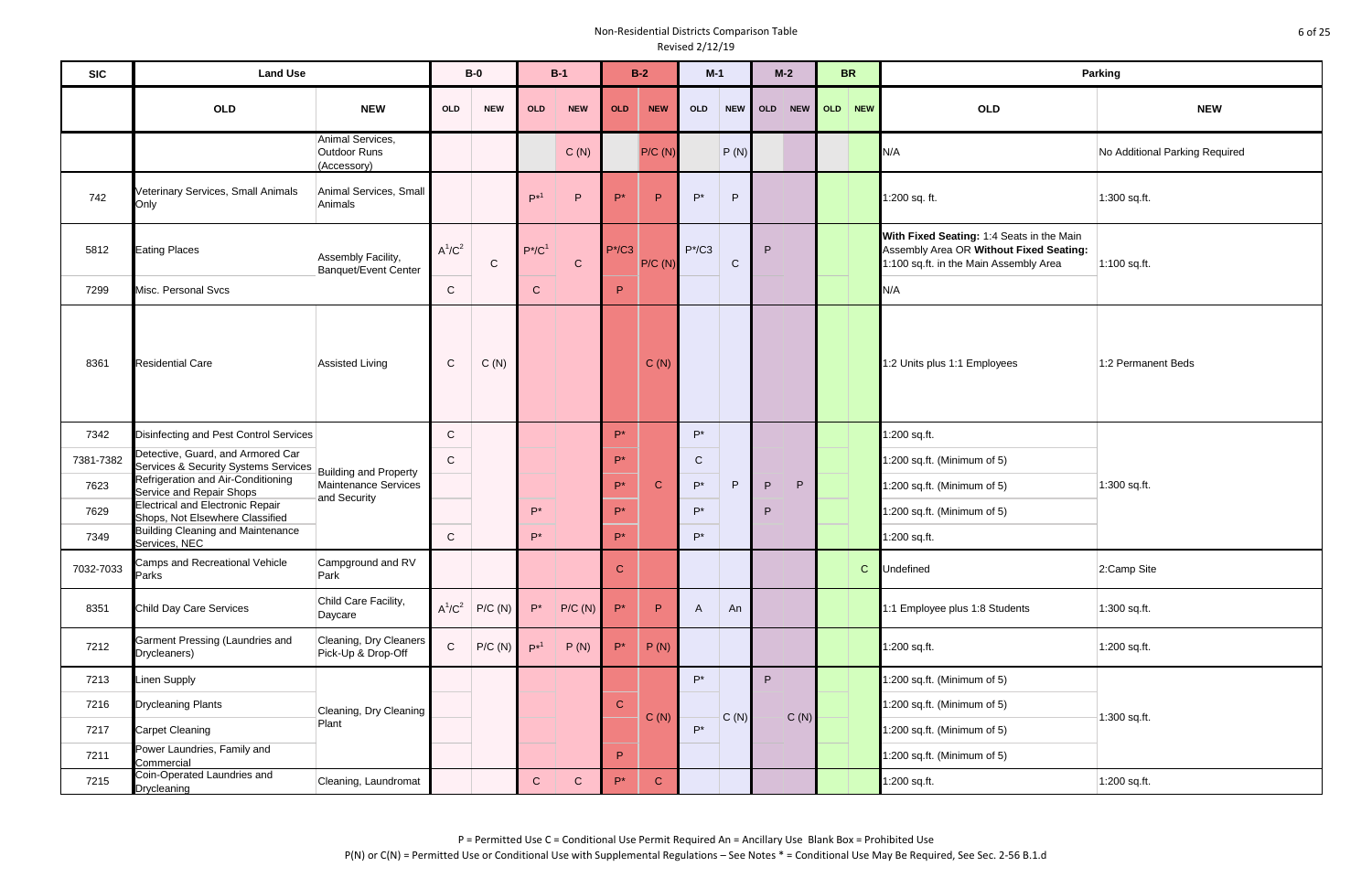| <b>SIC</b> | <b>Land Use</b>                                                                                 |                                                   |              | $B-0$        |                    | $B-1$        |                    | $B-2$        | $M-1$        |              | $M-2$ |      | <b>BR</b> |                                                                                                                                | Parking                        |
|------------|-------------------------------------------------------------------------------------------------|---------------------------------------------------|--------------|--------------|--------------------|--------------|--------------------|--------------|--------------|--------------|-------|------|-----------|--------------------------------------------------------------------------------------------------------------------------------|--------------------------------|
|            | OLD                                                                                             | <b>NEW</b>                                        | OLD          | <b>NEW</b>   | <b>OLD</b>         | <b>NEW</b>   | <b>OLD</b>         | <b>NEW</b>   | <b>OLD</b>   | <b>NEW</b>   | OLD   | NEW  | OLD NEW   | OLD                                                                                                                            | <b>NEW</b>                     |
|            |                                                                                                 | Animal Services,<br>Outdoor Runs<br>(Accessory)   |              |              |                    | C(N)         |                    | P/C(N)       |              | P(N)         |       |      |           | N/A                                                                                                                            | No Additional Parking Required |
| 742        | Veterinary Services, Small Animals<br>Only                                                      | Animal Services, Small<br>Animals                 |              |              | $P*^1$             | P            | $P^*$              | P            | $P^*$        | P            |       |      |           | 1:200 sq. ft.                                                                                                                  | 1:300 sq.ft.                   |
| 5812       | <b>Eating Places</b>                                                                            | Assembly Facility,<br><b>Banquet/Event Center</b> | $A^1/C^2$    | $\mathsf{C}$ | $P^*/C^1$          | $\mathsf{C}$ | $P^*/C3$           | P/C(N)       | $P^*/C3$     | $\mathsf{C}$ | P     |      |           | With Fixed Seating: 1:4 Seats in the Main<br>Assembly Area OR Without Fixed Seating:<br>1:100 sq.ft. in the Main Assembly Area | 1:100 sq.ft.                   |
| 7299       | Misc. Personal Svcs                                                                             |                                                   | $\mathsf{C}$ |              | $\mathsf{C}$       |              | P                  |              |              |              |       |      |           | N/A                                                                                                                            |                                |
| 8361       | <b>Residential Care</b>                                                                         | Assisted Living                                   | $\mathsf C$  | C(N)         |                    |              |                    | C(N)         |              |              |       |      |           | 1:2 Units plus 1:1 Employees                                                                                                   | 1:2 Permanent Beds             |
| 7342       | Disinfecting and Pest Control Services                                                          |                                                   | $\mathsf C$  |              |                    |              | P*                 |              | P*           |              |       |      |           | 1:200 sq.ft.                                                                                                                   |                                |
| 7381-7382  | Detective, Guard, and Armored Car<br>Services & Security Systems Services Building and Property |                                                   | $\mathsf C$  |              |                    |              | $P^*$              |              | $\mathsf{C}$ |              |       |      |           | 1:200 sq.ft. (Minimum of 5)                                                                                                    |                                |
| 7623       | Refrigeration and Air-Conditioning<br>Service and Repair Shops                                  | Maintenance Services                              |              |              |                    |              | $\mathsf{P}^\star$ | $\mathbf{C}$ | $P^*$        | P            | P     | P    |           | 1:200 sq.ft. (Minimum of 5)                                                                                                    | 1:300 sq.ft.                   |
| 7629       | <b>Electrical and Electronic Repair</b><br>Shops, Not Elsewhere Classified                      | and Security                                      |              |              | $P^*$              |              | $P^*$              |              | P*           |              | P     |      |           | 1:200 sq.ft. (Minimum of 5)                                                                                                    |                                |
| 7349       | <b>Building Cleaning and Maintenance</b><br>Services, NEC                                       |                                                   | $\mathsf{C}$ |              | $P^*$              |              | P*                 |              | $P^*$        |              |       |      |           | 1:200 sq.ft.                                                                                                                   |                                |
| 7032-7033  | Camps and Recreational Vehicle<br>Parks                                                         | Campground and RV<br>Park                         |              |              |                    |              | $\mathbf C$        |              |              |              |       |      | ${\bf C}$ | Undefined                                                                                                                      | 2:Camp Site                    |
| 8351       | <b>Child Day Care Services</b>                                                                  | Child Care Facility,<br>Daycare                   | $A^1/C^2$    | P/C(N)       | $\mathsf{P}^\star$ | P/C(N)       | $\mathsf{P}^\star$ | $\mathsf{P}$ | A            | An           |       |      |           | :1 Employee plus 1:8 Students                                                                                                  | 1:300 sq.ft.                   |
| 7212       | Garment Pressing (Laundries and<br>Drycleaners)                                                 | Cleaning, Dry Cleaners<br>Pick-Up & Drop-Off      | $\mathsf C$  | P/C(N)       | $P^{*1}$           | P(N)         | $\mathsf{P}^\star$ | P(N)         |              |              |       |      |           | 1:200 sq.ft.                                                                                                                   | 1:200 sq.ft.                   |
| 7213       | <b>Linen Supply</b>                                                                             |                                                   |              |              |                    |              |                    |              | $P^*$        |              | P     |      |           | 1:200 sq.ft. (Minimum of 5)                                                                                                    |                                |
| 7216       | <b>Drycleaning Plants</b>                                                                       | Cleaning, Dry Cleaning                            |              |              |                    |              | $\mathbf C$        |              |              |              |       |      |           | 1:200 sq.ft. (Minimum of 5)                                                                                                    |                                |
| 7217       | <b>Carpet Cleaning</b>                                                                          | Plant                                             |              |              |                    |              |                    | C(N)         | $P^*$        | C(N)         |       | C(N) |           | 1:200 sq.ft. (Minimum of 5)                                                                                                    | 1:300 sq.ft.                   |
| 7211       | Power Laundries, Family and<br>Commercial                                                       |                                                   |              |              |                    |              | P                  |              |              |              |       |      |           | 1:200 sq.ft. (Minimum of 5)                                                                                                    |                                |
| 7215       | Coin-Operated Laundries and<br>Drycleaning                                                      | Cleaning, Laundromat                              |              |              | $\mathsf{C}$       | $\mathsf C$  | $P^*$              | $\mathbf{C}$ |              |              |       |      |           | 1:200 sq.ft.                                                                                                                   | 1:200 sq.ft.                   |

P = Permitted Use C = Conditional Use Permit Required An = Ancillary Use Blank Box = Prohibited Use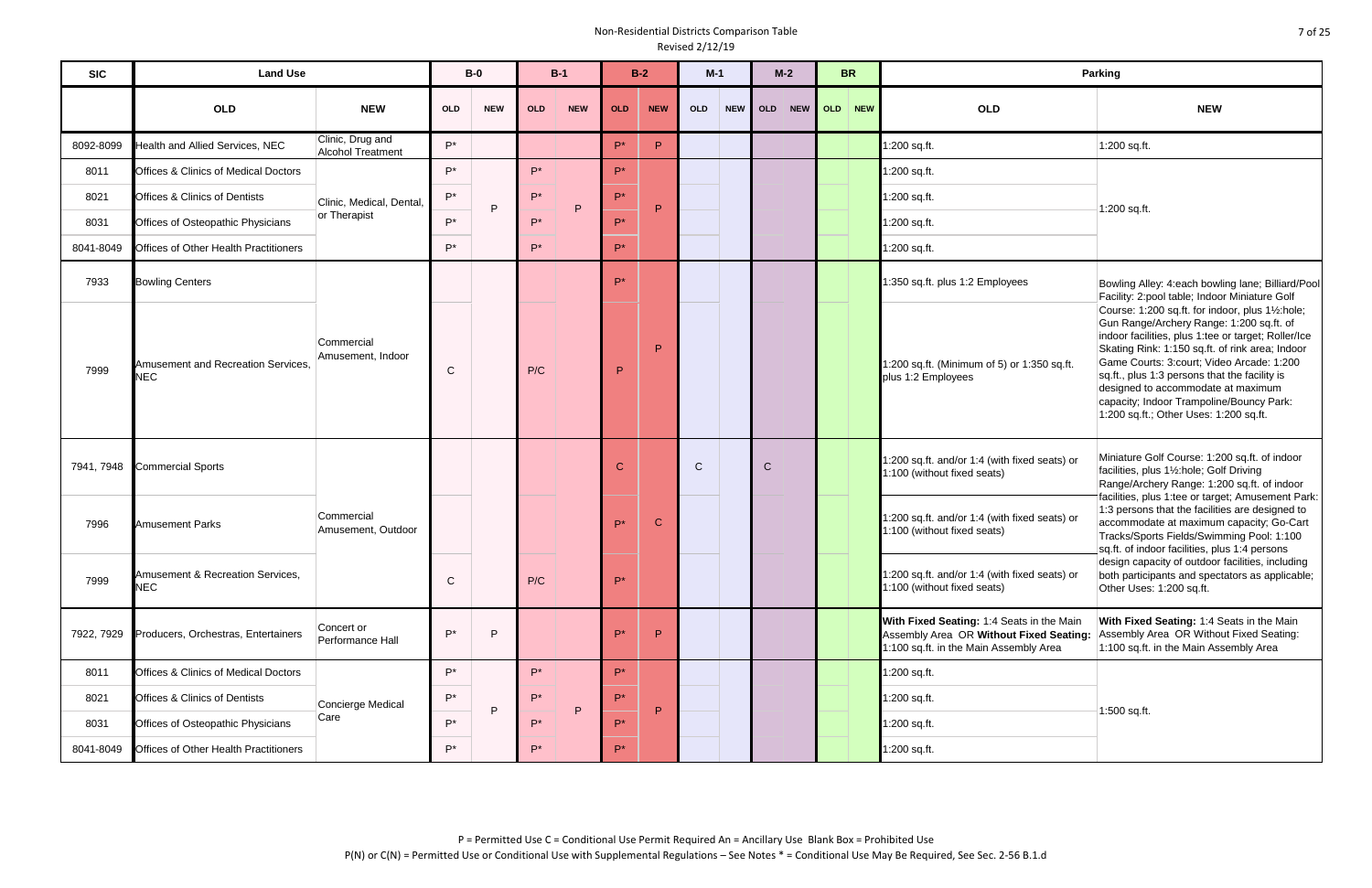| <b>SIC</b> | <b>Land Use</b>                                  |                                              |             | $B-0$      |                    | $B-1$      |                    | $B-2$        | $M-1$        |            | $M-2$             | <b>BR</b> |                                                                                                                                | Parking                                                                                                                                                                                                                                                                                                                                                                                                                        |
|------------|--------------------------------------------------|----------------------------------------------|-------------|------------|--------------------|------------|--------------------|--------------|--------------|------------|-------------------|-----------|--------------------------------------------------------------------------------------------------------------------------------|--------------------------------------------------------------------------------------------------------------------------------------------------------------------------------------------------------------------------------------------------------------------------------------------------------------------------------------------------------------------------------------------------------------------------------|
|            | <b>OLD</b>                                       | <b>NEW</b>                                   | OLD         | <b>NEW</b> | <b>OLD</b>         | <b>NEW</b> | <b>OLD</b>         | <b>NEW</b>   | <b>OLD</b>   | <b>NEW</b> | <b>OLD</b><br>NEW | OLD NEW   | <b>OLD</b>                                                                                                                     | <b>NEW</b>                                                                                                                                                                                                                                                                                                                                                                                                                     |
| 8092-8099  | Health and Allied Services, NEC                  | Clinic, Drug and<br><b>Alcohol Treatment</b> | $P^*$       |            |                    |            | P*                 | P            |              |            |                   |           | 1:200 sq.ft.                                                                                                                   | 1:200 sq.ft.                                                                                                                                                                                                                                                                                                                                                                                                                   |
| 8011       | <b>Offices &amp; Clinics of Medical Doctors</b>  |                                              | $P^*$       |            | $P^*$              |            | $P^*$              |              |              |            |                   |           | 1:200 sq.ft.                                                                                                                   |                                                                                                                                                                                                                                                                                                                                                                                                                                |
| 8021       | <b>Offices &amp; Clinics of Dentists</b>         | Clinic, Medical, Dental,                     | $P^*$       | P          | $P^*$              | P          | $P^*$              | P            |              |            |                   |           | 1:200 sq.ft.                                                                                                                   | 1:200 sq.ft.                                                                                                                                                                                                                                                                                                                                                                                                                   |
| 8031       | Offices of Osteopathic Physicians                | or Therapist                                 | $P^*$       |            | $P^*$              |            | $P^*$              |              |              |            |                   |           | 1:200 sq.ft.                                                                                                                   |                                                                                                                                                                                                                                                                                                                                                                                                                                |
| 8041-8049  | <b>Offices of Other Health Practitioners</b>     |                                              | P*          |            | $P^*$              |            | P*                 |              |              |            |                   |           | 1:200 sq.ft.                                                                                                                   |                                                                                                                                                                                                                                                                                                                                                                                                                                |
| 7933       | <b>Bowling Centers</b>                           |                                              |             |            |                    |            | <b>D</b> *         |              |              |            |                   |           | 1:350 sq.ft. plus 1:2 Employees                                                                                                | Bowling Alley: 4:each bowling lane; Billiard/Pool<br>Facility: 2:pool table; Indoor Miniature Golf                                                                                                                                                                                                                                                                                                                             |
| 7999       | Amusement and Recreation Services.<br><b>NEC</b> | Commercial<br>Amusement, Indoor              | $\mathsf C$ |            | P/C                |            | P                  | P            |              |            |                   |           | 1:200 sq.ft. (Minimum of 5) or 1:350 sq.ft.<br>plus 1:2 Employees                                                              | Course: 1:200 sq.ft. for indoor, plus 1½:hole;<br>Gun Range/Archery Range: 1:200 sq.ft. of<br>indoor facilities, plus 1:tee or target; Roller/Ice<br>Skating Rink: 1:150 sq.ft. of rink area; Indoor<br>Game Courts: 3:court; Video Arcade: 1:200<br>sq.ft., plus 1:3 persons that the facility is<br>designed to accommodate at maximum<br>capacity; Indoor Trampoline/Bouncy Park:<br>1:200 sq.ft.; Other Uses: 1:200 sq.ft. |
| 7941, 7948 | <b>Commercial Sports</b>                         |                                              |             |            |                    |            | $\mathbf C$        |              | $\mathsf{C}$ |            | $\mathsf{C}$      |           | :200 sq.ft. and/or 1:4 (with fixed seats) or<br>1:100 (without fixed seats)                                                    | Miniature Golf Course: 1:200 sq.ft. of indoor<br>facilities, plus 11/2:hole; Golf Driving<br>Range/Archery Range: 1:200 sq.ft. of indoor                                                                                                                                                                                                                                                                                       |
| 7996       | <b>Amusement Parks</b>                           | Commercial<br>Amusement, Outdoor             |             |            |                    |            | $P^*$              | $\mathbf{C}$ |              |            |                   |           | 1:200 sq.ft. and/or 1:4 (with fixed seats) or<br>1:100 (without fixed seats)                                                   | facilities, plus 1:tee or target; Amusement Park:<br>1:3 persons that the facilities are designed to<br>accommodate at maximum capacity; Go-Cart<br>Tracks/Sports Fields/Swimming Pool: 1:100<br>sq.ft. of indoor facilities, plus 1:4 persons                                                                                                                                                                                 |
| 7999       | Amusement & Recreation Services,<br><b>NEC</b>   |                                              | $\mathbf C$ |            | P/C                |            | $\mathsf{P}^\star$ |              |              |            |                   |           | :200 sq.ft. and/or 1:4 (with fixed seats) or<br>:100 (without fixed seats)                                                     | design capacity of outdoor facilities, including<br>both participants and spectators as applicable;<br>Other Uses: 1:200 sq.ft.                                                                                                                                                                                                                                                                                                |
| 7922, 7929 | Producers, Orchestras, Entertainers              | Concert or<br>Performance Hall               | $P^*$       | P          |                    |            | p*                 | P            |              |            |                   |           | With Fixed Seating: 1:4 Seats in the Main<br>Assembly Area OR Without Fixed Seating:<br>1:100 sq.ft. in the Main Assembly Area | With Fixed Seating: 1:4 Seats in the Main<br>Assembly Area OR Without Fixed Seating:<br>1:100 sq.ft. in the Main Assembly Area                                                                                                                                                                                                                                                                                                 |
| 8011       | <b>Offices &amp; Clinics of Medical Doctors</b>  |                                              | $P^*$       |            | $P^*$              |            | $P^*$              |              |              |            |                   |           | 1:200 sq.ft.                                                                                                                   |                                                                                                                                                                                                                                                                                                                                                                                                                                |
| 8021       | <b>Offices &amp; Clinics of Dentists</b>         | Concierge Medical                            | $P^*$       | P          | $P^*$              | P          | $P^*$              | P.           |              |            |                   |           | :200 sq.ft.                                                                                                                    | 1:500 sq.ft.                                                                                                                                                                                                                                                                                                                                                                                                                   |
| 8031       | Offices of Osteopathic Physicians                | Care                                         | $P^*$       |            | $\mathsf{P}^\star$ |            | $P^*$              |              |              |            |                   |           | 1:200 sq.ft.                                                                                                                   |                                                                                                                                                                                                                                                                                                                                                                                                                                |
| 8041-8049  | <b>Offices of Other Health Practitioners</b>     |                                              | $P^*$       |            | $P^*$              |            | $P^*$              |              |              |            |                   |           | :200 sq.ft.                                                                                                                    |                                                                                                                                                                                                                                                                                                                                                                                                                                |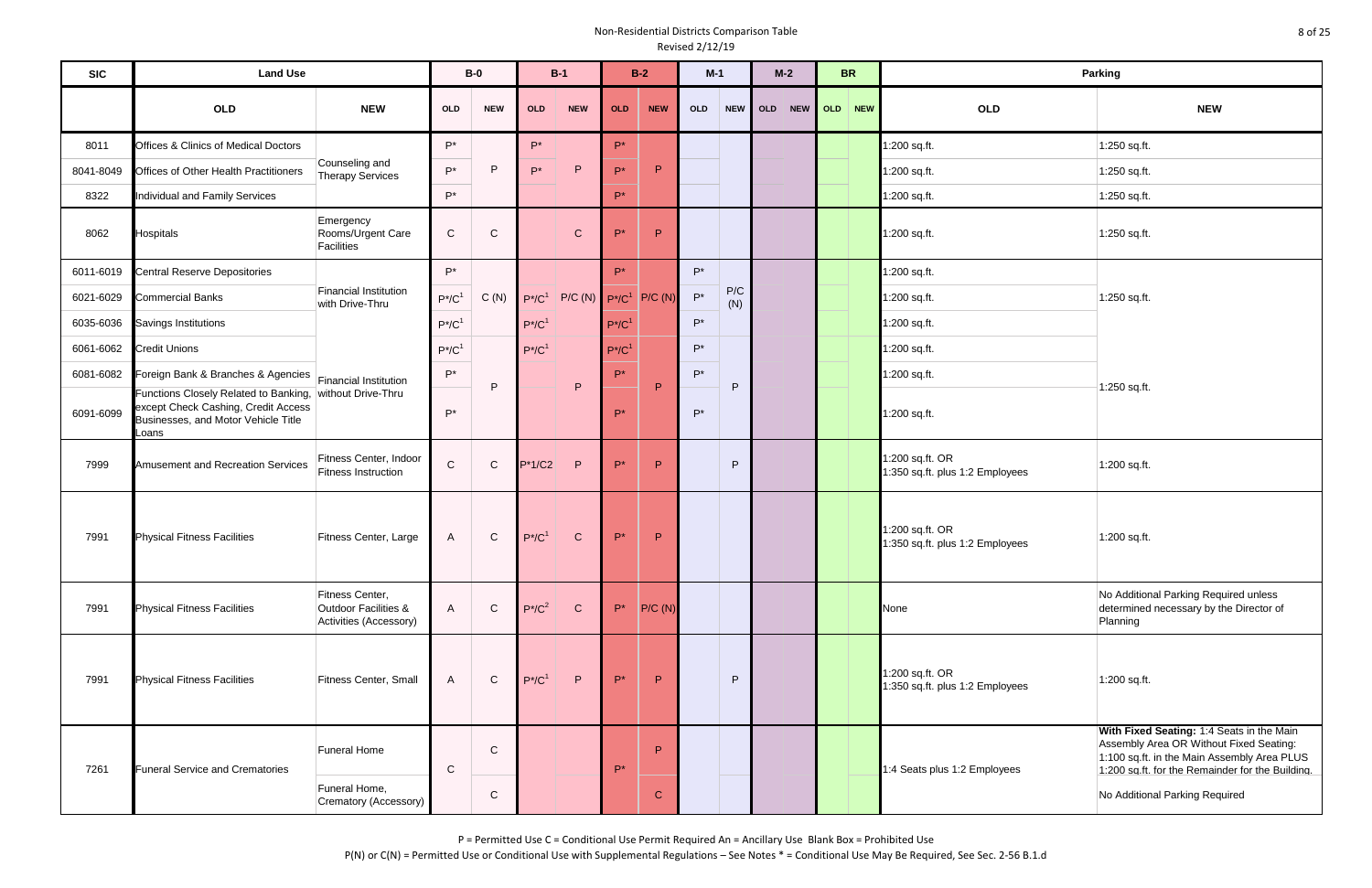| <b>SIC</b> | <b>Land Use</b>                                                                                                              |                                                                   |                           | $B-0$                        |           | $B-1$             |                      | $B-2$             | $M-1$      |            | $M-2$      | <b>BR</b>  |                                                    | Parking                                                                                                                                                                                                                   |
|------------|------------------------------------------------------------------------------------------------------------------------------|-------------------------------------------------------------------|---------------------------|------------------------------|-----------|-------------------|----------------------|-------------------|------------|------------|------------|------------|----------------------------------------------------|---------------------------------------------------------------------------------------------------------------------------------------------------------------------------------------------------------------------------|
|            | <b>OLD</b>                                                                                                                   | <b>NEW</b>                                                        | OLD                       | <b>NEW</b>                   | OLD       | <b>NEW</b>        | <b>OLD</b>           | <b>NEW</b>        | <b>OLD</b> | <b>NEW</b> | OLD<br>NEW | OLD<br>NEW | OLD                                                | <b>NEW</b>                                                                                                                                                                                                                |
| 8011       | <b>Offices &amp; Clinics of Medical Doctors</b>                                                                              |                                                                   | $P^*$                     |                              | $P^*$     |                   | $P^*$                |                   |            |            |            |            | 1:200 sq.ft.                                       | 1:250 sq.ft.                                                                                                                                                                                                              |
| 8041-8049  | Offices of Other Health Practitioners                                                                                        | Counseling and<br>Therapy Services                                | $P^*$                     | P                            | $P^*$     | P                 | $P^*$                | P                 |            |            |            |            | :200 sq.ft.                                        | 1:250 sq.ft.                                                                                                                                                                                                              |
| 8322       | Individual and Family Services                                                                                               |                                                                   | $P^*$                     |                              |           |                   | $P^*$                |                   |            |            |            |            | 1:200 sq.ft.                                       | 1:250 sq.ft.                                                                                                                                                                                                              |
| 8062       | <b>Hospitals</b>                                                                                                             | Emergency<br>Rooms/Urgent Care<br>Facilities                      | $\mathbf C$               | $\mathsf{C}$                 |           | $\mathbf C$       | $P^*$                | P                 |            |            |            |            | 1:200 sq.ft.                                       | 1:250 sq.ft.                                                                                                                                                                                                              |
| 6011-6019  | <b>Central Reserve Depositories</b>                                                                                          |                                                                   | $P^*$                     |                              |           |                   | $P^*$                |                   | $P^*$      |            |            |            | 1:200 sq.ft.                                       |                                                                                                                                                                                                                           |
| 6021-6029  | <b>Commercial Banks</b>                                                                                                      | <b>Financial Institution</b><br>with Drive-Thru                   | $P^*/C^1$                 | C(N)                         |           | $P^*/C^1$ P/C (N) |                      | $P^*/C^1$ P/C (N) | $P^*$      | P/C<br>(N) |            |            | :200 sq.ft.                                        | 1:250 sq.ft.                                                                                                                                                                                                              |
| 6035-6036  | <b>Savings Institutions</b>                                                                                                  |                                                                   | $P^*/C^1$                 |                              | $P^*/C^1$ |                   | $P^*/C^1$            |                   | $P^*$      |            |            |            | :200 sq.ft.                                        |                                                                                                                                                                                                                           |
| 6061-6062  | <b>Credit Unions</b>                                                                                                         |                                                                   | $P^*/C^1$                 |                              | $P^*/C^1$ |                   | $P^*/C^1$            |                   | $P^*$      |            |            |            | :200 sq.ft.                                        |                                                                                                                                                                                                                           |
| 6081-6082  | Foreign Bank & Branches & Agencies                                                                                           | Financial Institution                                             | $P^*$                     | P                            |           | P                 | $P^*$                | P                 | $P^*$      | P.         |            |            | 1:200 sq.ft.                                       | 1:250 sq.ft.                                                                                                                                                                                                              |
| 6091-6099  | Functions Closely Related to Banking,<br>except Check Cashing, Credit Access<br>Businesses, and Motor Vehicle Title<br>Loans | without Drive-Thru                                                | $P^*$                     |                              |           |                   | $P^*$                |                   | $P^*$      |            |            |            | :200 sq.ft.                                        |                                                                                                                                                                                                                           |
| 7999       | <b>Amusement and Recreation Services</b>                                                                                     | Fitness Center, Indoor<br><b>Fitness Instruction</b>              | ${\bf C}$                 | $\mathsf{C}$                 | $P*1/C2$  | P                 | $P^*$                | P                 |            | P          |            |            | 1:200 sq.ft. OR<br>1:350 sq.ft. plus 1:2 Employees | 1:200 sq.ft.                                                                                                                                                                                                              |
| 7991       | <b>Physical Fitness Facilities</b>                                                                                           | Fitness Center, Large                                             | $\mathsf{A}$              | $\mathsf{C}$                 | $P^*/C^1$ | $\mathbf C$       | $\mathsf{P}^\star$   | $\mathsf P$       |            |            |            |            | 1:200 sq.ft. OR<br>1:350 sq.ft. plus 1:2 Employees | 1:200 sq.ft.                                                                                                                                                                                                              |
| 7991       | <b>Physical Fitness Facilities</b>                                                                                           | Fitness Center,<br>Outdoor Facilities &<br>Activities (Accessory) | $\boldsymbol{\mathsf{A}}$ | $\mathsf{C}$                 | $P^*/C^2$ | $\mathsf C$       | $P^*$                | P/C(N)            |            |            |            |            | None                                               | No Additional Parking Required unless<br>determined necessary by the Director of<br>Planning                                                                                                                              |
| 7991       | <b>Physical Fitness Facilities</b>                                                                                           | Fitness Center, Small                                             | $\mathsf{A}$              | $\mathsf{C}$                 | $P^*/C^1$ | $\mathsf P$       | $\mathsf{P}^{\star}$ | $\mathsf P$       |            | P          |            |            | 1:200 sq.ft. OR<br>1:350 sq.ft. plus 1:2 Employees | 1:200 sq.ft.                                                                                                                                                                                                              |
| 7261       | <b>Funeral Service and Crematories</b>                                                                                       | Funeral Home<br>Funeral Home,                                     | $\mathbf C$               | $\mathsf{C}$<br>$\mathsf{C}$ |           |                   | $P^*$                | P<br>$\mathsf{C}$ |            |            |            |            | 1:4 Seats plus 1:2 Employees                       | With Fixed Seating: 1:4 Seats in the Main<br>Assembly Area OR Without Fixed Seating:<br>1:100 sq.ft. in the Main Assembly Area PLUS<br>1:200 sq.ft. for the Remainder for the Building.<br>No Additional Parking Required |
|            |                                                                                                                              | Crematory (Accessory)                                             |                           |                              |           |                   |                      |                   |            |            |            |            |                                                    |                                                                                                                                                                                                                           |

P = Permitted Use C = Conditional Use Permit Required An = Ancillary Use Blank Box = Prohibited Use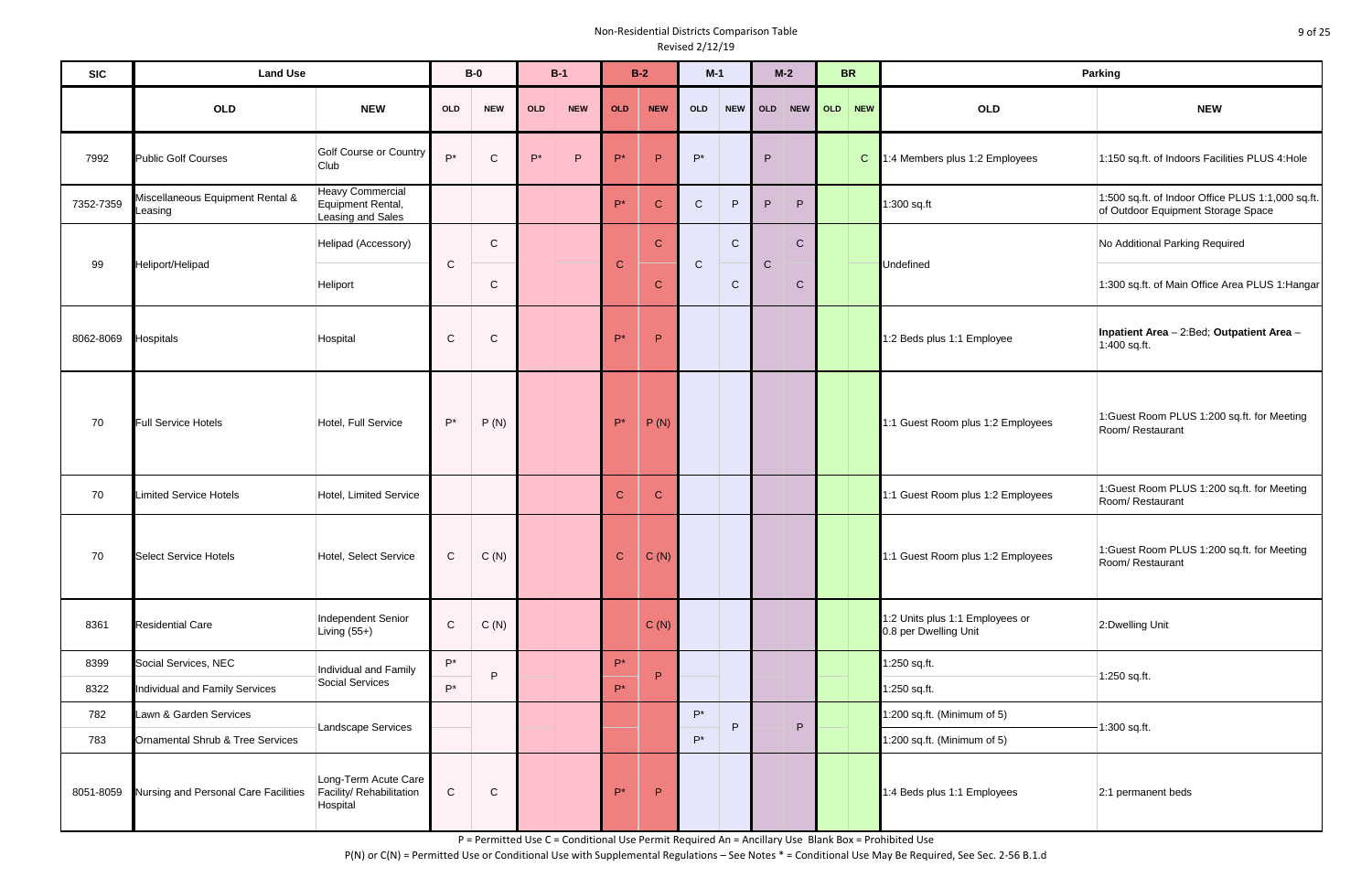| <b>SIC</b> | <b>Land Use</b>                             |                                                                   |              | $B-0$        |       | $B-1$      |                      | $B-2$        | $M-1$              |              | $M-2$                       | <b>BR</b>         |                                                          | <b>Parking</b>                                                                          |
|------------|---------------------------------------------|-------------------------------------------------------------------|--------------|--------------|-------|------------|----------------------|--------------|--------------------|--------------|-----------------------------|-------------------|----------------------------------------------------------|-----------------------------------------------------------------------------------------|
|            | <b>OLD</b>                                  | <b>NEW</b>                                                        | <b>OLD</b>   | <b>NEW</b>   | OLD   | <b>NEW</b> | <b>OLD</b>           | <b>NEW</b>   | <b>OLD</b>         | NEW          | OLD<br>NEW                  | NEW<br><b>OLD</b> | OLD                                                      | <b>NEW</b>                                                                              |
| 7992       | <b>Public Golf Courses</b>                  | Golf Course or Country<br><b>Club</b>                             | $P^*$        | $\mathbf C$  | $P^*$ | P          | $P^*$                | P            | $P^*$              |              | P                           | $\mathsf{C}$      | 1:4 Members plus 1:2 Employees                           | 1:150 sq.ft. of Indoors Facilities PLUS 4:Hole                                          |
| 7352-7359  | Miscellaneous Equipment Rental &<br>Leasing | <b>Heavy Commercial</b><br>Equipment Rental,<br>Leasing and Sales |              |              |       |            | $P^*$                | $\mathbf C$  | $\mathsf{C}$       | P            | P.<br>P                     |                   | 1:300 sq.ft                                              | 1:500 sq.ft. of Indoor Office PLUS 1:1,000 sq.ft.<br>of Outdoor Equipment Storage Space |
|            |                                             | Helipad (Accessory)                                               |              | $\mathsf C$  |       |            |                      | $\mathbf C$  |                    | $\mathsf{C}$ | $\mathsf{C}$                |                   |                                                          | No Additional Parking Required                                                          |
| 99         | Heliport/Helipad                            | Heliport                                                          | $\mathbf C$  | $\mathsf{C}$ |       |            | $\mathbf C$          | $\mathsf{C}$ | $\mathbf C$        | $\mathsf{C}$ | $\mathsf C$<br>$\mathsf{C}$ |                   | Undefined                                                | 1:300 sq.ft. of Main Office Area PLUS 1: Hangar                                         |
| 8062-8069  | <b>Hospitals</b>                            | Hospital                                                          | $\mathbf C$  | $\mathsf{C}$ |       |            | $P^*$                | P            |                    |              |                             |                   | 1:2 Beds plus 1:1 Employee                               | Inpatient Area - 2: Bed; Outpatient Area -<br>1:400 sq.ft.                              |
| 70         | <b>Full Service Hotels</b>                  | Hotel, Full Service                                               | $P^*$        | P(N)         |       |            | $P^*$                | P(N)         |                    |              |                             |                   | :1 Guest Room plus 1:2 Employees                         | 1:Guest Room PLUS 1:200 sq.ft. for Meeting<br>Room/ Restaurant                          |
| 70         | <b>Limited Service Hotels</b>               | Hotel, Limited Service                                            |              |              |       |            | $\mathbf C$          | $\mathbf C$  |                    |              |                             |                   | :1 Guest Room plus 1:2 Employees                         | 1:Guest Room PLUS 1:200 sq.ft. for Meeting<br>Room/Restaurant                           |
| 70         | <b>Select Service Hotels</b>                | Hotel, Select Service                                             | $\mathsf{C}$ | C(N)         |       |            | $\mathsf{C}^-$       | C(N)         |                    |              |                             |                   | 1:1 Guest Room plus 1:2 Employees                        | 1:Guest Room PLUS 1:200 sq.ft. for Meeting<br>Room/ Restaurant                          |
| 8361       | <b>Residential Care</b>                     | Independent Senior<br>Living (55+)                                | $\mathsf C$  | C(N)         |       |            |                      | C(N)         |                    |              |                             |                   | 1:2 Units plus 1:1 Employees or<br>0.8 per Dwelling Unit | 2:Dwelling Unit                                                                         |
| 8399       | Social Services, NEC                        | Individual and Family                                             | $P^*$        | P            |       |            | $\mathsf{P}^{\star}$ | P            |                    |              |                             |                   | 1:250 sq.ft.                                             | 1:250 sq.ft.                                                                            |
| 8322       | Individual and Family Services              | Social Services                                                   | $P^*$        |              |       |            | $P^*$                |              |                    |              |                             |                   | 1:250 sq.ft.                                             |                                                                                         |
| 782        | Lawn & Garden Services                      | Landscape Services                                                |              |              |       |            |                      |              | $P^*$              | P            | P                           |                   | 1:200 sq.ft. (Minimum of 5)                              | 1:300 sq.ft.                                                                            |
| 783        | Ornamental Shrub & Tree Services            |                                                                   |              |              |       |            |                      |              | $\mathsf{P}^\star$ |              |                             |                   | 1:200 sq.ft. (Minimum of 5)                              |                                                                                         |
| 8051-8059  | Nursing and Personal Care Facilities        | Long-Term Acute Care<br>Facility/ Rehabilitation<br>Hospital      | $\mathsf C$  | $\mathsf C$  |       |            | $P^*$                | $\mathsf P$  |                    |              |                             |                   | 1:4 Beds plus 1:1 Employees                              | 2:1 permanent beds                                                                      |

P = Permitted Use C = Conditional Use Permit Required An = Ancillary Use Blank Box = Prohibited Use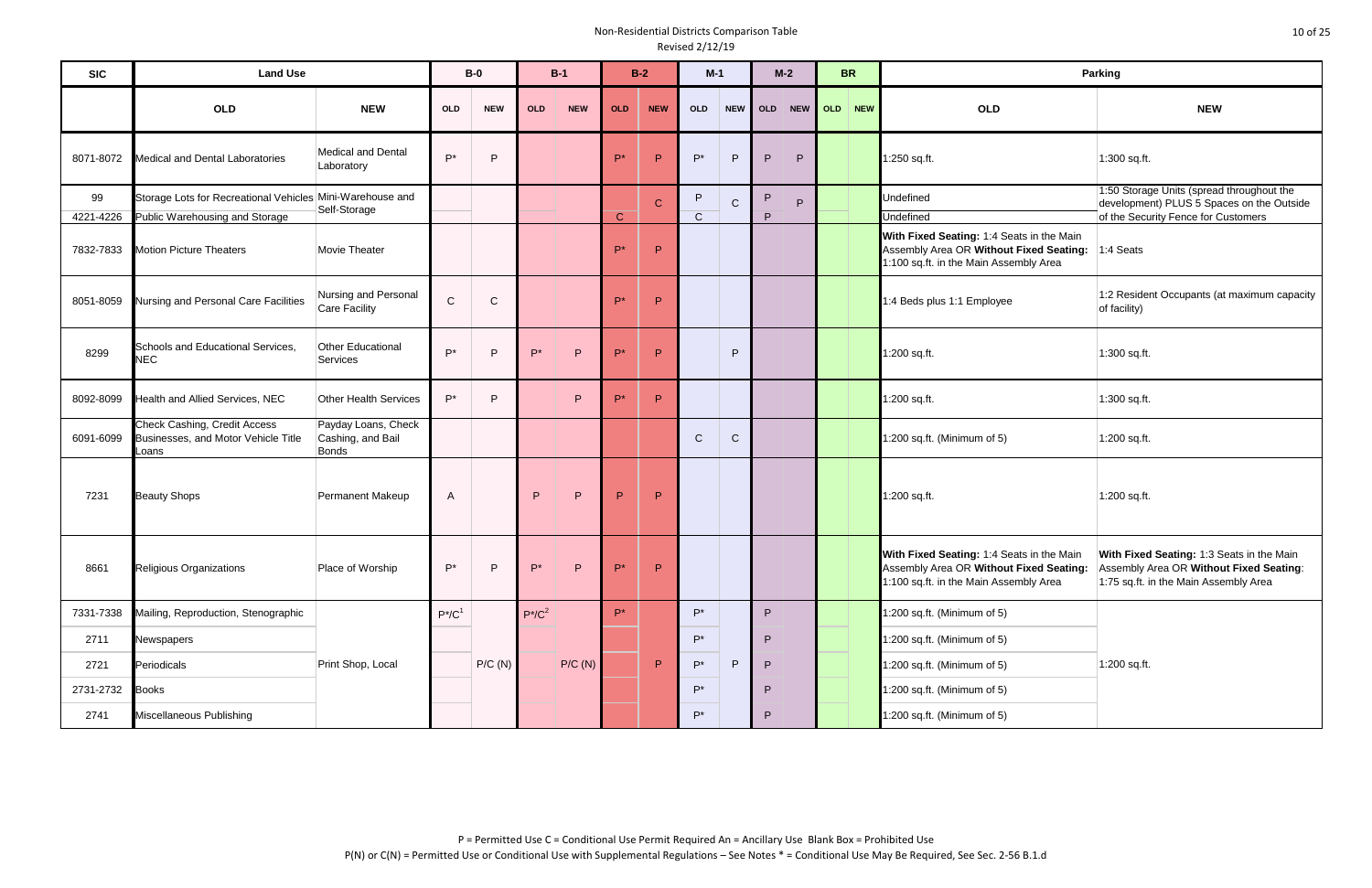| <b>SIC</b>      | <b>Land Use</b>                                                                             |                                                          |              | $B-0$        |                    | $B-1$      |                | $B-2$        | $M-1$             |              |         | $M-2$   | <b>BR</b> |                                                                                                                                       | Parking                                                                                                                       |
|-----------------|---------------------------------------------------------------------------------------------|----------------------------------------------------------|--------------|--------------|--------------------|------------|----------------|--------------|-------------------|--------------|---------|---------|-----------|---------------------------------------------------------------------------------------------------------------------------------------|-------------------------------------------------------------------------------------------------------------------------------|
|                 | <b>OLD</b>                                                                                  | <b>NEW</b>                                               | <b>OLD</b>   | <b>NEW</b>   | <b>OLD</b>         | <b>NEW</b> | <b>OLD</b>     | <b>NEW</b>   | <b>OLD</b>        |              | NEW OLD | NEW OLD | NEW       | <b>OLD</b>                                                                                                                            | <b>NEW</b>                                                                                                                    |
| 8071-8072       | Medical and Dental Laboratories                                                             | Medical and Dental<br>Laboratory                         | $P^*$        | P            |                    |            | <b>D</b> *     | P            | $P^*$             | P            | P       | P       |           | :250 sq.ft.                                                                                                                           | 1:300 sq.ft.                                                                                                                  |
| 99<br>4221-4226 | Storage Lots for Recreational Vehicles Mini-Warehouse and<br>Public Warehousing and Storage | Self-Storage                                             |              |              |                    |            | $\overline{C}$ | $\mathbf C$  | P<br>$\mathsf{C}$ | $\mathsf{C}$ | P<br>P  | P       |           | Undefined<br>Undefined                                                                                                                | 1:50 Storage Units (spread throughout the<br>development) PLUS 5 Spaces on the Outside<br>of the Security Fence for Customers |
| 7832-7833       | <b>Motion Picture Theaters</b>                                                              | <b>Movie Theater</b>                                     |              |              |                    |            | $P^*$          | P            |                   |              |         |         |           | With Fixed Seating: 1:4 Seats in the Main<br>Assembly Area OR Without Fixed Seating:<br>:100 sq.ft. in the Main Assembly Area         | 1:4 Seats                                                                                                                     |
| 8051-8059       | Nursing and Personal Care Facilities                                                        | Nursing and Personal<br>Care Facility                    | $\mathbf C$  | $\mathsf{C}$ |                    |            | <b>p</b> *     | P            |                   |              |         |         |           | 1:4 Beds plus 1:1 Employee                                                                                                            | 1:2 Resident Occupants (at maximum capacity<br>of facility)                                                                   |
| 8299            | Schools and Educational Services,<br><b>NEC</b>                                             | Other Educational<br>Services                            | P*           | P            | $\mathsf{P}^\star$ | P          | $P^*$          | P            |                   | P            |         |         |           | :200 sq.ft.                                                                                                                           | 1:300 sq.ft.                                                                                                                  |
| 8092-8099       | Health and Allied Services, NEC                                                             | <b>Other Health Services</b>                             | $P^*$        | P            |                    | P          | $P^*$          | P            |                   |              |         |         |           | :200 sq.ft.                                                                                                                           | 1:300 sq.ft.                                                                                                                  |
| 6091-6099       | <b>Check Cashing, Credit Access</b><br>Businesses, and Motor Vehicle Title<br>Loans         | Payday Loans, Check<br>Cashing, and Bail<br><b>Bonds</b> |              |              |                    |            |                |              | $\mathsf{C}$      | $\mathsf{C}$ |         |         |           | :200 sq.ft. (Minimum of 5)                                                                                                            | 1:200 sq.ft.                                                                                                                  |
| 7231            | <b>Beauty Shops</b>                                                                         | <b>Permanent Makeup</b>                                  | $\mathsf{A}$ |              | P                  | P          | P              | P            |                   |              |         |         |           | :200 sq.ft.                                                                                                                           | 1:200 sq.ft.                                                                                                                  |
| 8661            | Religious Organizations                                                                     | Place of Worship                                         | $P^*$        | P            | $P^*$              | P          | p*             | P            |                   |              |         |         |           | <b>With Fixed Seating: 1:4 Seats in the Main</b><br>Assembly Area OR Without Fixed Seating:<br>1:100 sq.ft. in the Main Assembly Area | With Fixed Seating: 1:3 Seats in the Main<br>Assembly Area OR Without Fixed Seating:<br>1:75 sq.ft. in the Main Assembly Area |
| 7331-7338       | Mailing, Reproduction, Stenographic                                                         |                                                          | $P^*/C^1$    |              | $P^*/C^2$          |            | $P^*$          |              | P*                |              | P       |         |           | :200 sq.ft. (Minimum of 5)                                                                                                            |                                                                                                                               |
| 2711            | Newspapers                                                                                  |                                                          |              |              |                    |            |                |              | $P^*$             |              | P       |         |           | :200 sq.ft. (Minimum of 5)                                                                                                            |                                                                                                                               |
| 2721            | Periodicals                                                                                 | Print Shop, Local                                        |              | P/C(N)       |                    | P/C(N)     |                | $\mathsf{P}$ | $P^*$             | P            | P       |         |           | 1:200 sq.ft. (Minimum of 5)                                                                                                           | 1:200 sq.ft.                                                                                                                  |
| 2731-2732       | <b>Books</b>                                                                                |                                                          |              |              |                    |            |                |              | P*                |              | P       |         |           | :200 sq.ft. (Minimum of 5)                                                                                                            |                                                                                                                               |
| 2741            | Miscellaneous Publishing                                                                    |                                                          |              |              |                    |            |                |              | $P^*$             |              | P.      |         |           | 1:200 sq.ft. (Minimum of 5)                                                                                                           |                                                                                                                               |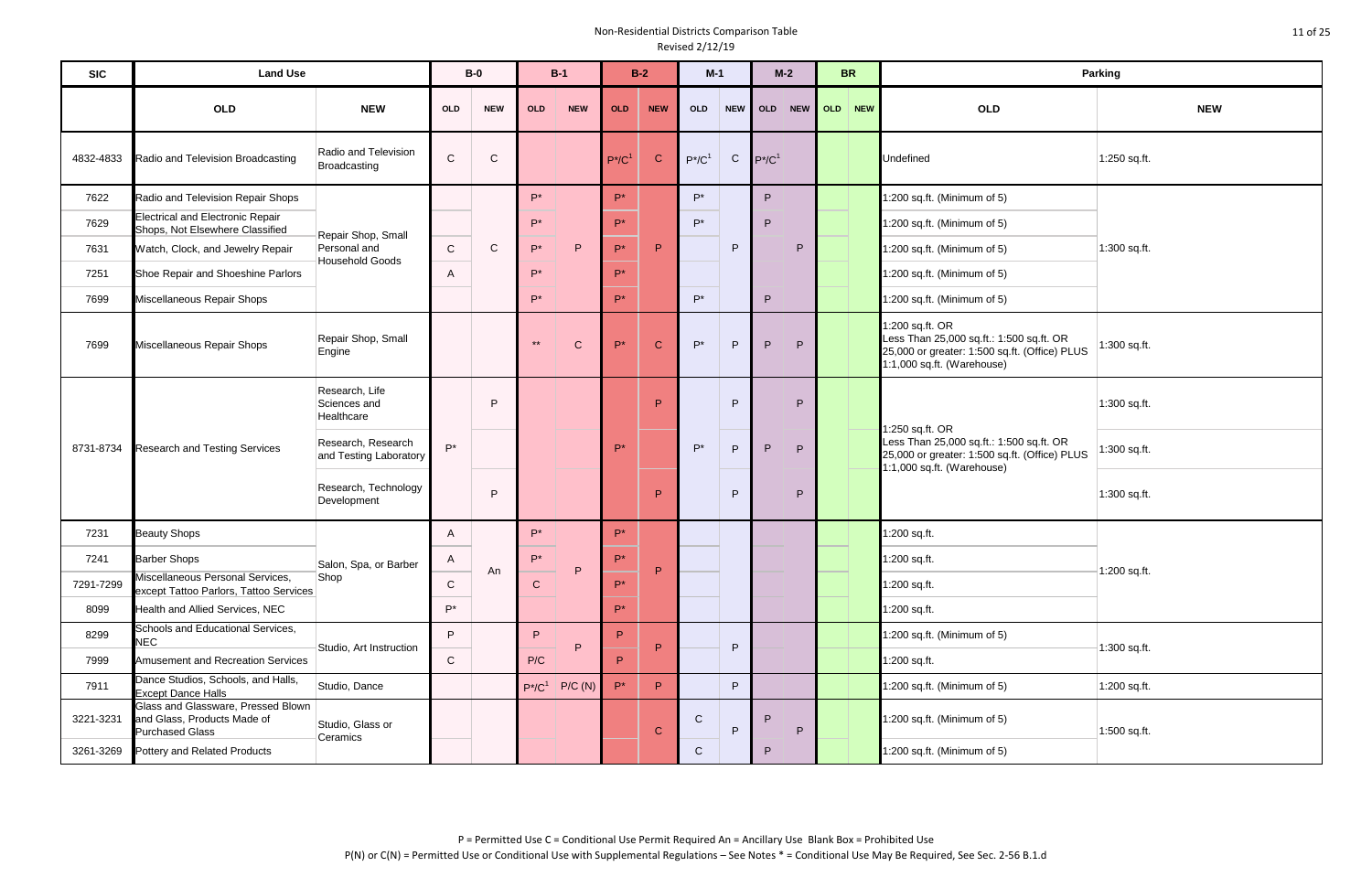| <b>SIC</b> | <b>Land Use</b>                                                                             |                                              |              | $B-0$        |                    | $B-1$             |                    | $B-2$       | $M-1$        |             | $M-2$             | <b>BR</b> |                                                                                                                                           | Parking        |
|------------|---------------------------------------------------------------------------------------------|----------------------------------------------|--------------|--------------|--------------------|-------------------|--------------------|-------------|--------------|-------------|-------------------|-----------|-------------------------------------------------------------------------------------------------------------------------------------------|----------------|
|            | <b>OLD</b>                                                                                  | <b>NEW</b>                                   | OLD          | <b>NEW</b>   | <b>OLD</b>         | <b>NEW</b>        | <b>OLD</b>         | <b>NEW</b>  | <b>OLD</b>   |             | NEW OLD<br>NEW    | OLD NEW   | OLD                                                                                                                                       | <b>NEW</b>     |
| 4832-4833  | Radio and Television Broadcasting                                                           | Radio and Television<br><b>Broadcasting</b>  | $\mathsf C$  | $\mathsf{C}$ |                    |                   | $P^*/C^1$          | $\mathbf C$ | $P^*/C^1$    | $\mathbf C$ | $P^*/C^1$         |           | <b>Jndefined</b>                                                                                                                          | 1:250 sq.ft.   |
| 7622       | Radio and Television Repair Shops                                                           |                                              |              |              | $\mathsf{P}^\star$ |                   | $P^*$              |             | P*           |             | P                 |           | 1:200 sq.ft. (Minimum of 5)                                                                                                               |                |
| 7629       | <b>Electrical and Electronic Repair</b><br>Shops, Not Elsewhere Classified                  | Repair Shop, Small                           |              |              | $\mathsf{P}^\star$ |                   | $P^*$              |             | $P^*$        |             | P                 |           | 1:200 sq.ft. (Minimum of 5)                                                                                                               |                |
| 7631       | Watch, Clock, and Jewelry Repair                                                            | Personal and                                 | $\mathsf{C}$ | $\mathsf{C}$ | $\mathsf{P}^\star$ | P                 | $P^*$              | P.          |              | P           | P                 |           | 1:200 sq.ft. (Minimum of 5)                                                                                                               | 1:300 sq.ft.   |
| 7251       | Shoe Repair and Shoeshine Parlors                                                           | <b>Household Goods</b>                       | $\mathsf{A}$ |              | $P^*$              |                   | $P^*$              |             |              |             |                   |           | 1:200 sq.ft. (Minimum of 5)                                                                                                               |                |
| 7699       | Miscellaneous Repair Shops                                                                  |                                              |              |              | $P^*$              |                   | $P^*$              |             | $P^*$        |             | P                 |           | :200 sq.ft. (Minimum of 5)                                                                                                                |                |
| 7699       | Miscellaneous Repair Shops                                                                  | Repair Shop, Small<br>Engine                 |              |              | $**$               | $\mathsf{C}$      | $\mathsf{P}^\star$ | $\mathbf C$ | $P^*$        | P           | $\mathsf{P}$<br>P |           | 1:200 sq.ft. OR<br>ess Than 25,000 sq.ft.: 1:500 sq.ft. OR<br>25,000 or greater: 1:500 sq.ft. (Office) PLUS<br>1:1,000 sq.ft. (Warehouse) | 1:300 sq.ft.   |
|            |                                                                                             | Research, Life<br>Sciences and<br>Healthcare |              | P            |                    |                   |                    | P.          |              | P           | P                 |           | 1:250 sq.ft. OR                                                                                                                           | 1:300 sq.ft.   |
| 8731-8734  | <b>Research and Testing Services</b>                                                        | Research, Research<br>and Testing Laboratory | $P^*$        |              |                    |                   | $P^*$              |             | $P^*$        | P           | P.<br>P           |           | Less Than 25,000 sq.ft.: 1:500 sq.ft. OR<br>25,000 or greater: 1:500 sq.ft. (Office) PLUS<br>1:1,000 sq.ft. (Warehouse)                   | 1:300 sq.ft.   |
|            |                                                                                             | Research, Technology<br>Development          |              | P            |                    |                   |                    | P           |              | P           | P                 |           |                                                                                                                                           | 1:300 sq.ft.   |
| 7231       | <b>Beauty Shops</b>                                                                         |                                              | A            |              | $\mathsf{P}^\star$ |                   | $P^*$              |             |              |             |                   |           | 1:200 sq.ft.                                                                                                                              |                |
| 7241       | <b>Barber Shops</b>                                                                         | Salon, Spa, or Barber                        | $\mathsf{A}$ |              | $\mathsf{P}^\star$ | P                 | D*                 | P.          |              |             |                   |           | 1:200 sq.ft.                                                                                                                              | 1:200 sq.ft.   |
| 7291-7299  | Miscellaneous Personal Services,<br>except Tattoo Parlors, Tattoo Services                  | Shop                                         | $\mathbf C$  | An           | $\mathsf{C}$       |                   | $P^*$              |             |              |             |                   |           | 1:200 sq.ft.                                                                                                                              |                |
| 8099       | Health and Allied Services, NEC                                                             |                                              | $P^*$        |              |                    |                   | $P^*$              |             |              |             |                   |           | 1:200 sq.ft.                                                                                                                              |                |
| 8299       | Schools and Educational Services,<br><b>NEC</b>                                             | Studio, Art Instruction                      | P            |              | P                  | P                 | P                  | P           |              | P           |                   |           | :200 sq.ft. (Minimum of 5)                                                                                                                |                |
| 7999       | <b>Amusement and Recreation Services</b>                                                    |                                              | $\mathsf{C}$ |              | P/C                |                   | P                  |             |              |             |                   |           | 1:200 sq.ft.                                                                                                                              | 1:300 sq.ft.   |
| 7911       | Dance Studios, Schools, and Halls,<br><b>Except Dance Halls</b>                             | Studio, Dance                                |              |              |                    | $P^*/C^1$ P/C (N) | $P^*$              | P           |              | P           |                   |           | 1:200 sq.ft. (Minimum of 5)                                                                                                               | 1:200 sq.ft.   |
| 3221-3231  | Glass and Glassware, Pressed Blown<br>and Glass, Products Made of<br><b>Purchased Glass</b> | Studio, Glass or<br>Ceramics                 |              |              |                    |                   |                    | $\mathbf C$ | $\mathsf{C}$ | P           | P<br>P            |           | 1:200 sq.ft. (Minimum of 5)                                                                                                               | $1:500$ sq.ft. |
| 3261-3269  | Pottery and Related Products                                                                |                                              |              |              |                    |                   |                    |             | $\mathsf{C}$ |             | P                 |           | 1:200 sq.ft. (Minimum of 5)                                                                                                               |                |

P = Permitted Use C = Conditional Use Permit Required An = Ancillary Use Blank Box = Prohibited Use P(N) or C(N) = Permitted Use or Conditional Use with Supplemental Regulations – See Notes \* = Conditional Use May Be Required, See Sec. 2-56 B.1.d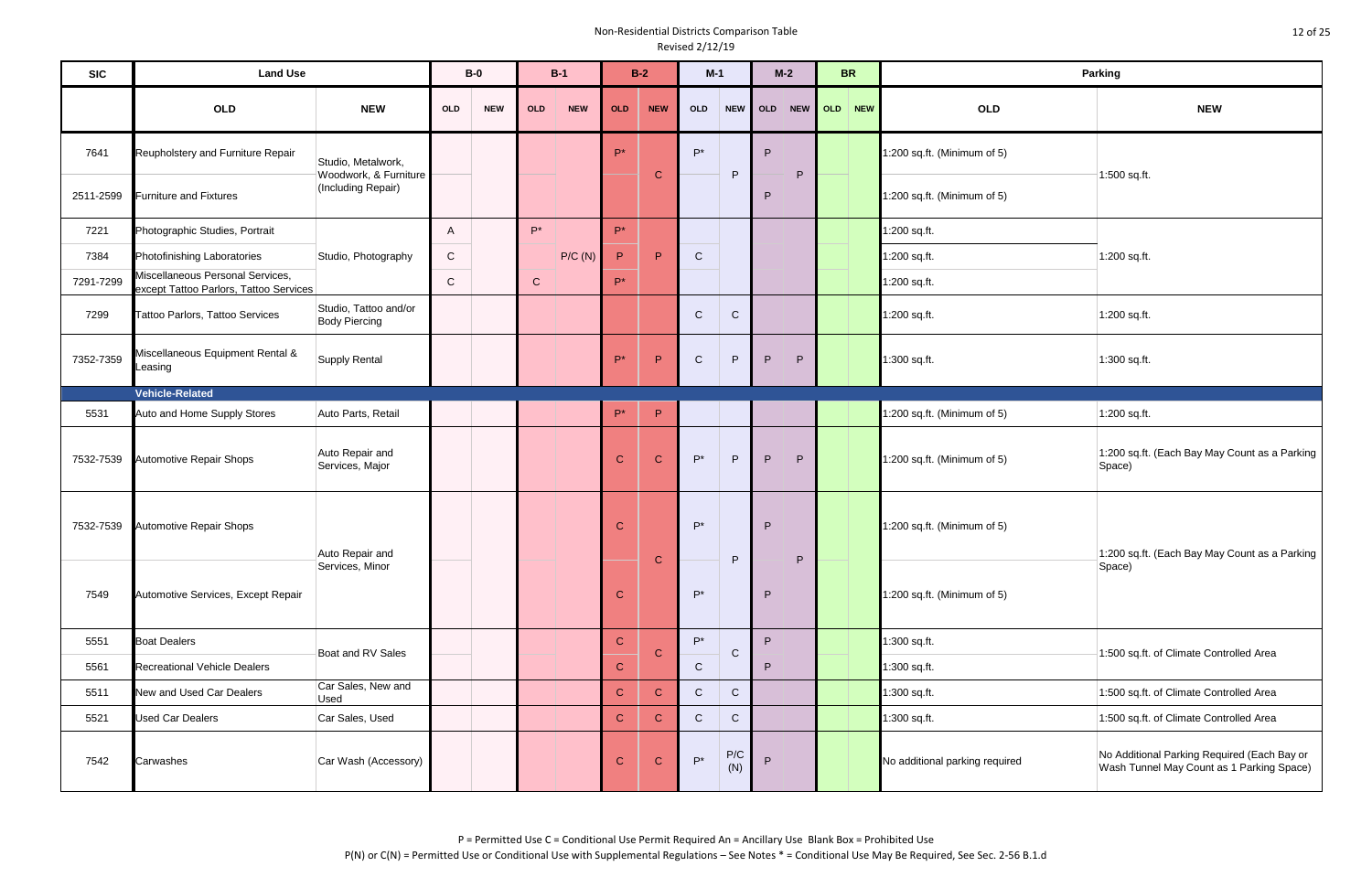| <b>SIC</b> | <b>Land Use</b>                                                            |                                               |              | $B-0$      |                    | $B-1$      |              | $B-2$        | $M-1$              |              | $M-2$             | <b>BR</b>      | Parking                        |                                                                                          |
|------------|----------------------------------------------------------------------------|-----------------------------------------------|--------------|------------|--------------------|------------|--------------|--------------|--------------------|--------------|-------------------|----------------|--------------------------------|------------------------------------------------------------------------------------------|
|            | OLD                                                                        | <b>NEW</b>                                    | OLD          | <b>NEW</b> | OLD                | <b>NEW</b> | <b>OLD</b>   | <b>NEW</b>   | <b>OLD</b>         | NEW          | OLD               | NEW<br>NEW OLD | OLD                            | <b>NEW</b>                                                                               |
| 7641       | Reupholstery and Furniture Repair                                          | Studio, Metalwork,<br>Woodwork, & Furniture   |              |            |                    |            | <b>D</b> *   | $\mathbf{C}$ | $P^*$              | P            | P<br>P            |                | 1:200 sq.ft. (Minimum of 5)    | 1:500 sq.ft.                                                                             |
| 2511-2599  | <b>Furniture and Fixtures</b>                                              | (Including Repair)                            |              |            |                    |            |              |              |                    |              | P                 |                | 1:200 sq.ft. (Minimum of 5)    |                                                                                          |
| 7221       | Photographic Studies, Portrait                                             |                                               | A            |            | $\mathsf{P}^\star$ |            | $P^*$        |              |                    |              |                   |                | 1:200 sq.ft.                   |                                                                                          |
| 7384       | Photofinishing Laboratories                                                | Studio, Photography                           | $\mathsf{C}$ |            |                    | P/C(N)     | $\mathsf P$  | P            | $\mathsf{C}$       |              |                   |                | 1:200 sq.ft.                   | 1:200 sq.ft.                                                                             |
| 7291-7299  | Miscellaneous Personal Services,<br>except Tattoo Parlors, Tattoo Services |                                               | $\mathsf{C}$ |            | $\mathbf C$        |            | $P^*$        |              |                    |              |                   |                | 1:200 sq.ft.                   |                                                                                          |
| 7299       | Tattoo Parlors, Tattoo Services                                            | Studio, Tattoo and/or<br><b>Body Piercing</b> |              |            |                    |            |              |              | C                  | $\mathsf{C}$ |                   |                | 1:200 sq.ft.                   | 1:200 sq.ft.                                                                             |
| 7352-7359  | Miscellaneous Equipment Rental &<br>Leasing                                | Supply Rental                                 |              |            |                    |            | $P^*$        | P            | $\mathsf{C}$       | P            | P<br>P            |                | 1:300 sq.ft.                   | 1:300 sq.ft.                                                                             |
|            | <b>Vehicle-Related</b>                                                     |                                               |              |            |                    |            |              |              |                    |              |                   |                |                                |                                                                                          |
| 5531       | Auto and Home Supply Stores                                                | Auto Parts, Retail                            |              |            |                    |            | $P^*$        | $\mathsf P$  |                    |              |                   |                | 1:200 sq.ft. (Minimum of 5)    | 1:200 sq.ft.                                                                             |
| 7532-7539  | <b>Automotive Repair Shops</b>                                             | Auto Repair and<br>Services, Major            |              |            |                    |            | $\mathbf C$  | $\mathbf C$  | $P^*$              | P            | $\mathsf{P}$<br>P |                | 1:200 sq.ft. (Minimum of 5)    | 1:200 sq.ft. (Each Bay May Count as a Parking<br>Space)                                  |
| 7532-7539  | <b>Automotive Repair Shops</b>                                             | Auto Repair and                               |              |            |                    |            | $\mathbf C$  |              | $P^*$              |              | $\mathsf{P}$<br>P |                | 1:200 sq.ft. (Minimum of 5)    | 1:200 sq.ft. (Each Bay May Count as a Parking                                            |
| 7549       | Automotive Services, Except Repair                                         | Services, Minor                               |              |            |                    |            | $\mathbf C$  | $\mathbf C$  | $P^*$              | P            | P                 |                | 1:200 sq.ft. (Minimum of 5)    | Space)                                                                                   |
| 5551       | <b>Boat Dealers</b>                                                        | Boat and RV Sales                             |              |            |                    |            | $\mathbf C$  | $\mathbf C$  | $P^*$              | $\mathsf{C}$ | P                 |                | 1:300 sq.ft.                   | 1:500 sq.ft. of Climate Controlled Area                                                  |
| 5561       | Recreational Vehicle Dealers                                               |                                               |              |            |                    |            | $\mathbf C$  |              | $\mathsf{C}$       |              | P                 |                | 1:300 sq.ft.                   |                                                                                          |
| 5511       | New and Used Car Dealers                                                   | Car Sales, New and<br>Used                    |              |            |                    |            | $\mathbf{C}$ | $\mathbf{C}$ | $\mathsf{C}$       | $\mathsf C$  |                   |                | 1:300 sq.ft.                   | 1:500 sq.ft. of Climate Controlled Area                                                  |
| 5521       | <b>Used Car Dealers</b>                                                    | Car Sales, Used                               |              |            |                    |            | $\mathbf{C}$ | $\mathsf{C}$ | $\mathsf{C}$       | $\mathsf C$  |                   |                | 1:300 sq.ft.                   | 1:500 sq.ft. of Climate Controlled Area                                                  |
| 7542       | Carwashes                                                                  | Car Wash (Accessory)                          |              |            |                    |            | ${\bf C}$    | $\mathbf C$  | $\mathsf{P}^\star$ | P/C<br>(N)   | P                 |                | No additional parking required | No Additional Parking Required (Each Bay or<br>Wash Tunnel May Count as 1 Parking Space) |

P = Permitted Use C = Conditional Use Permit Required An = Ancillary Use Blank Box = Prohibited Use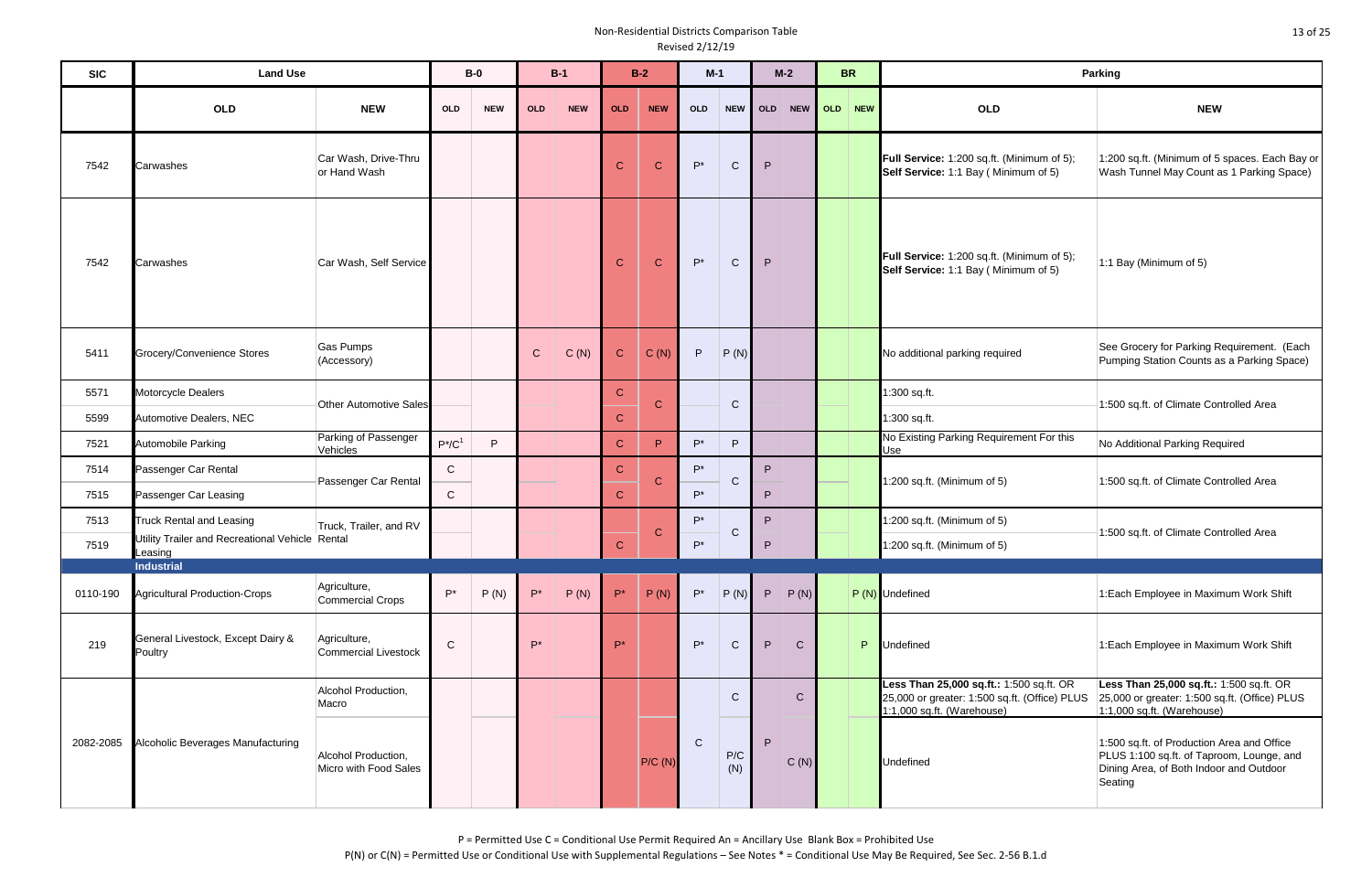| <b>SIC</b>   | <b>Land Use</b>                                 |                                              | $B-0$<br>$B-1$               |            |              | $B-2$      |                            | $M-1$        |              |              | $M-2$   |              | <b>BR</b> |         | Parking                                                                                                                 |                                                                                                                                               |
|--------------|-------------------------------------------------|----------------------------------------------|------------------------------|------------|--------------|------------|----------------------------|--------------|--------------|--------------|---------|--------------|-----------|---------|-------------------------------------------------------------------------------------------------------------------------|-----------------------------------------------------------------------------------------------------------------------------------------------|
|              | <b>OLD</b>                                      | <b>NEW</b>                                   | <b>OLD</b>                   | <b>NEW</b> | <b>OLD</b>   | <b>NEW</b> | <b>OLD</b>                 | <b>NEW</b>   | <b>OLD</b>   |              | NEW OLD | <b>NEW</b>   |           | OLD NEW | <b>OLD</b>                                                                                                              | <b>NEW</b>                                                                                                                                    |
| 7542         | Carwashes                                       | Car Wash, Drive-Thru<br>or Hand Wash         |                              |            |              |            | $\mathbf C$                | $\mathsf{C}$ | $P^*$        | $\mathsf{C}$ | P       |              |           |         | Full Service: 1:200 sq.ft. (Minimum of 5);<br>Self Service: 1:1 Bay ( Minimum of 5)                                     | 1:200 sq.ft. (Minimum of 5 spaces. Each Bay or<br>Wash Tunnel May Count as 1 Parking Space)                                                   |
| 7542         | Carwashes                                       | Car Wash, Self Service                       |                              |            |              |            | ${\bf C}$                  | $\mathbf{C}$ | $P^*$        | $\mathsf{C}$ | P       |              |           |         | Full Service: 1:200 sq.ft. (Minimum of 5);<br>Self Service: 1:1 Bay ( Minimum of 5)                                     | 1:1 Bay (Minimum of 5)                                                                                                                        |
| 5411         | Grocery/Convenience Stores                      | Gas Pumps<br>(Accessory)                     |                              |            | $\mathsf{C}$ | C(N)       | $\mathbf{C}$               | C(N)         | P            | P(N)         |         |              |           |         | No additional parking required                                                                                          | See Grocery for Parking Requirement. (Each<br>Pumping Station Counts as a Parking Space)                                                      |
| 5571         | Motorcycle Dealers                              |                                              |                              |            |              |            | $\mathbf C$                |              |              |              |         |              |           |         | 1:300 sq.ft.                                                                                                            |                                                                                                                                               |
| 5599         | Automotive Dealers, NEC                         | <b>Other Automotive Sales</b>                |                              |            |              |            | $\mathbf C$                | $\mathsf{C}$ |              | $\mathbf C$  |         |              |           |         | 1:300 sq.ft.                                                                                                            | 1:500 sq.ft. of Climate Controlled Area                                                                                                       |
| 7521         | Automobile Parking                              | Parking of Passenger<br>Vehicles             | $P^*/C^1$                    | P          |              |            | $\mathbf{C}$               | P            | $P^*$        | P            |         |              |           |         | No Existing Parking Requirement For this<br>Use                                                                         | No Additional Parking Required                                                                                                                |
| 7514<br>7515 | Passenger Car Rental<br>Passenger Car Leasing   | Passenger Car Rental                         | $\mathsf{C}$<br>$\mathsf{C}$ |            |              |            | $\mathbf C$<br>$\mathbf C$ | $\mathsf{C}$ | P*<br>P*     | $\mathsf{C}$ | P<br>P  |              |           |         | 1:200 sq.ft. (Minimum of 5)                                                                                             | 1:500 sq.ft. of Climate Controlled Area                                                                                                       |
| 7513         | <b>Truck Rental and Leasing</b>                 |                                              |                              |            |              |            |                            |              | P*           |              | P       |              |           |         | 1:200 sq.ft. (Minimum of 5)                                                                                             |                                                                                                                                               |
| 7519         | Utility Trailer and Recreational Vehicle Rental | Truck, Trailer, and RV                       |                              |            |              |            | $\mathbf C$                | $\mathbf{C}$ | $P^*$        | $\mathsf{C}$ | P       |              |           |         | 1:200 sq.ft. (Minimum of 5)                                                                                             | 1:500 sq.ft. of Climate Controlled Area                                                                                                       |
|              | Leasing<br><b>Industrial</b>                    |                                              |                              |            |              |            |                            |              |              |              |         |              |           |         |                                                                                                                         |                                                                                                                                               |
| 0110-190     | <b>Agricultural Production-Crops</b>            | Agriculture,<br><b>Commercial Crops</b>      | $\mathsf{P}^\star$           | P(N)       | $P^*$        | P(N)       | $P^*$                      | P(N)         | $P^*$        | P(N)         | P       | P(N)         |           |         | P (N) Undefined                                                                                                         | 1:Each Employee in Maximum Work Shift                                                                                                         |
| 219          | General Livestock, Except Dairy &<br>Poultry    | Agriculture,<br>Commercial Livestock         | $\mathbf C$                  |            | $P^*$        |            | $P^*$                      |              | $P^*$        | $\mathbf C$  | P       | $\mathbf C$  |           | P       | Undefined                                                                                                               | 1: Each Employee in Maximum Work Shift                                                                                                        |
|              |                                                 | Alcohol Production,<br>Macro                 |                              |            |              |            |                            |              |              | $\mathsf{C}$ |         | $\mathsf{C}$ |           |         | Less Than 25,000 sq.ft.: 1:500 sq.ft. OR<br>25,000 or greater: 1:500 sq.ft. (Office) PLUS<br>1:1,000 sq.ft. (Warehouse) | Less Than 25,000 sq.ft.: 1:500 sq.ft. OR<br>25,000 or greater: 1:500 sq.ft. (Office) PLUS<br>1:1,000 sq.ft. (Warehouse)                       |
| 2082-2085    | Alcoholic Beverages Manufacturing               | Alcohol Production,<br>Micro with Food Sales |                              |            |              |            |                            | P/C(N)       | $\mathsf{C}$ | P/C<br>(N)   | P       | C(N)         |           |         | Undefined                                                                                                               | 1:500 sq.ft. of Production Area and Office<br>PLUS 1:100 sq.ft. of Taproom, Lounge, and<br>Dining Area, of Both Indoor and Outdoor<br>Seating |

P = Permitted Use C = Conditional Use Permit Required An = Ancillary Use Blank Box = Prohibited Use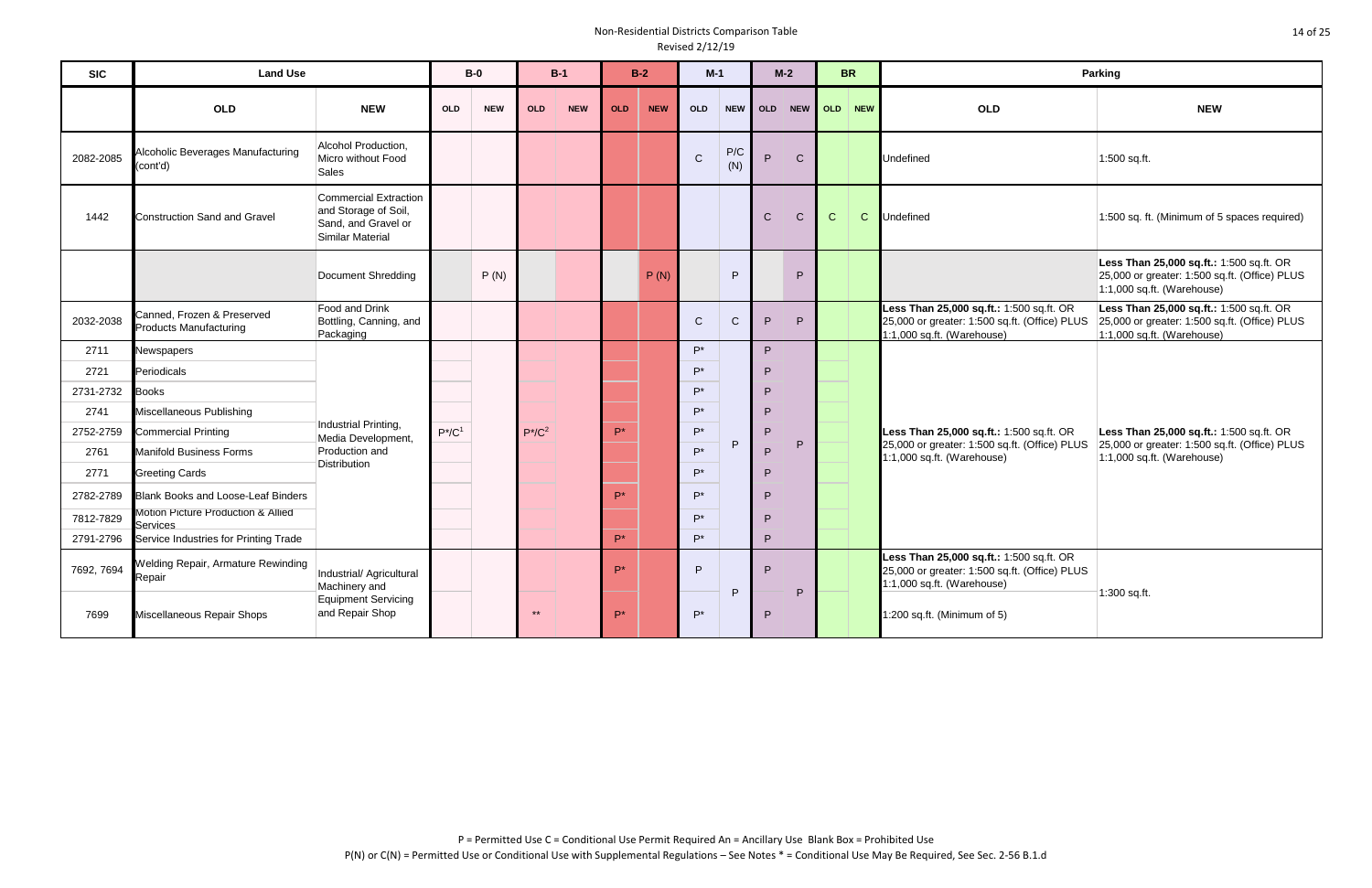| <b>SIC</b> | <b>Land Use</b>                                             |                                                                                          |            | $B-0$      |              | $B-1$      |            | $B-2$      | $M-1$          |              | $M-2$        |              |              | <b>BR</b>   |                                                                                                                         | Parking                                                                                                                   |
|------------|-------------------------------------------------------------|------------------------------------------------------------------------------------------|------------|------------|--------------|------------|------------|------------|----------------|--------------|--------------|--------------|--------------|-------------|-------------------------------------------------------------------------------------------------------------------------|---------------------------------------------------------------------------------------------------------------------------|
|            | <b>OLD</b>                                                  | <b>NEW</b>                                                                               | <b>OLD</b> | <b>NEW</b> | <b>OLD</b>   | <b>NEW</b> | <b>OLD</b> | <b>NEW</b> | <b>OLD</b>     | NEW          | <b>OLD</b>   | <b>NEW</b>   |              | OLD NEW     | OLD                                                                                                                     | <b>NEW</b>                                                                                                                |
| 2082-2085  | Alcoholic Beverages Manufacturing<br>(cont'd)               | Alcohol Production,<br>Micro without Food<br>Sales                                       |            |            |              |            |            |            | $\mathbf C$    | P/C<br>(N)   | P.           | $\mathsf{C}$ |              |             | Undefined                                                                                                               | 1:500 sq.ft.                                                                                                              |
| 1442       | <b>Construction Sand and Gravel</b>                         | Commercial Extraction<br>and Storage of Soil,<br>Sand, and Gravel or<br>Similar Material |            |            |              |            |            |            |                |              | $\mathsf{C}$ | $\mathsf{C}$ | $\mathsf{C}$ | $\mathbf C$ | <b>Undefined</b>                                                                                                        | 1:500 sq. ft. (Minimum of 5 spaces required)                                                                              |
|            |                                                             | Document Shredding                                                                       |            | P(N)       |              |            |            | P(N)       |                | P            |              | P            |              |             |                                                                                                                         | Less Than 25,000 sq.ft.: 1:500 sq.ft. OR<br>25,000 or greater: 1:500 sq.ft. (Office) PLUS<br>$1:1,000$ sq.ft. (Warehouse) |
| 2032-2038  | Canned, Frozen & Preserved<br><b>Products Manufacturing</b> | Food and Drink<br>Bottling, Canning, and<br>Packaging                                    |            |            |              |            |            |            | $\mathsf{C}$   | $\mathsf{C}$ | P.           | P            |              |             | Less Than 25,000 sq.ft.: 1:500 sq.ft. OR<br>25,000 or greater: 1:500 sq.ft. (Office) PLUS<br>1:1,000 sq.ft. (Warehouse) | Less Than 25,000 sq.ft.: 1:500 sq.ft. OR<br>25,000 or greater: 1:500 sq.ft. (Office) PLUS<br>$1:1,000$ sq.ft. (Warehouse) |
| 2711       | Newspapers                                                  |                                                                                          |            |            |              |            |            |            | P*             |              | P            |              |              |             |                                                                                                                         |                                                                                                                           |
| 2721       | Periodicals                                                 |                                                                                          |            |            |              |            |            |            | D*             |              | P            |              |              |             |                                                                                                                         |                                                                                                                           |
| 2731-2732  | <b>Books</b>                                                |                                                                                          |            |            |              |            |            |            | D <sup>*</sup> |              | P            |              |              |             |                                                                                                                         |                                                                                                                           |
| 2741       | Miscellaneous Publishing                                    |                                                                                          |            |            |              |            |            |            | D <sup>*</sup> |              | P            |              |              |             |                                                                                                                         |                                                                                                                           |
| 2752-2759  | <b>Commercial Printing</b>                                  | Industrial Printing,<br>Media Development,                                               | $P^*/C^1$  |            | $P^*/C^2$    |            | $P^*$      |            | D*             |              | P            |              |              |             | Less Than 25,000 sq.ft.: 1:500 sq.ft. OR                                                                                | Less Than 25,000 sq.ft.: 1:500 sq.ft. OR                                                                                  |
| 2761       | <b>Manifold Business Forms</b>                              | Production and<br><b>Distribution</b>                                                    |            |            |              |            |            |            | P*             | P            | P            | P            |              |             | 25,000 or greater: 1:500 sq.ft. (Office) PLUS<br>1:1,000 sq.ft. (Warehouse)                                             | 25,000 or greater: 1:500 sq.ft. (Office) PLUS<br>$1:1,000$ sq.ft. (Warehouse)                                             |
| 2771       | <b>Greeting Cards</b>                                       |                                                                                          |            |            |              |            |            |            | D*             |              | P            |              |              |             |                                                                                                                         |                                                                                                                           |
| 2782-2789  | <b>Blank Books and Loose-Leaf Binders</b>                   |                                                                                          |            |            |              |            | P*         |            | D*             |              | P            |              |              |             |                                                                                                                         |                                                                                                                           |
| 7812-7829  | Motion Picture Production & Allied<br>Services              |                                                                                          |            |            |              |            |            |            | D*             |              | P            |              |              |             |                                                                                                                         |                                                                                                                           |
| 2791-2796  | Service Industries for Printing Trade                       |                                                                                          |            |            |              |            | P*         |            | D <sup>*</sup> |              | P            |              |              |             |                                                                                                                         |                                                                                                                           |
| 7692, 7694 | <b>Welding Repair, Armature Rewinding</b><br>Repair         | Industrial/ Agricultural<br>Machinery and                                                |            |            |              |            | D*         |            | D              |              | P            |              |              |             | Less Than 25,000 sq.ft.: 1:500 sq.ft. OR<br>25,000 or greater: 1:500 sq.ft. (Office) PLUS<br>1:1,000 sq.ft. (Warehouse) |                                                                                                                           |
| 7699       | Miscellaneous Repair Shops                                  | Equipment Servicing<br>and Repair Shop                                                   |            |            | $\star\star$ |            | $P^*$      |            | D*             | P            | P            | P            |              |             | :200 sq.ft. (Minimum of 5)                                                                                              | 1:300 sq.ft.                                                                                                              |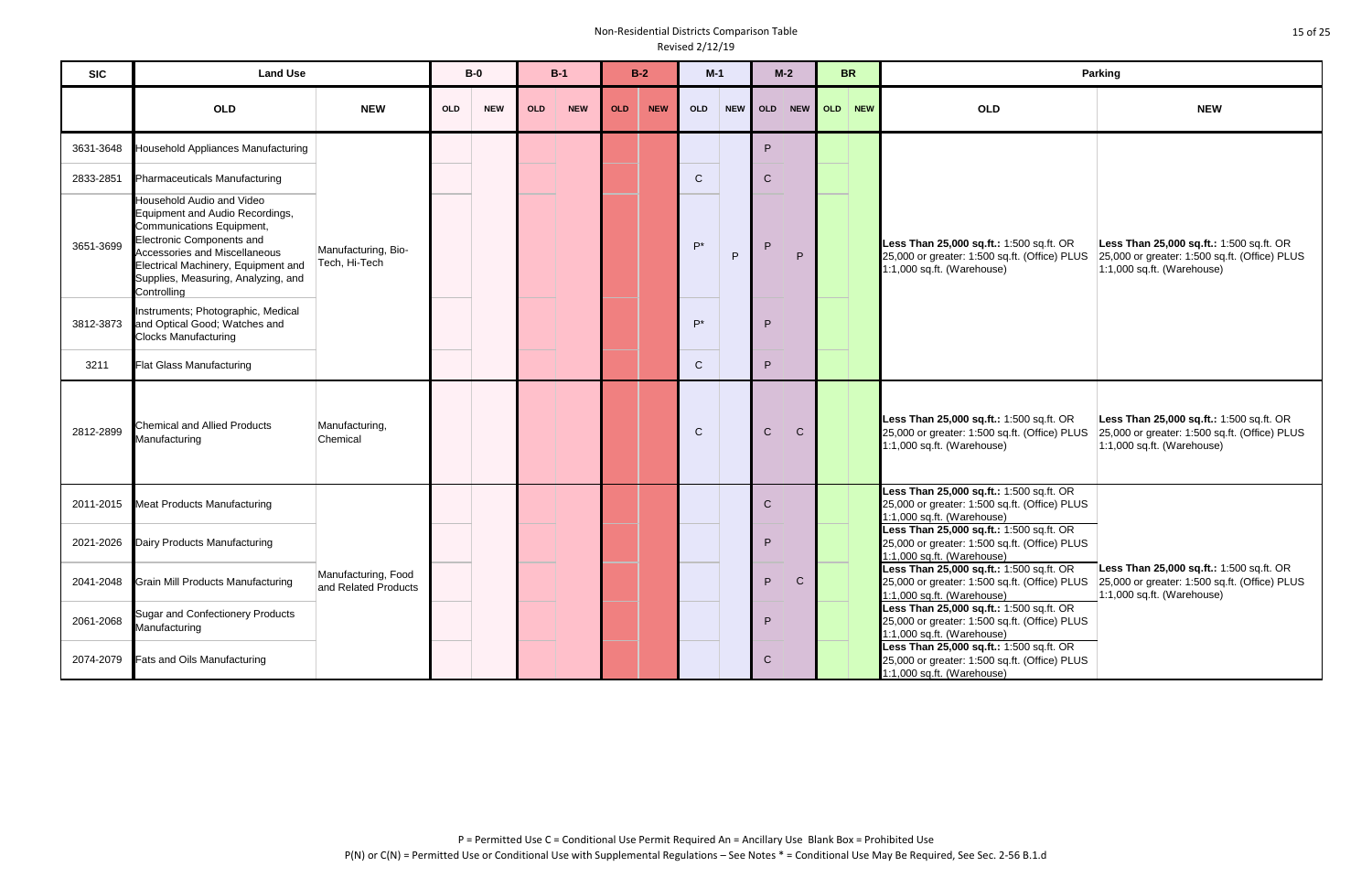| <b>SIC</b> | <b>Land Use</b>                                                                                                                                                                                                                                      |                                             |            | $B-0$<br>$B-1$ |            | $B-2$      |            | $M-1$      |              | $M-2$ |              | <b>BR</b>    |                     | Parking                                                                                                                              |                                                                                                                         |
|------------|------------------------------------------------------------------------------------------------------------------------------------------------------------------------------------------------------------------------------------------------------|---------------------------------------------|------------|----------------|------------|------------|------------|------------|--------------|-------|--------------|--------------|---------------------|--------------------------------------------------------------------------------------------------------------------------------------|-------------------------------------------------------------------------------------------------------------------------|
|            | OLD                                                                                                                                                                                                                                                  | <b>NEW</b>                                  | <b>OLD</b> | <b>NEW</b>     | <b>OLD</b> | <b>NEW</b> | <b>OLD</b> | <b>NEW</b> | <b>OLD</b>   |       |              |              | NEW OLD NEW OLD NEW | OLD                                                                                                                                  | <b>NEW</b>                                                                                                              |
| 3631-3648  | <b>Household Appliances Manufacturing</b>                                                                                                                                                                                                            |                                             |            |                |            |            |            |            |              |       | D            |              |                     |                                                                                                                                      |                                                                                                                         |
| 2833-2851  | Pharmaceuticals Manufacturing                                                                                                                                                                                                                        |                                             |            |                |            |            |            |            | $\mathsf{C}$ |       | $\mathsf{C}$ |              |                     |                                                                                                                                      |                                                                                                                         |
| 3651-3699  | Household Audio and Video<br>Equipment and Audio Recordings,<br>Communications Equipment,<br>Electronic Components and<br>Accessories and Miscellaneous<br>Electrical Machinery, Equipment and<br>Supplies, Measuring, Analyzing, and<br>Controlling | Manufacturing, Bio-<br>Tech, Hi-Tech        |            |                |            |            |            |            | $P^*$        | P     | D            | P            |                     | Less Than 25,000 sq.ft.: 1:500 sq.ft. OR<br>25,000 or greater: 1:500 sq.ft. (Office) PLUS<br>1:1,000 sq.ft. (Warehouse)              | Less Than 25,000 sq.ft.: 1:500 sq.ft. OR<br>25,000 or greater: 1:500 sq.ft. (Office) PLUS<br>1:1,000 sq.ft. (Warehouse) |
| 3812-3873  | Instruments; Photographic, Medical<br>and Optical Good; Watches and<br><b>Clocks Manufacturing</b>                                                                                                                                                   |                                             |            |                |            |            |            |            | $P^*$        |       | P            |              |                     |                                                                                                                                      |                                                                                                                         |
| 3211       | <b>Flat Glass Manufacturing</b>                                                                                                                                                                                                                      |                                             |            |                |            |            |            |            | $\mathsf{C}$ |       | P            |              |                     |                                                                                                                                      |                                                                                                                         |
| 2812-2899  | <b>Chemical and Allied Products</b><br>Manufacturing                                                                                                                                                                                                 | Manufacturing,<br>Chemical                  |            |                |            |            |            |            | $\mathsf{C}$ |       | $\mathsf{C}$ | $\mathbf C$  |                     | Less Than 25,000 sq.ft.: 1:500 sq.ft. OR<br>25,000 or greater: 1:500 sq.ft. (Office) PLUS<br>1:1,000 sq.ft. (Warehouse)              | Less Than 25,000 sq.ft.: 1:500 sq.ft. OR<br>25,000 or greater: 1:500 sq.ft. (Office) PLUS<br>1:1,000 sq.ft. (Warehouse) |
| 2011-2015  | <b>Meat Products Manufacturing</b>                                                                                                                                                                                                                   |                                             |            |                |            |            |            |            |              |       | $\mathsf{C}$ |              |                     | Less Than 25,000 sq.ft.: 1:500 sq.ft. OR<br>25,000 or greater: 1:500 sq.ft. (Office) PLUS<br>1:1,000 sq.ft. (Warehouse)              |                                                                                                                         |
| 2021-2026  | Dairy Products Manufacturing                                                                                                                                                                                                                         |                                             |            |                |            |            |            |            |              |       | P            |              |                     | Less Than 25,000 sq.ft.: 1:500 sq.ft. OR<br>25,000 or greater: 1:500 sq.ft. (Office) PLUS<br>1:1,000 sq.ft. (Warehouse)              |                                                                                                                         |
| 2041-2048  | <b>Grain Mill Products Manufacturing</b>                                                                                                                                                                                                             | Manufacturing, Food<br>and Related Products |            |                |            |            |            |            |              |       | P            | $\mathsf{C}$ |                     | Less Than 25,000 sq.ft.: 1:500 sq.ft. OR<br>25,000 or greater: 1:500 sq.ft. (Office) PLUS<br>1:1,000 sq.ft. (Warehouse)              | Less Than 25,000 sq.ft.: 1:500 sq.ft. OR<br>25,000 or greater: 1:500 sq.ft. (Office) PLUS<br>1:1,000 sq.ft. (Warehouse) |
| 2061-2068  | <b>Sugar and Confectionery Products</b><br>Manufacturing                                                                                                                                                                                             |                                             |            |                |            |            |            |            |              |       | P            |              |                     | Less Than 25,000 sq.ft.: $\overline{1:500}$ sq.ft. OR<br>25,000 or greater: 1:500 sq.ft. (Office) PLUS<br>1:1,000 sq.ft. (Warehouse) |                                                                                                                         |
| 2074-2079  | Fats and Oils Manufacturing                                                                                                                                                                                                                          |                                             |            |                |            |            |            |            |              |       | $\mathsf{C}$ |              |                     | Less Than 25,000 sq.ft.: $\overline{1:500}$ sq.ft. OR<br>25,000 or greater: 1:500 sq.ft. (Office) PLUS<br>1:1,000 sq.ft. (Warehouse) |                                                                                                                         |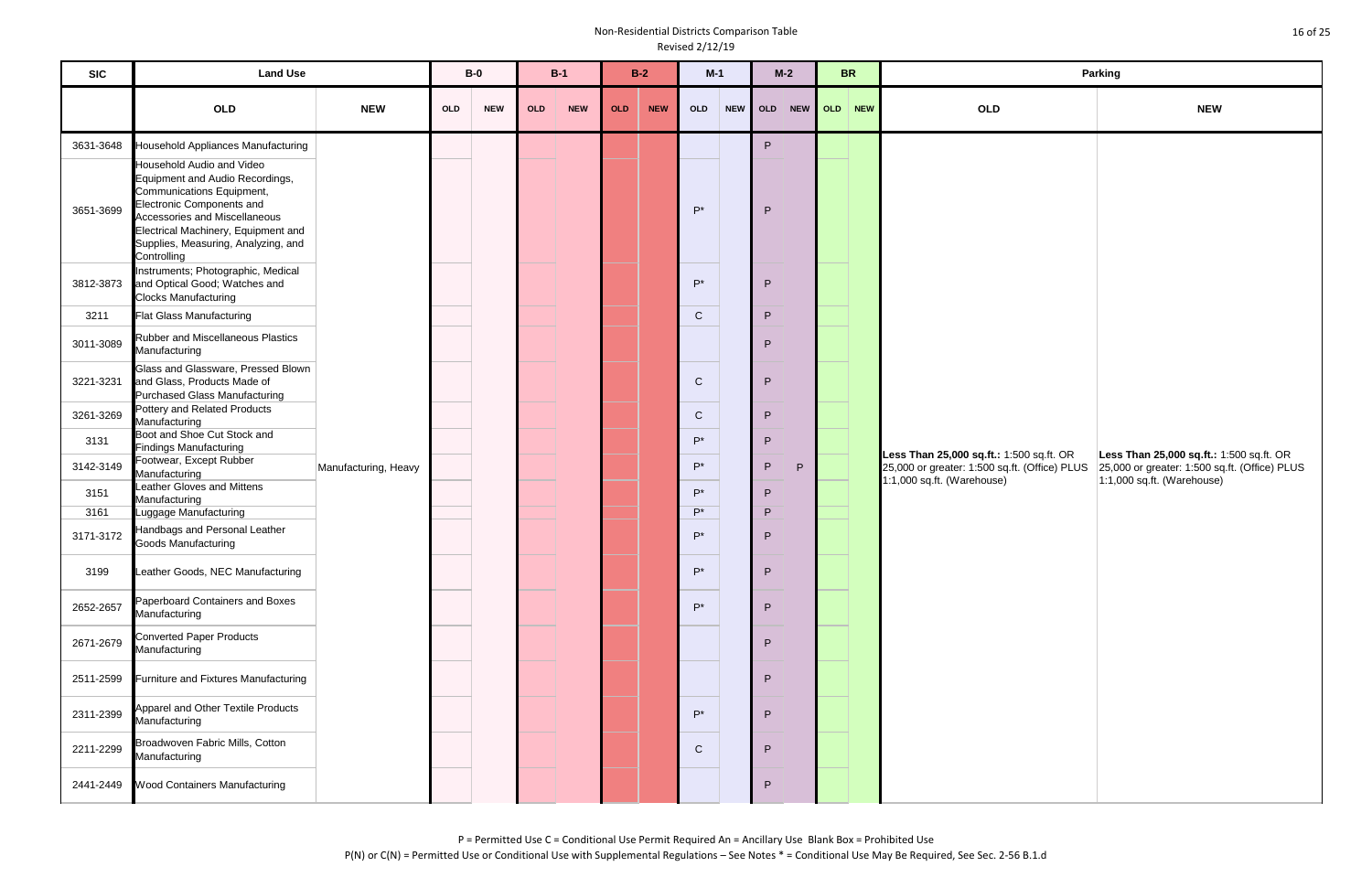| <b>SIC</b> | <b>Land Use</b>                                                                                                                                                                                                                                             |                      | $B-0$ |                                   | $B-1$      |            |            | $B-2$      | $M-1$              |       |              | $M-2$      | <b>BR</b> |            | Parking    |   |                            |                                               |                             |  |
|------------|-------------------------------------------------------------------------------------------------------------------------------------------------------------------------------------------------------------------------------------------------------------|----------------------|-------|-----------------------------------|------------|------------|------------|------------|--------------------|-------|--------------|------------|-----------|------------|------------|---|----------------------------|-----------------------------------------------|-----------------------------|--|
|            |                                                                                                                                                                                                                                                             |                      |       |                                   |            |            |            |            |                    |       |              |            |           |            |            |   |                            |                                               |                             |  |
|            | <b>OLD</b>                                                                                                                                                                                                                                                  | <b>NEW</b>           | OLD   | <b>NEW</b>                        | <b>OLD</b> | <b>NEW</b> | <b>OLD</b> | <b>NEW</b> | OLD                |       | NEW OLD      | <b>NEW</b> | OLD NEW   | <b>OLD</b> | <b>NEW</b> |   |                            |                                               |                             |  |
| 3631-3648  | Household Appliances Manufacturing                                                                                                                                                                                                                          |                      |       |                                   |            |            |            |            |                    |       | ${\sf P}$    |            |           |            |            |   |                            |                                               |                             |  |
| 3651-3699  | Household Audio and Video<br>Equipment and Audio Recordings,<br>Communications Equipment,<br><b>Electronic Components and</b><br>Accessories and Miscellaneous<br>Electrical Machinery, Equipment and<br>Supplies, Measuring, Analyzing, and<br>Controlling |                      |       |                                   |            |            |            |            | $P^*$              |       | ${\sf P}$    |            |           |            |            |   |                            |                                               |                             |  |
| 3812-3873  | Instruments; Photographic, Medical<br>and Optical Good; Watches and<br><b>Clocks Manufacturing</b>                                                                                                                                                          |                      |       |                                   |            |            |            |            |                    | $P^*$ |              | ${\sf P}$  |           |            |            |   |                            |                                               |                             |  |
| 3211       | <b>Flat Glass Manufacturing</b>                                                                                                                                                                                                                             |                      |       |                                   |            |            |            |            | $\mathbf C$        |       | $\sf P$      |            |           |            |            |   |                            |                                               |                             |  |
| 3011-3089  | Rubber and Miscellaneous Plastics<br>Manufacturing                                                                                                                                                                                                          |                      |       |                                   |            |            |            |            |                    |       | ${\sf P}$    |            |           |            |            |   |                            |                                               |                             |  |
| 3221-3231  | Glass and Glassware, Pressed Blown<br>and Glass, Products Made of<br><b>Purchased Glass Manufacturing</b>                                                                                                                                                   | Manufacturing, Heavy |       |                                   |            |            |            |            | $\mathsf{C}$       |       | ${\sf P}$    |            |           |            |            |   |                            |                                               |                             |  |
| 3261-3269  | Pottery and Related Products<br>Manufacturing                                                                                                                                                                                                               |                      |       |                                   |            |            |            |            |                    |       | $\mathsf{C}$ |            | ${\sf P}$ |            |            |   |                            |                                               |                             |  |
| 3131       | Boot and Shoe Cut Stock and<br><b>Findings Manufacturing</b>                                                                                                                                                                                                |                      |       |                                   |            |            |            |            |                    |       |              |            | $P^*$     |            | P          |   |                            | Less Than 25,000 sq.ft.: 1:500 sq.ft. OR      | Less Than 25,000 sq.ft.:    |  |
| 3142-3149  | Footwear, Except Rubber<br>Manufacturing                                                                                                                                                                                                                    |                      |       |                                   |            |            |            |            |                    |       |              |            | $P^*$     |            | ${\sf P}$  | P |                            | 25,000 or greater: 1:500 sq.ft. (Office) PLUS | 25,000 or greater: 1:500 so |  |
| 3151       | Leather Gloves and Mittens<br>Manufacturing                                                                                                                                                                                                                 |                      |       |                                   |            |            |            |            |                    |       |              | $P^*$      |           | P          |            |   | 1:1,000 sq.ft. (Warehouse) | 1:1,000 sq.ft. (Warehouse)                    |                             |  |
| 3161       | Luggage Manufacturing                                                                                                                                                                                                                                       |                      |       |                                   |            |            |            |            | $P^*$              |       | ${\sf P}$    |            |           |            |            |   |                            |                                               |                             |  |
| 3171-3172  | Handbags and Personal Leather<br>Goods Manufacturing                                                                                                                                                                                                        |                      |       |                                   |            |            |            |            |                    |       | $P^*$        |            | ${\sf P}$ |            |            |   |                            |                                               |                             |  |
| 3199       | Leather Goods, NEC Manufacturing                                                                                                                                                                                                                            |                      |       |                                   |            |            |            |            | P*                 |       | ${\sf P}$    |            |           |            |            |   |                            |                                               |                             |  |
| 2652-2657  | Paperboard Containers and Boxes<br>Manufacturing                                                                                                                                                                                                            |                      |       |                                   |            |            |            |            | $\mathsf{P}^\star$ |       | P            |            |           |            |            |   |                            |                                               |                             |  |
| 2671-2679  | <b>Converted Paper Products</b><br>Manufacturing                                                                                                                                                                                                            |                      |       | P<br>${\sf P}$<br>P*<br>${\sf P}$ |            |            |            |            |                    |       |              |            |           |            |            |   |                            |                                               |                             |  |
| 2511-2599  | Furniture and Fixtures Manufacturing                                                                                                                                                                                                                        |                      |       |                                   |            |            |            |            |                    |       |              |            |           |            |            |   |                            |                                               |                             |  |
| 2311-2399  | Apparel and Other Textile Products<br>Manufacturing                                                                                                                                                                                                         |                      |       |                                   |            |            |            |            |                    |       |              |            |           |            |            |   |                            |                                               |                             |  |
| 2211-2299  | Broadwoven Fabric Mills, Cotton<br>Manufacturing                                                                                                                                                                                                            |                      |       |                                   |            |            |            |            | $\mathbf C$        |       | P            |            |           |            |            |   |                            |                                               |                             |  |
| 2441-2449  | <b>Wood Containers Manufacturing</b>                                                                                                                                                                                                                        |                      |       |                                   |            |            |            |            |                    |       | ${\sf P}$    |            |           |            |            |   |                            |                                               |                             |  |

|                                       | Parking                                                                                                                 |
|---------------------------------------|-------------------------------------------------------------------------------------------------------------------------|
|                                       | <b>NEW</b>                                                                                                              |
| :500 sq.ft. OR<br>I.ft. (Office) PLUS | Less Than 25,000 sq.ft.: 1:500 sq.ft. OR<br>25,000 or greater: 1:500 sq.ft. (Office) PLUS<br>1:1,000 sq.ft. (Warehouse) |

P = Permitted Use C = Conditional Use Permit Required An = Ancillary Use Blank Box = Prohibited Use P(N) or C(N) = Permitted Use or Conditional Use with Supplemental Regulations – See Notes \* = Conditional Use May Be Required, See Sec. 2-56 B.1.d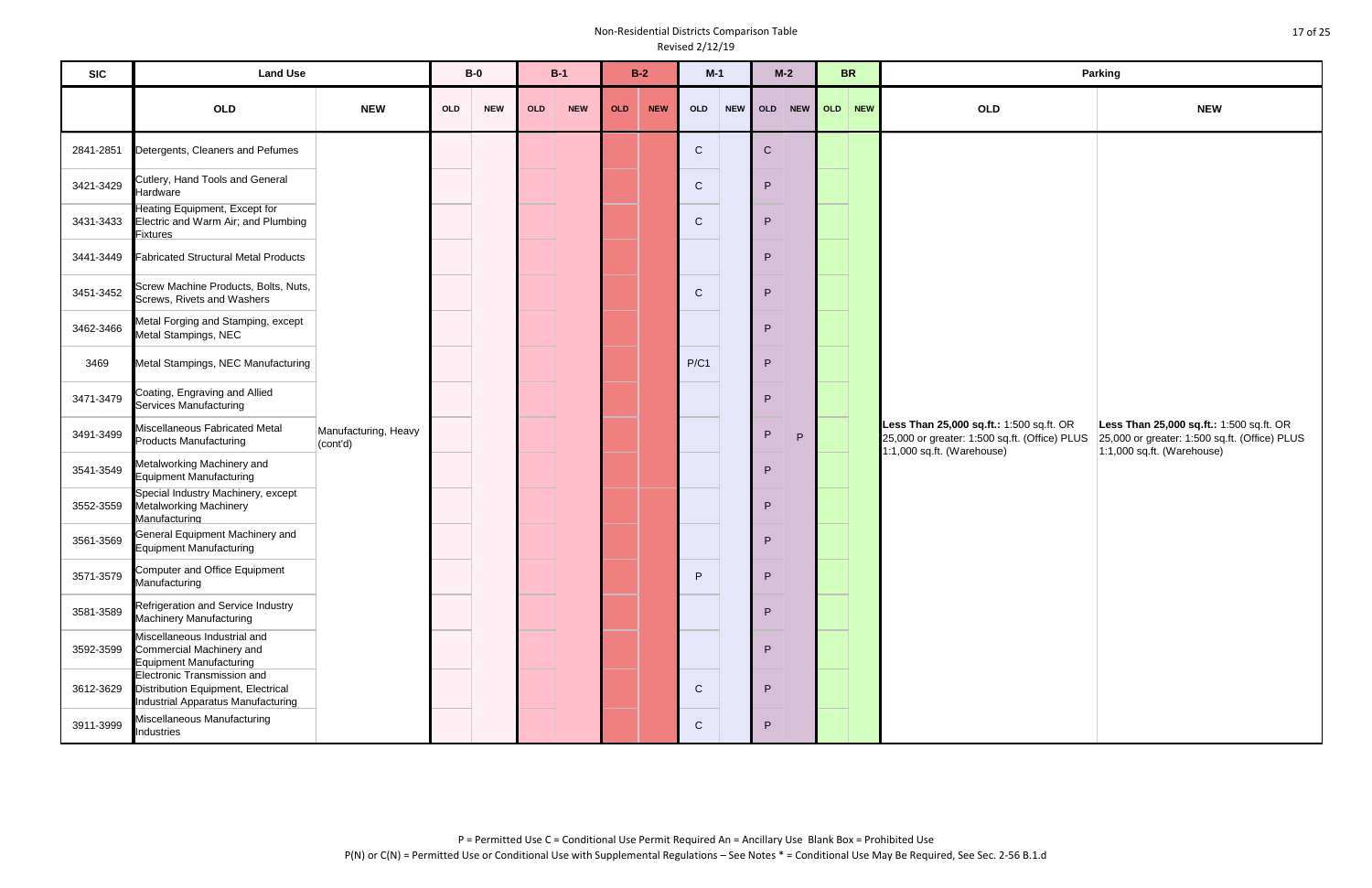| <b>SIC</b> | <b>Land Use</b>                                                                                         |                                  | $B-0$<br>$B-1$ |            | $B-2$<br>$M-1$ |            |            | $M-2$<br><b>BR</b> |              |              |              | <b>Parking</b> |   |              |              |              |                                                                                                                         |                                                                                       |  |  |  |
|------------|---------------------------------------------------------------------------------------------------------|----------------------------------|----------------|------------|----------------|------------|------------|--------------------|--------------|--------------|--------------|----------------|---|--------------|--------------|--------------|-------------------------------------------------------------------------------------------------------------------------|---------------------------------------------------------------------------------------|--|--|--|
|            | OLD                                                                                                     | <b>NEW</b>                       | OLD            | <b>NEW</b> | <b>OLD</b>     | <b>NEW</b> | <b>OLD</b> | <b>NEW</b>         | OLD          | <b>NEW</b>   | OLD          | <b>NEW</b>     |   | OLD NEW      | OLD          | <b>NEW</b>   |                                                                                                                         |                                                                                       |  |  |  |
| 2841-2851  | Detergents, Cleaners and Pefumes                                                                        |                                  |                |            |                |            |            |                    | $\mathbf C$  |              | $\mathbf C$  |                |   |              |              |              |                                                                                                                         |                                                                                       |  |  |  |
| 3421-3429  | Cutlery, Hand Tools and General<br>Hardware                                                             |                                  |                |            |                |            |            |                    | ${\bf C}$    |              | $\mathsf{P}$ |                |   |              |              |              |                                                                                                                         |                                                                                       |  |  |  |
| 3431-3433  | Heating Equipment, Except for<br>Electric and Warm Air; and Plumbing<br><b>Fixtures</b>                 |                                  |                |            |                |            |            |                    |              | $\mathsf{C}$ |              | $\mathsf{P}$   |   |              |              |              |                                                                                                                         |                                                                                       |  |  |  |
| 3441-3449  | <b>Fabricated Structural Metal Products</b>                                                             |                                  |                |            |                |            |            |                    |              |              | ${\sf P}$    |                |   |              |              |              |                                                                                                                         |                                                                                       |  |  |  |
| 3451-3452  | Screw Machine Products, Bolts, Nuts,<br>Screws, Rivets and Washers                                      |                                  |                |            |                |            |            |                    | $\mathbf C$  |              | $\mathsf{P}$ |                |   |              |              |              |                                                                                                                         |                                                                                       |  |  |  |
| 3462-3466  | Metal Forging and Stamping, except<br>Metal Stampings, NEC                                              |                                  |                |            |                |            |            |                    |              |              | $\mathsf{P}$ |                |   |              |              |              |                                                                                                                         |                                                                                       |  |  |  |
| 3469       | Metal Stampings, NEC Manufacturing                                                                      |                                  |                |            |                |            |            |                    | P/C1         |              | P            |                |   |              |              |              |                                                                                                                         |                                                                                       |  |  |  |
| 3471-3479  | Coating, Engraving and Allied<br>Services Manufacturing                                                 | Manufacturing, Heavy<br>(cont'd) |                |            |                |            |            |                    |              |              |              |                |   |              |              | $\mathsf{P}$ |                                                                                                                         |                                                                                       |  |  |  |
| 3491-3499  | Miscellaneous Fabricated Metal<br><b>Products Manufacturing</b>                                         |                                  |                |            |                |            |            |                    |              |              |              |                | P | $\mathsf{P}$ |              |              | Less Than 25,000 sq.ft.: 1:500 sq.ft. OR<br>25,000 or greater: 1:500 sq.ft. (Office) PLUS<br>1:1,000 sq.ft. (Warehouse) | Less Than 25,000 sq.ft.:<br>25,000 or greater: 1:500 so<br>1:1,000 sq.ft. (Warehouse) |  |  |  |
| 3541-3549  | Metalworking Machinery and<br><b>Equipment Manufacturing</b>                                            |                                  |                |            |                |            |            |                    |              |              |              |                |   |              | $\mathsf{P}$ |              |                                                                                                                         |                                                                                       |  |  |  |
| 3552-3559  | Special Industry Machinery, except<br><b>Metalworking Machinery</b><br>Manufacturing                    |                                  |                |            |                |            |            |                    |              |              |              |                |   | ${\sf P}$    |              |              |                                                                                                                         |                                                                                       |  |  |  |
| 3561-3569  | General Equipment Machinery and<br><b>Equipment Manufacturing</b>                                       |                                  |                |            |                |            |            |                    |              |              |              |                |   | P            |              |              |                                                                                                                         |                                                                                       |  |  |  |
| 3571-3579  | Computer and Office Equipment<br>Manufacturing                                                          |                                  |                |            |                |            |            |                    |              |              |              |                | P |              | P            |              |                                                                                                                         |                                                                                       |  |  |  |
| 3581-3589  | Refrigeration and Service Industry<br><b>Machinery Manufacturing</b>                                    |                                  |                |            |                |            |            |                    |              |              | $\mathsf{P}$ |                |   |              |              |              |                                                                                                                         |                                                                                       |  |  |  |
| 3592-3599  | Miscellaneous Industrial and<br>Commercial Machinery and<br><b>Equipment Manufacturing</b>              |                                  |                |            |                |            |            | P                  |              |              |              |                |   |              |              |              |                                                                                                                         |                                                                                       |  |  |  |
| 3612-3629  | Electronic Transmission and<br>Distribution Equipment, Electrical<br>Industrial Apparatus Manufacturing |                                  |                |            |                |            |            |                    | $\mathbf C$  | P            |              |                |   |              |              |              |                                                                                                                         |                                                                                       |  |  |  |
| 3911-3999  | Miscellaneous Manufacturing<br>Industries                                                               |                                  |                |            |                |            |            |                    | $\mathsf{C}$ |              | $\mathsf{P}$ |                |   |              |              |              |                                                                                                                         |                                                                                       |  |  |  |

| Parking                               |                                                                                                                         |  |  |  |  |  |  |  |  |  |  |
|---------------------------------------|-------------------------------------------------------------------------------------------------------------------------|--|--|--|--|--|--|--|--|--|--|
|                                       | <b>NEW</b>                                                                                                              |  |  |  |  |  |  |  |  |  |  |
| :500 sq.ft. OR<br>I.ft. (Office) PLUS | Less Than 25,000 sq.ft.: 1:500 sq.ft. OR<br>25,000 or greater: 1:500 sq.ft. (Office) PLUS<br>1:1,000 sq.ft. (Warehouse) |  |  |  |  |  |  |  |  |  |  |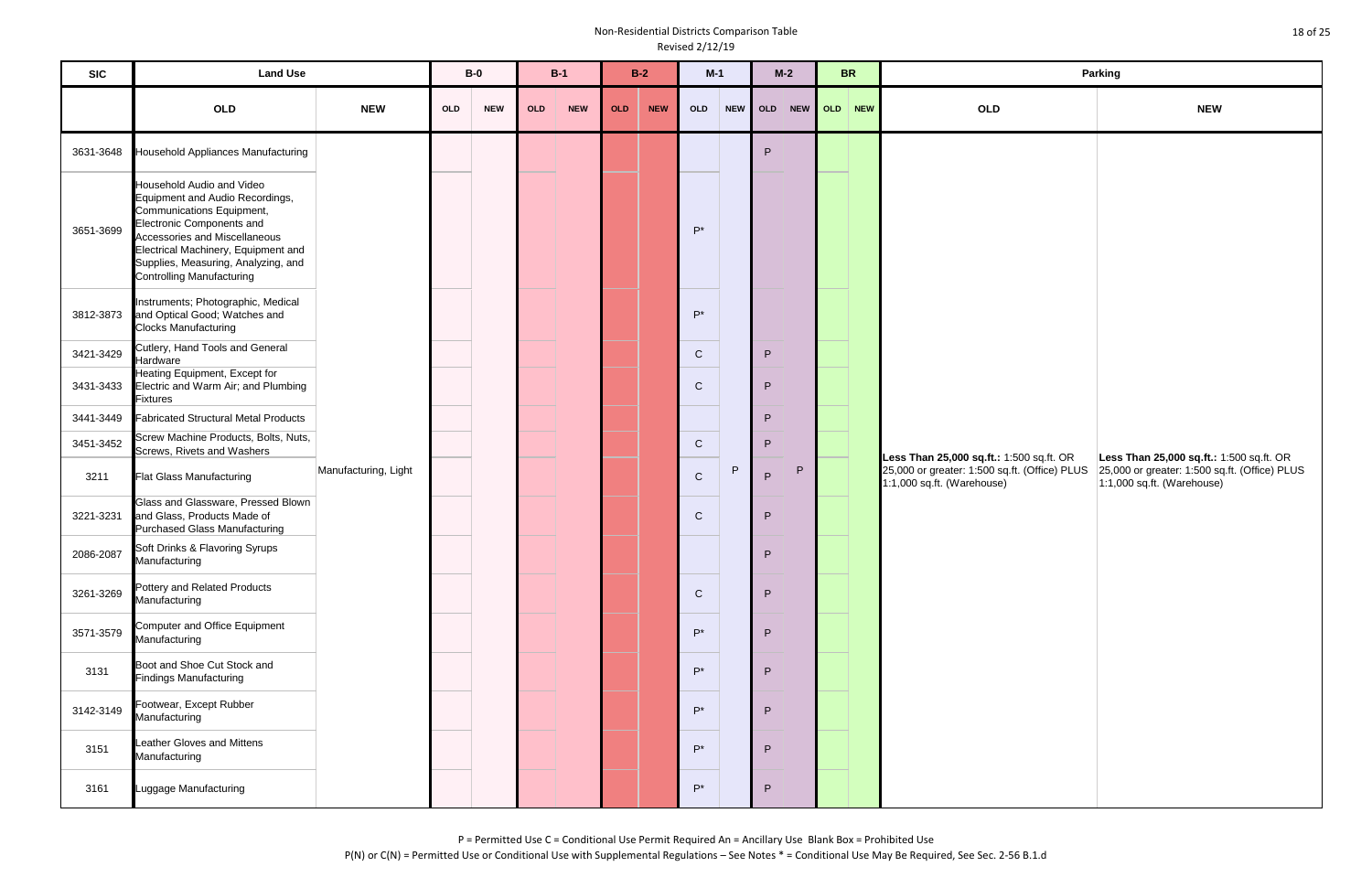| <b>SIC</b> | <b>Land Use</b>                                                                                                                                                                                                                                                           |                      | $B-0$ |            | $B-1$      |            | $B-2$      |            | $M-1$              |             | $M-2$        |              | <b>BR</b> |                                                                                                                         | Parking                                                                               |             |  |  |
|------------|---------------------------------------------------------------------------------------------------------------------------------------------------------------------------------------------------------------------------------------------------------------------------|----------------------|-------|------------|------------|------------|------------|------------|--------------------|-------------|--------------|--------------|-----------|-------------------------------------------------------------------------------------------------------------------------|---------------------------------------------------------------------------------------|-------------|--|--|
|            | OLD                                                                                                                                                                                                                                                                       | <b>NEW</b>           | OLD   | <b>NEW</b> | <b>OLD</b> | <b>NEW</b> | <b>OLD</b> | <b>NEW</b> | OLD                | <b>NEW</b>  | OLD          | <b>NEW</b>   | OLD NEW   | <b>OLD</b>                                                                                                              | <b>NEW</b>                                                                            |             |  |  |
| 3631-3648  | Household Appliances Manufacturing                                                                                                                                                                                                                                        |                      |       |            |            |            |            |            |                    |             | $\mathsf{P}$ |              |           |                                                                                                                         |                                                                                       |             |  |  |
| 3651-3699  | Household Audio and Video<br>Equipment and Audio Recordings,<br>Communications Equipment,<br>Electronic Components and<br>Accessories and Miscellaneous<br>Electrical Machinery, Equipment and<br>Supplies, Measuring, Analyzing, and<br><b>Controlling Manufacturing</b> |                      |       |            |            |            |            |            | $\mathsf{P}^\star$ |             |              |              |           |                                                                                                                         |                                                                                       |             |  |  |
| 3812-3873  | Instruments; Photographic, Medical<br>and Optical Good; Watches and<br><b>Clocks Manufacturing</b>                                                                                                                                                                        |                      |       |            |            |            |            |            | $P^*$              |             |              |              |           |                                                                                                                         |                                                                                       |             |  |  |
| 3421-3429  | Cutlery, Hand Tools and General<br>Hardware                                                                                                                                                                                                                               |                      |       |            |            |            |            |            | $\mathsf{C}$       |             | ${\sf P}$    |              |           |                                                                                                                         |                                                                                       |             |  |  |
| 3431-3433  | Heating Equipment, Except for<br>Electric and Warm Air; and Plumbing<br><b>Fixtures</b>                                                                                                                                                                                   |                      |       |            |            |            |            |            | $\mathbf C$        |             | $\mathsf{P}$ |              |           |                                                                                                                         |                                                                                       |             |  |  |
| 3441-3449  | <b>Fabricated Structural Metal Products</b>                                                                                                                                                                                                                               |                      |       |            |            |            |            |            |                    |             |              | $\mathsf{P}$ |           |                                                                                                                         |                                                                                       |             |  |  |
| 3451-3452  | Screw Machine Products, Bolts, Nuts,<br>Screws, Rivets and Washers                                                                                                                                                                                                        |                      |       |            |            |            |            |            |                    |             |              |              |           | $\mathbf C$                                                                                                             |                                                                                       | $\mathsf P$ |  |  |
| 3211       | <b>Flat Glass Manufacturing</b>                                                                                                                                                                                                                                           | Manufacturing, Light |       |            |            |            |            |            | $\mathbf C$        | $\mathsf P$ | P            | $\sf P$      |           | Less Than 25,000 sq.ft.: 1:500 sq.ft. OR<br>25,000 or greater: 1:500 sq.ft. (Office) PLUS<br>1:1,000 sq.ft. (Warehouse) | Less Than 25,000 sq.ft.:<br>25,000 or greater: 1:500 so<br>1:1,000 sq.ft. (Warehouse) |             |  |  |
| 3221-3231  | Glass and Glassware, Pressed Blown<br>and Glass, Products Made of<br><b>Purchased Glass Manufacturing</b>                                                                                                                                                                 |                      |       |            |            |            |            |            | $\mathbf C$        |             | $\mathsf{P}$ |              |           |                                                                                                                         |                                                                                       |             |  |  |
| 2086-2087  | Soft Drinks & Flavoring Syrups<br>Manufacturing                                                                                                                                                                                                                           |                      |       |            |            |            |            |            |                    |             | P            |              |           |                                                                                                                         |                                                                                       |             |  |  |
| 3261-3269  | Pottery and Related Products<br>Manufacturing                                                                                                                                                                                                                             |                      |       |            |            |            |            |            | $\mathbf C$        |             | $\mathsf{P}$ |              |           |                                                                                                                         |                                                                                       |             |  |  |
| 3571-3579  | Computer and Office Equipment<br>Manufacturing                                                                                                                                                                                                                            |                      |       |            |            |            |            |            | $P^*$              |             | ${\sf P}$    |              |           |                                                                                                                         |                                                                                       |             |  |  |
| 3131       | Boot and Shoe Cut Stock and<br><b>Findings Manufacturing</b>                                                                                                                                                                                                              |                      |       |            |            |            |            |            | $P^*$              |             | $\mathsf{P}$ |              |           |                                                                                                                         |                                                                                       |             |  |  |
| 3142-3149  | Footwear, Except Rubber<br>Manufacturing                                                                                                                                                                                                                                  |                      |       |            |            |            |            |            | $\mathsf{P}^\star$ |             | $\mathsf{P}$ |              |           |                                                                                                                         |                                                                                       |             |  |  |
| 3151       | Leather Gloves and Mittens<br>Manufacturing                                                                                                                                                                                                                               |                      |       |            |            |            |            |            | $P^*$              |             | P            |              |           |                                                                                                                         |                                                                                       |             |  |  |
| 3161       | Luggage Manufacturing                                                                                                                                                                                                                                                     |                      |       |            |            |            |            |            | P*                 |             | $\mathsf{P}$ |              |           |                                                                                                                         |                                                                                       |             |  |  |

|                                       | Parking                                                                                                                 |
|---------------------------------------|-------------------------------------------------------------------------------------------------------------------------|
|                                       | <b>NEW</b>                                                                                                              |
| :500 sq.ft. OR<br>I.ft. (Office) PLUS | Less Than 25,000 sq.ft.: 1:500 sq.ft. OR<br>25,000 or greater: 1:500 sq.ft. (Office) PLUS<br>1:1,000 sq.ft. (Warehouse) |

P = Permitted Use C = Conditional Use Permit Required An = Ancillary Use Blank Box = Prohibited Use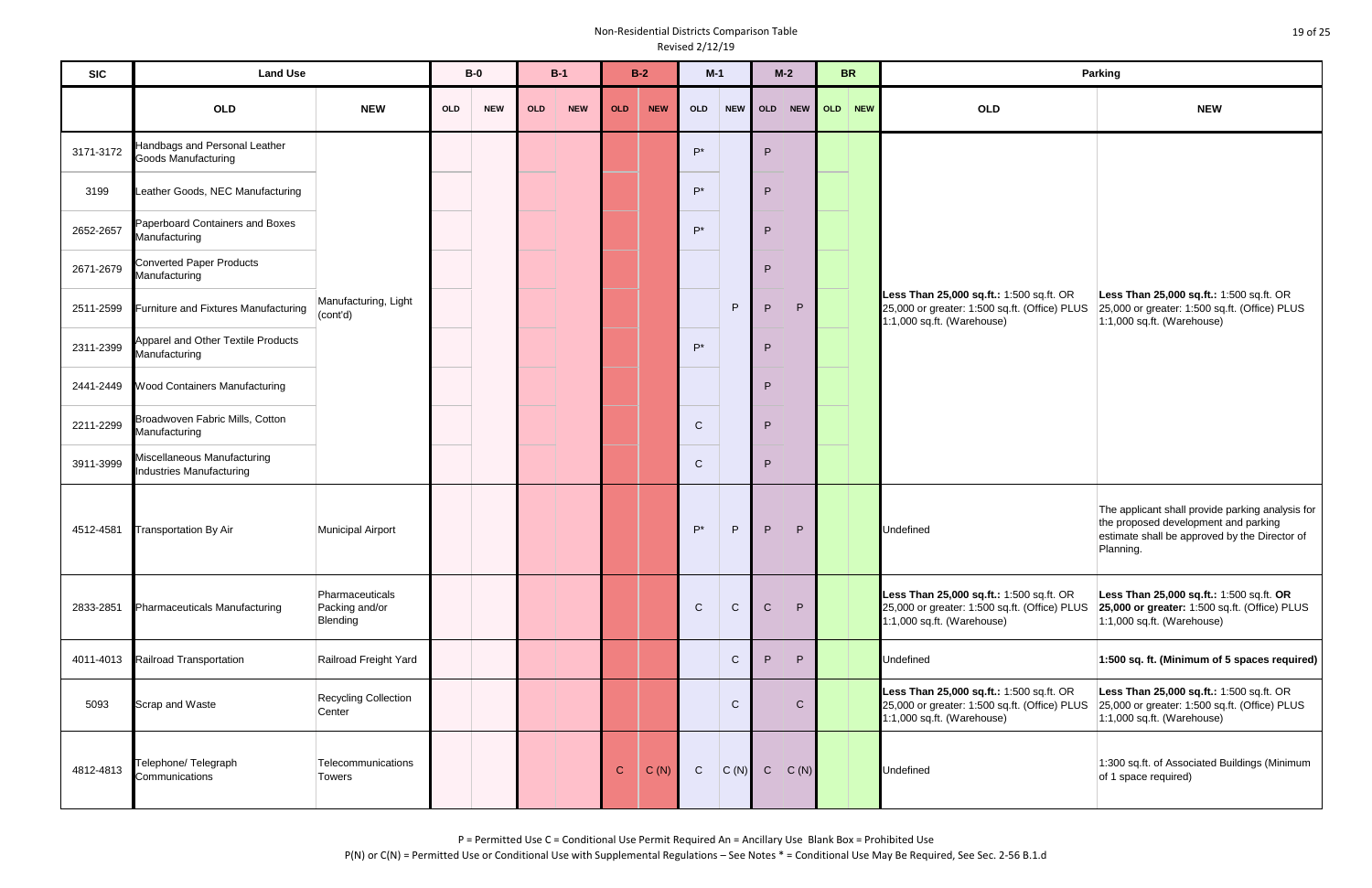| <b>SIC</b> | <b>Land Use</b>                                         |                                               |     | $B-0$      |            | $B-1$      |             | $B-2$      |                | $M-1$        | $M-2$        |              |            | <b>BR</b> |                                                                                                                         | Parking                                                                                                                                                |
|------------|---------------------------------------------------------|-----------------------------------------------|-----|------------|------------|------------|-------------|------------|----------------|--------------|--------------|--------------|------------|-----------|-------------------------------------------------------------------------------------------------------------------------|--------------------------------------------------------------------------------------------------------------------------------------------------------|
|            | <b>OLD</b>                                              | <b>NEW</b>                                    | OLD | <b>NEW</b> | <b>OLD</b> | <b>NEW</b> | <b>OLD</b>  | <b>NEW</b> | <b>OLD</b>     | <b>NEW</b>   | OLD NEW      |              | <b>OLD</b> | NEW       | <b>OLD</b>                                                                                                              | <b>NEW</b>                                                                                                                                             |
| 3171-3172  | Handbags and Personal Leather<br>Goods Manufacturing    |                                               |     |            |            |            |             |            | $\mathsf{P}^*$ |              | P            |              |            |           |                                                                                                                         |                                                                                                                                                        |
| 3199       | Leather Goods, NEC Manufacturing                        |                                               |     |            |            |            |             |            | $P^*$          |              | P            |              |            |           |                                                                                                                         |                                                                                                                                                        |
| 2652-2657  | Paperboard Containers and Boxes<br>Manufacturing        | Manufacturing, Light<br>(cont'd)              |     |            |            |            |             |            | P*             |              | P            |              |            |           | Less Than 25,000 sq.ft.: 1:500 sq.ft. OR<br>25,000 or greater: 1:500 sq.ft. (Office) PLUS<br>1:1,000 sq.ft. (Warehouse) |                                                                                                                                                        |
| 2671-2679  | <b>Converted Paper Products</b><br>Manufacturing        |                                               |     |            |            |            |             |            |                |              | P            |              |            |           |                                                                                                                         |                                                                                                                                                        |
| 2511-2599  | Furniture and Fixtures Manufacturing                    |                                               |     |            |            |            |             |            |                | P            | P            | P            |            |           |                                                                                                                         | Less Than 25,000 sq.ft.: 1:500 sq.ft. OR<br>25,000 or greater: 1:500 sq.ft. (Office) PLUS<br>1:1,000 sq.ft. (Warehouse)                                |
| 2311-2399  | Apparel and Other Textile Products<br>Manufacturing     |                                               |     |            |            |            |             |            | D*             |              | P            |              |            |           |                                                                                                                         |                                                                                                                                                        |
| 2441-2449  | <b>Wood Containers Manufacturing</b>                    |                                               |     |            |            |            |             |            |                |              | P            |              |            |           |                                                                                                                         |                                                                                                                                                        |
| 2211-2299  | Broadwoven Fabric Mills, Cotton<br>Manufacturing        |                                               |     |            |            |            |             |            | $\mathsf{C}$   |              | P            |              |            |           |                                                                                                                         |                                                                                                                                                        |
| 3911-3999  | Miscellaneous Manufacturing<br>Industries Manufacturing |                                               |     |            |            |            |             |            | $\mathsf{C}$   |              | P            |              |            |           |                                                                                                                         |                                                                                                                                                        |
| 4512-4581  | <b>Transportation By Air</b>                            | <b>Municipal Airport</b>                      |     |            |            |            |             |            | $P^*$          | P            | P            | P            |            |           | <b>Undefined</b>                                                                                                        | The applicant shall provide parking analysis for<br>the proposed development and parking<br>estimate shall be approved by the Director of<br>Planning. |
| 2833-2851  | <b>Pharmaceuticals Manufacturing</b>                    | Pharmaceuticals<br>Packing and/or<br>Blending |     |            |            |            |             |            | $\mathsf{C}$   | $\mathsf{C}$ | $\mathbf C$  | P            |            |           | Less Than 25,000 sq.ft.: 1:500 sq.ft. OR<br>25,000 or greater: 1:500 sq.ft. (Office) PLUS<br>1:1,000 sq.ft. (Warehouse) | Less Than 25,000 sq.ft.: 1:500 sq.ft. OR<br>25,000 or greater: 1:500 sq.ft. (Office) PLUS<br>1:1,000 sq.ft. (Warehouse)                                |
| 4011-4013  | Railroad Transportation                                 | Railroad Freight Yard                         |     |            |            |            |             |            |                | $\mathsf{C}$ | P            | P            |            |           | <b>Undefined</b>                                                                                                        | 1:500 sq. ft. (Minimum of 5 spaces required)                                                                                                           |
| 5093       | <b>Scrap and Waste</b>                                  | Recycling Collection<br>Center                |     |            |            |            |             |            |                | $\mathsf{C}$ |              | $\mathsf{C}$ |            |           | Less Than 25,000 sq.ft.: 1:500 sq.ft. OR<br>25,000 or greater: 1:500 sq.ft. (Office) PLUS<br>1:1,000 sq.ft. (Warehouse) | Less Than 25,000 sq.ft.: 1:500 sq.ft. OR<br>25,000 or greater: 1:500 sq.ft. (Office) PLUS<br>1:1,000 sq.ft. (Warehouse)                                |
| 4812-4813  | Telephone/ Telegraph<br>Communications                  | Telecommunications<br><b>Towers</b>           |     |            |            |            | $\mathbf C$ | C(N)       | $\mathsf{C}$   | C(N)         | $\mathsf{C}$ | C(N)         |            |           | <b>Undefined</b>                                                                                                        | 1:300 sq.ft. of Associated Buildings (Minimum<br>of 1 space required)                                                                                  |

|                                      | <b>Parking</b>                                                                                                                                         |
|--------------------------------------|--------------------------------------------------------------------------------------------------------------------------------------------------------|
|                                      | NEW                                                                                                                                                    |
| :500 sq.ft. OR<br>.ft. (Office) PLUS | Less Than 25,000 sq.ft.: 1:500 sq.ft. OR<br>25,000 or greater: 1:500 sq.ft. (Office) PLUS<br>1:1,000 sq.ft. (Warehouse)                                |
|                                      | The applicant shall provide parking analysis for<br>the proposed development and parking<br>estimate shall be approved by the Director of<br>Planning. |
| :500 sq.ft. OR<br>.ft. (Office) PLUS | Less Than 25,000 sq.ft.: 1:500 sq.ft. OR<br>25,000 or greater: 1:500 sq.ft. (Office) PLUS<br>1:1,000 sq.ft. (Warehouse)                                |
|                                      | 1:500 sq. ft. (Minimum of 5 spaces required)                                                                                                           |
| :500 sq.ft. OR<br>.ft. (Office) PLUS | Less Than 25,000 sq.ft.: 1:500 sq.ft. OR<br>25,000 or greater: 1:500 sq.ft. (Office) PLUS<br>1:1,000 sq.ft. (Warehouse)                                |
|                                      | 1:300 sq.ft. of Associated Buildings (Minimum<br>of 1 space required)                                                                                  |

P = Permitted Use C = Conditional Use Permit Required An = Ancillary Use Blank Box = Prohibited Use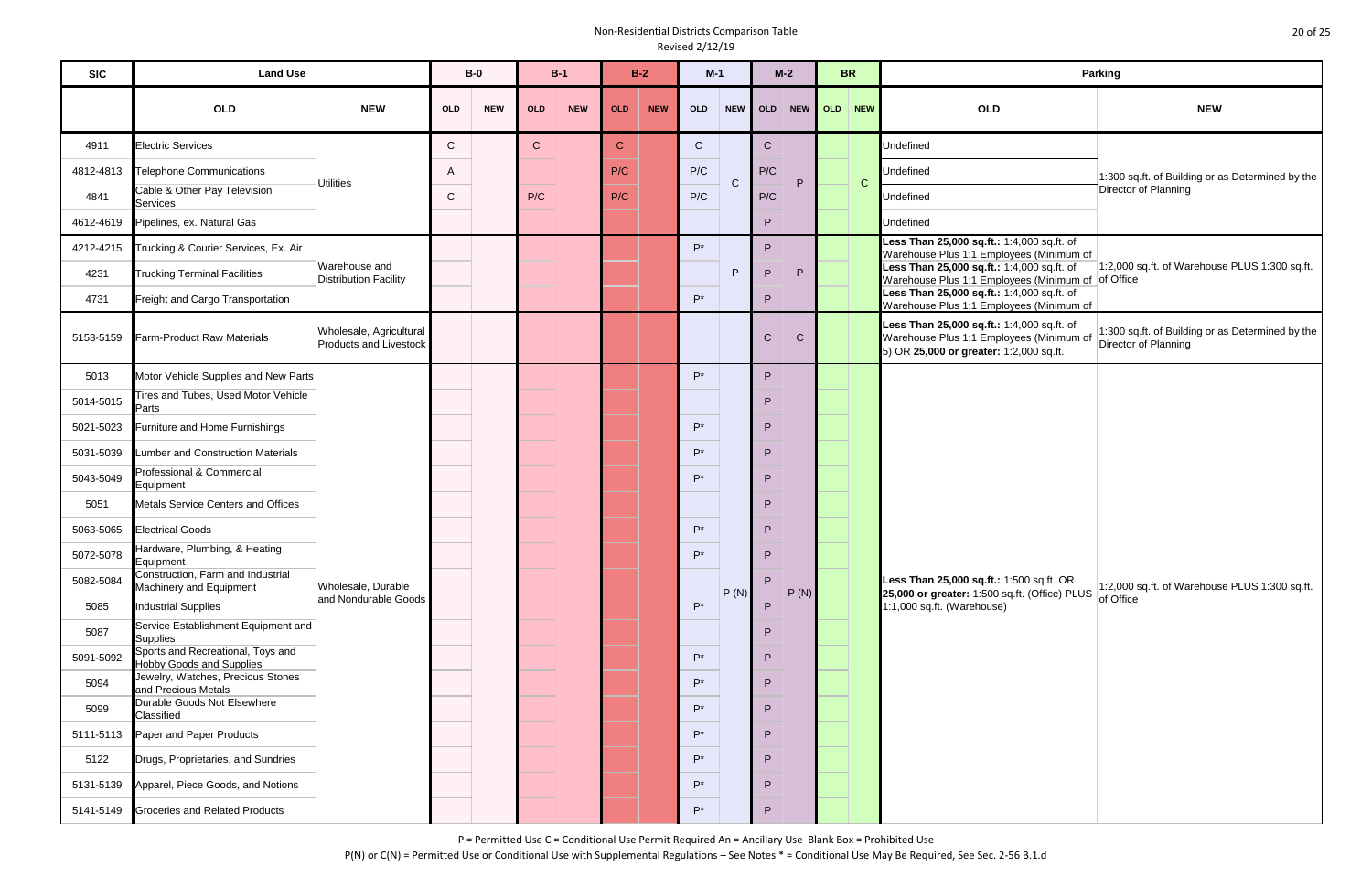| <b>SIC</b> | <b>Land Use</b>                                                      |                                                   |              | $B-0$      |              | $B-1$      |              | $B-2$      | $M-1$          |              |              | $M-2$        | <b>BR</b>   |                                                                                                                                   | Parking                                                                  |  |  |  |  |
|------------|----------------------------------------------------------------------|---------------------------------------------------|--------------|------------|--------------|------------|--------------|------------|----------------|--------------|--------------|--------------|-------------|-----------------------------------------------------------------------------------------------------------------------------------|--------------------------------------------------------------------------|--|--|--|--|
|            | <b>OLD</b>                                                           | <b>NEW</b>                                        | <b>OLD</b>   | <b>NEW</b> | <b>OLD</b>   | <b>NEW</b> | <b>OLD</b>   | <b>NEW</b> | <b>OLD</b>     |              | NEW OLD      | NEW          | OLD NEW     | OLD                                                                                                                               | <b>NEW</b>                                                               |  |  |  |  |
| 4911       | <b>Electric Services</b>                                             |                                                   | $\mathsf{C}$ |            | $\mathsf{C}$ |            | $\mathbf{C}$ |            | $\mathsf{C}$   |              | $\mathsf{C}$ |              |             | Undefined                                                                                                                         |                                                                          |  |  |  |  |
| 4812-4813  | <b>Telephone Communications</b>                                      |                                                   | A            |            |              |            | P/C          |            | P/C            |              | P/C          | P            |             | Undefined                                                                                                                         | 1:300 sq.ft. of Building or as Determined by the                         |  |  |  |  |
| 4841       | Cable & Other Pay Television<br><b>Services</b>                      | <b>Utilities</b>                                  | $\mathsf{C}$ |            | P/C          |            | P/C          |            | P/C            | $\mathsf{C}$ | P/C          |              | $\mathbf C$ | Undefined                                                                                                                         | Director of Planning                                                     |  |  |  |  |
| 4612-4619  | Pipelines, ex. Natural Gas                                           |                                                   |              |            |              |            |              |            |                |              | P            |              |             | Undefined                                                                                                                         |                                                                          |  |  |  |  |
| 4212-4215  | Trucking & Courier Services, Ex. Air                                 |                                                   |              |            |              |            |              |            | P*             |              | P            |              |             | Less Than 25,000 sq.ft.: 1:4,000 sq.ft. of<br>Warehouse Plus 1:1 Employees (Minimum of                                            |                                                                          |  |  |  |  |
| 4231       | <b>Trucking Terminal Facilities</b>                                  | Warehouse and<br><b>Distribution Facility</b>     |              |            |              |            |              |            |                | P            | P            | P            |             | Less Than 25,000 sq.ft.: 1:4,000 sq.ft. of<br>Warehouse Plus 1:1 Employees (Minimum of of Office                                  | 1:2,000 sq.ft. of Warehouse PLUS 1:300 sq.ft.                            |  |  |  |  |
| 4731       | Freight and Cargo Transportation                                     |                                                   |              |            |              |            |              |            | $P^*$          |              | P            |              |             | Less Than 25,000 sq.ft.: 1:4,000 sq.ft. of<br>Warehouse Plus 1:1 Employees (Minimum of                                            |                                                                          |  |  |  |  |
| 5153-5159  | Farm-Product Raw Materials                                           | Wholesale, Agricultural<br>Products and Livestock |              |            |              |            |              |            |                |              | $\mathsf{C}$ | $\mathsf{C}$ |             | Less Than 25,000 sq.ft.: 1:4,000 sq.ft. of<br>Warehouse Plus 1:1 Employees (Minimum of<br>5) OR 25,000 or greater: 1:2,000 sq.ft. | 1:300 sq.ft. of Building or as Determined by the<br>Director of Planning |  |  |  |  |
| 5013       | Motor Vehicle Supplies and New Parts                                 |                                                   |              |            |              |            |              |            | P*             |              | P            |              |             |                                                                                                                                   |                                                                          |  |  |  |  |
| 5014-5015  | Tires and Tubes, Used Motor Vehicle<br>Parts                         |                                                   |              |            |              |            |              |            |                |              | P            |              |             |                                                                                                                                   |                                                                          |  |  |  |  |
| 5021-5023  | Furniture and Home Furnishings                                       |                                                   |              |            |              |            |              |            | P*             |              | P            |              |             |                                                                                                                                   |                                                                          |  |  |  |  |
| 5031-5039  | Lumber and Construction Materials                                    |                                                   |              |            |              |            |              |            | $P^*$          |              | P            |              |             |                                                                                                                                   |                                                                          |  |  |  |  |
| 5043-5049  | Professional & Commercial<br>Equipment                               |                                                   |              |            |              |            |              |            | P*             |              | P            |              |             |                                                                                                                                   |                                                                          |  |  |  |  |
| 5051       | Metals Service Centers and Offices                                   |                                                   |              |            |              |            |              |            |                |              | P            |              |             |                                                                                                                                   |                                                                          |  |  |  |  |
| 5063-5065  | <b>Electrical Goods</b>                                              |                                                   |              |            |              |            |              |            | P*             |              | P            |              |             |                                                                                                                                   |                                                                          |  |  |  |  |
| 5072-5078  | Hardware, Plumbing, & Heating<br>Equipment                           |                                                   |              |            |              |            |              |            | D <sup>*</sup> |              | P            |              |             |                                                                                                                                   |                                                                          |  |  |  |  |
| 5082-5084  | Construction, Farm and Industrial<br>Machinery and Equipment         | Wholesale, Durable                                |              |            |              |            |              |            |                |              | P            |              |             | Less Than 25,000 sq.ft.: 1:500 sq.ft. OR                                                                                          | 1:2,000 sq.ft. of Warehouse PLUS 1:300 sq.ft.                            |  |  |  |  |
| 5085       | <b>Industrial Supplies</b>                                           | and Nondurable Goods                              |              |            |              |            |              |            | $P^*$          | P(N)         | P            | P(N)         |             | 25,000 or greater: 1:500 sq.ft. (Office) PLUS<br>1:1,000 sq.ft. (Warehouse)                                                       | of Office                                                                |  |  |  |  |
| 5087       | Service Establishment Equipment and<br>Supplies                      |                                                   |              |            |              |            |              |            |                |              | P            |              |             |                                                                                                                                   |                                                                          |  |  |  |  |
| 5091-5092  | Sports and Recreational, Toys and<br><b>Hobby Goods and Supplies</b> |                                                   |              |            |              |            |              |            | $P^*$          |              | P            |              |             |                                                                                                                                   |                                                                          |  |  |  |  |
| 5094       | Jewelry, Watches, Precious Stones<br>and Precious Metals             |                                                   |              |            |              |            |              |            | $P^*$          |              | P            |              |             |                                                                                                                                   |                                                                          |  |  |  |  |
| 5099       | Durable Goods Not Elsewhere<br>Classified                            |                                                   |              |            |              |            |              |            | $P^*$          |              | P            |              |             |                                                                                                                                   |                                                                          |  |  |  |  |
| 5111-5113  | Paper and Paper Products                                             |                                                   |              |            |              |            |              |            | $P^*$          |              | P            |              |             |                                                                                                                                   |                                                                          |  |  |  |  |
| 5122       | Drugs, Proprietaries, and Sundries                                   |                                                   |              |            |              |            |              |            | $P^*$          |              | P            |              |             |                                                                                                                                   |                                                                          |  |  |  |  |
| 5131-5139  | Apparel, Piece Goods, and Notions                                    |                                                   |              |            |              |            |              |            | $P^*$          |              | P            |              |             |                                                                                                                                   |                                                                          |  |  |  |  |
| 5141-5149  | Groceries and Related Products                                       |                                                   |              |            |              |            |              |            | $P^*$          |              | P            |              |             |                                                                                                                                   |                                                                          |  |  |  |  |

P = Permitted Use C = Conditional Use Permit Required An = Ancillary Use Blank Box = Prohibited Use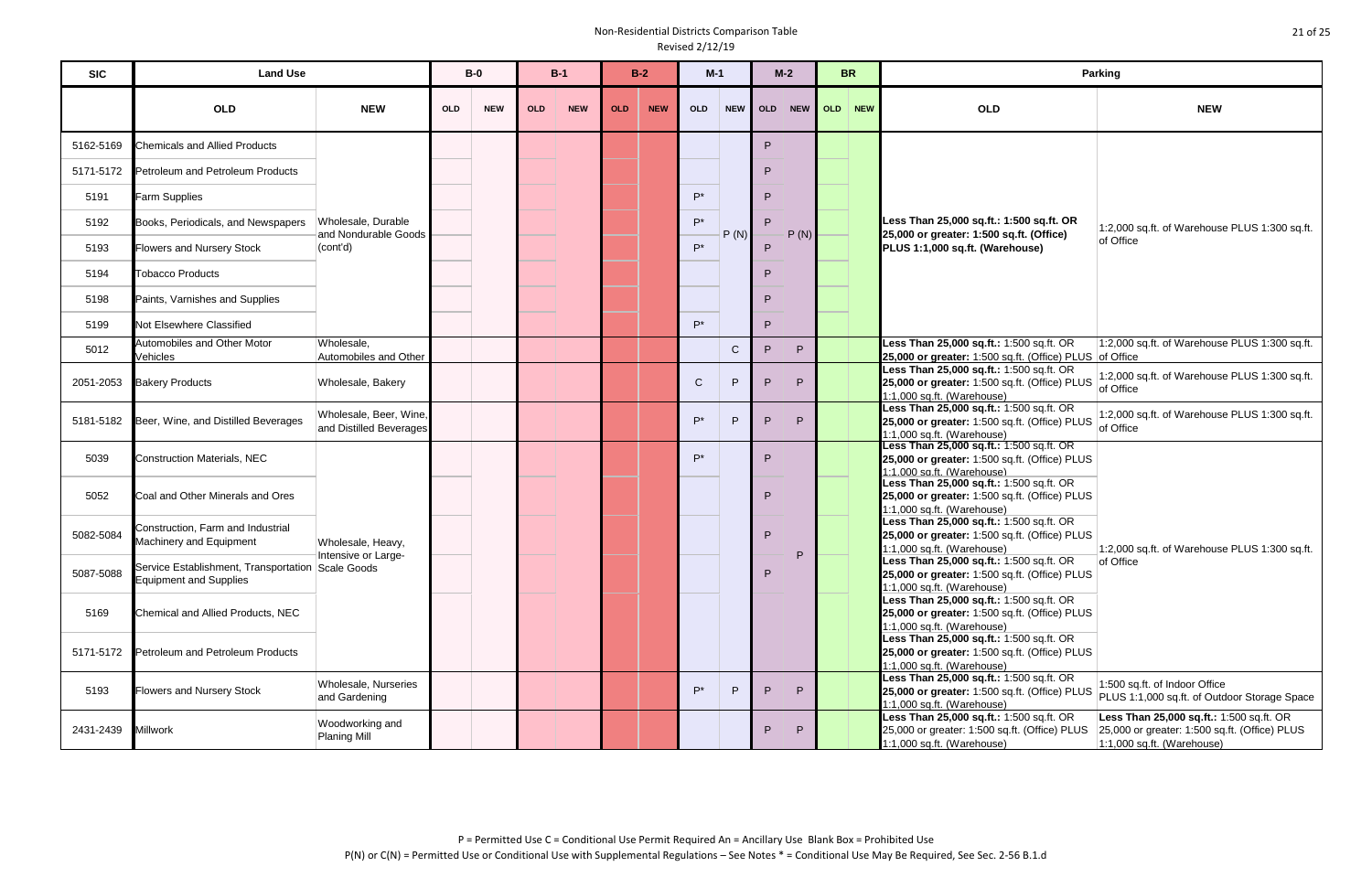| <b>SIC</b> | <b>Land Use</b>                                                                    |                                                   |            | $B-0$      |            | $B-1$      |            | $B-2$      | $M-1$      |              |    | $M-2$ | <b>BR</b> |                                                                                                                         | <b>Parking</b>                                                                                                          |  |
|------------|------------------------------------------------------------------------------------|---------------------------------------------------|------------|------------|------------|------------|------------|------------|------------|--------------|----|-------|-----------|-------------------------------------------------------------------------------------------------------------------------|-------------------------------------------------------------------------------------------------------------------------|--|
|            | <b>OLD</b>                                                                         | <b>NEW</b>                                        | <b>OLD</b> | <b>NEW</b> | <b>OLD</b> | <b>NEW</b> | <b>OLD</b> | <b>NEW</b> | <b>OLD</b> | NEW OLD      |    | NEW   | OLD NEW   | <b>OLD</b>                                                                                                              | <b>NEW</b>                                                                                                              |  |
| 5162-5169  | <b>Chemicals and Allied Products</b>                                               |                                                   |            |            |            |            |            |            |            |              | P  |       |           |                                                                                                                         |                                                                                                                         |  |
| 5171-5172  | Petroleum and Petroleum Products                                                   |                                                   |            |            |            |            |            |            |            |              | P  |       |           |                                                                                                                         |                                                                                                                         |  |
| 5191       | <b>Farm Supplies</b>                                                               |                                                   |            |            |            |            |            |            | $P^*$      |              | P. |       |           |                                                                                                                         |                                                                                                                         |  |
| 5192       | Books, Periodicals, and Newspapers                                                 | Wholesale, Durable                                |            |            |            |            |            |            | $P^*$      |              | P  |       |           | Less Than 25,000 sq.ft.: 1:500 sq.ft. OR                                                                                | 1:2,000 sq.ft. of Warehouse PLUS 1:300 sq.ft.                                                                           |  |
| 5193       | <b>Flowers and Nursery Stock</b>                                                   | and Nondurable Goods<br>(cont'd)                  |            |            |            |            |            |            | $P^*$      | P(N)         | P  | P(N)  |           | 25,000 or greater: 1:500 sq.ft. (Office)<br>PLUS 1:1,000 sq.ft. (Warehouse)                                             | of Office                                                                                                               |  |
| 5194       | <b>Tobacco Products</b>                                                            |                                                   |            |            |            |            |            |            |            |              | P  |       |           |                                                                                                                         |                                                                                                                         |  |
| 5198       | Paints, Varnishes and Supplies                                                     |                                                   |            |            |            |            |            |            |            |              | P  |       |           |                                                                                                                         |                                                                                                                         |  |
| 5199       | Not Elsewhere Classified                                                           |                                                   |            |            |            |            |            |            | $P^*$      |              | P. |       |           |                                                                                                                         |                                                                                                                         |  |
| 5012       | Automobiles and Other Motor<br>Vehicles                                            | Wholesale,<br>Automobiles and Other               |            |            |            |            |            |            |            | $\mathsf{C}$ | P  | P     |           | Less Than 25,000 sq.ft.: 1:500 sq.ft. OR<br>25,000 or greater: 1:500 sq.ft. (Office) PLUS of Office                     | 1:2,000 sq.ft. of Warehouse PLUS 1:300 sq.ft.                                                                           |  |
| 2051-2053  | <b>Bakery Products</b>                                                             | Wholesale, Bakery                                 |            |            |            |            |            |            | C          | P.           | P  | P     |           | Less Than 25,000 sq.ft.: 1:500 sq.ft. OR<br>25,000 or greater: 1:500 sq.ft. (Office) PLUS<br>1:1,000 sq.ft. (Warehouse) | 1:2,000 sq.ft. of Warehouse PLUS 1:300 sq.ft.<br>of Office                                                              |  |
| 5181-5182  | Beer, Wine, and Distilled Beverages                                                | Wholesale, Beer, Wine,<br>and Distilled Beverages |            |            |            |            |            |            | $P^*$      | P            | P  | P     |           | Less Than 25,000 sq.ft.: 1:500 sq.ft. OR<br>25,000 or greater: 1:500 sq.ft. (Office) PLUS<br>1:1,000 sq.ft. (Warehouse) | 1:2,000 sq.ft. of Warehouse PLUS 1:300 sq.ft.<br>of Office                                                              |  |
| 5039       | <b>Construction Materials, NEC</b>                                                 |                                                   |            |            |            |            |            |            | $P^*$      |              | P  |       |           | Less Than 25,000 sq.ft.: 1:500 sq.ft. OR<br>25,000 or greater: 1:500 sq.ft. (Office) PLUS<br>1:1.000 sq.ft. (Warehouse) |                                                                                                                         |  |
| 5052       | Coal and Other Minerals and Ores                                                   |                                                   |            |            |            |            |            |            |            |              | Þ  |       |           | Less Than 25,000 sq.ft.: 1:500 sq.ft. OR<br>25,000 or greater: 1:500 sq.ft. (Office) PLUS<br>:1,000 sq.ft. (Warehouse)  |                                                                                                                         |  |
| 5082-5084  | Construction, Farm and Industrial<br>Machinery and Equipment                       | Wholesale, Heavy,                                 |            |            |            |            |            |            |            |              | P  |       |           | Less Than 25,000 sq.ft.: 1:500 sq.ft. OR<br>25,000 or greater: 1:500 sq.ft. (Office) PLUS<br>1:1,000 sq.ft. (Warehouse) | 1:2,000 sq.ft. of Warehouse PLUS 1:300 sq.ft.                                                                           |  |
| 5087-5088  | Service Establishment, Transportation Scale Goods<br><b>Equipment and Supplies</b> | Intensive or Large-                               |            |            |            |            |            |            |            |              | P  | P     |           | Less Than 25,000 sq.ft.: 1:500 sq.ft. OR<br>25,000 or greater: 1:500 sq.ft. (Office) PLUS<br>1:1,000 sq.ft. (Warehouse) | of Office                                                                                                               |  |
| 5169       | Chemical and Allied Products, NEC                                                  |                                                   |            |            |            |            |            |            |            |              |    |       |           | Less Than 25,000 sq.ft.: 1:500 sq.ft. OR<br>25,000 or greater: 1:500 sq.ft. (Office) PLUS<br>1:1,000 sq.ft. (Warehouse) |                                                                                                                         |  |
| 5171-5172  | Petroleum and Petroleum Products                                                   |                                                   |            |            |            |            |            |            |            |              |    |       |           | Less Than 25,000 sq.ft.: 1:500 sq.ft. OR<br>25,000 or greater: 1:500 sq.ft. (Office) PLUS<br>1:1,000 sq.ft. (Warehouse) |                                                                                                                         |  |
| 5193       | <b>Flowers and Nursery Stock</b>                                                   | Wholesale, Nurseries<br>and Gardening             |            |            |            |            |            |            | $P^*$      | P.           | P  | P     |           | Less Than 25,000 sq.ft.: 1:500 sq.ft. OR<br>25,000 or greater: 1:500 sq.ft. (Office) PLUS<br>1:1,000 sq.ft. (Warehouse) | 1:500 sq.ft. of Indoor Office<br>PLUS 1:1,000 sq.ft. of Outdoor Storage Space                                           |  |
| 2431-2439  | <b>Millwork</b>                                                                    | Woodworking and<br><b>Planing Mill</b>            |            |            |            |            |            |            |            |              | P  | P     |           | Less Than 25,000 sq.ft.: 1:500 sq.ft. OR<br>25,000 or greater: 1:500 sq.ft. (Office) PLUS<br>1:1,000 sq.ft. (Warehouse) | Less Than 25,000 sq.ft.: 1:500 sq.ft. OR<br>25,000 or greater: 1:500 sq.ft. (Office) PLUS<br>1:1,000 sq.ft. (Warehouse) |  |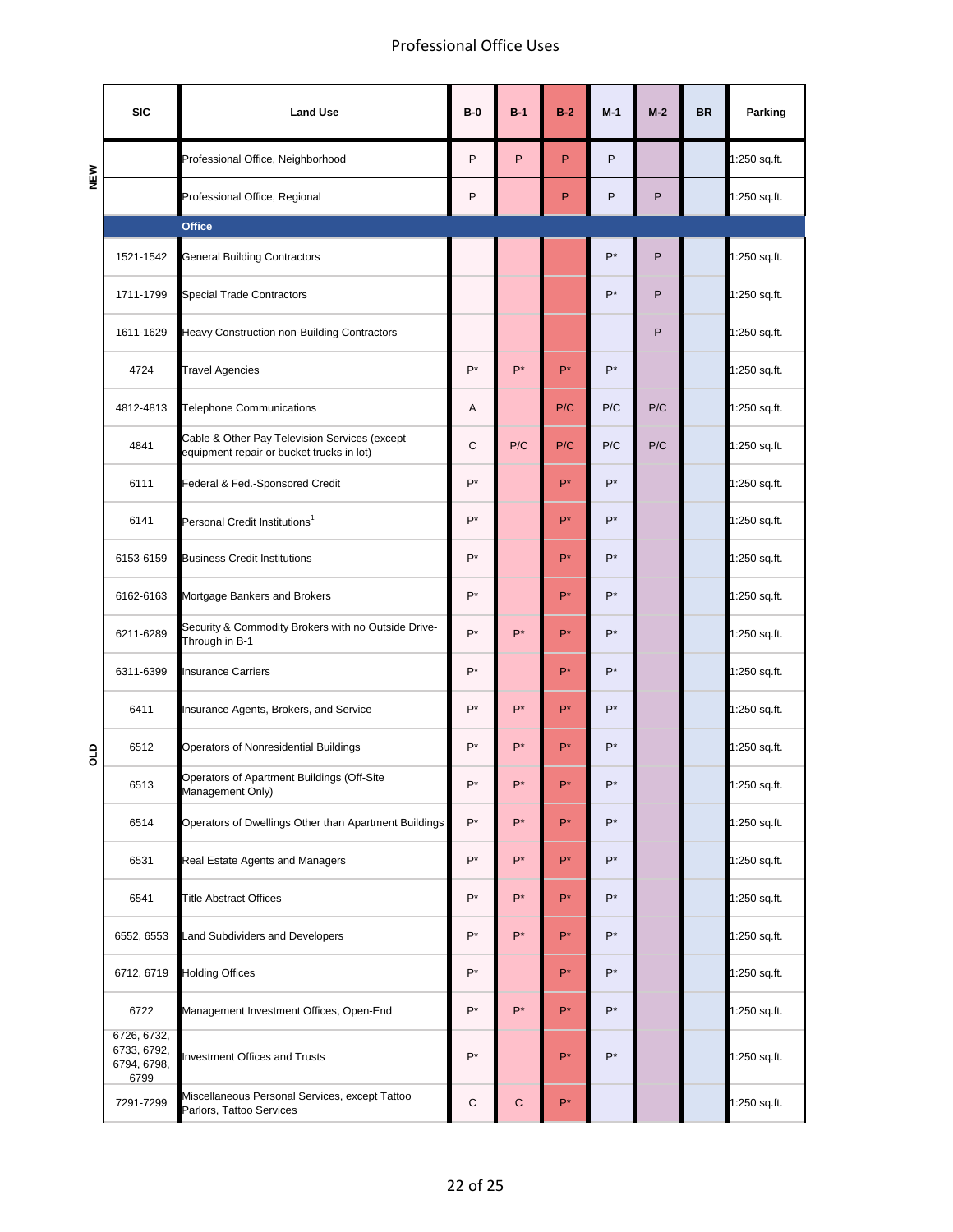#### Professional Office Uses

|     | <b>SIC</b>                                        | <b>Land Use</b>                                                                            | $B-0$ | $B-1$     | $B-2$ | $M-1$ | $M-2$ | <b>BR</b> | Parking      |
|-----|---------------------------------------------------|--------------------------------------------------------------------------------------------|-------|-----------|-------|-------|-------|-----------|--------------|
|     |                                                   | Professional Office, Neighborhood                                                          | P     | P         | P     | P     |       |           | :250 sq.ft.  |
| NEW |                                                   | Professional Office, Regional                                                              | P     |           | P     | P     | P     |           | :250 sq.ft.  |
|     |                                                   | <b>Office</b>                                                                              |       |           |       |       |       |           |              |
|     | 1521-1542                                         | <b>General Building Contractors</b>                                                        |       |           |       | $P^*$ | P     |           | :250 sq.ft.  |
|     | 1711-1799                                         | <b>Special Trade Contractors</b>                                                           |       |           |       | $P^*$ | P     |           | :250 sq.ft.  |
|     | 1611-1629                                         | Heavy Construction non-Building Contractors                                                |       |           |       |       | P     |           | :250 sq.ft.  |
|     | 4724                                              | <b>Travel Agencies</b>                                                                     | $P^*$ | $P^*$     | P*    | $P^*$ |       |           | :250 sq.ft.  |
|     | 4812-4813                                         | <b>Telephone Communications</b>                                                            | Α     |           | P/C   | P/C   | P/C   |           | 1:250 sq.ft. |
|     | 4841                                              | Cable & Other Pay Television Services (except<br>equipment repair or bucket trucks in lot) | C     | P/C       | P/C   | P/C   | P/C   |           | 1:250 sq.ft. |
|     | 6111                                              | Federal & Fed.-Sponsored Credit                                                            | $P^*$ |           | P*    | $P^*$ |       |           | 1:250 sq.ft. |
|     | 6141                                              | Personal Credit Institutions <sup>1</sup>                                                  | $P^*$ |           | P*    | $P^*$ |       |           | 1:250 sq.ft. |
|     | 6153-6159                                         | <b>Business Credit Institutions</b>                                                        | $P^*$ |           | P*    | $P^*$ |       |           | 1:250 sq.ft. |
|     | 6162-6163                                         | Mortgage Bankers and Brokers                                                               | $P^*$ |           | P*    | $P^*$ |       |           | 1:250 sq.ft. |
|     | 6211-6289                                         | Security & Commodity Brokers with no Outside Drive-<br>Through in B-1                      | $P^*$ | $P^*$     | P*    | $P^*$ |       |           | 1:250 sq.ft. |
|     | 6311-6399                                         | <b>Insurance Carriers</b>                                                                  | $P^*$ |           | $P^*$ | $P^*$ |       |           | 1:250 sq.ft. |
|     | 6411                                              | Insurance Agents, Brokers, and Service                                                     | $P^*$ | $P^*$     | P*    | $P^*$ |       |           | 1:250 sq.ft. |
| GTO | 6512                                              | Operators of Nonresidential Buildings                                                      | $P^*$ | $P^*$     | P*    | $P^*$ |       |           | :250 sq.ft.  |
|     | 6513                                              | Operators of Apartment Buildings (Off-Site<br>Management Only)                             | P*    |           |       |       |       |           | 1:250 sq.ft. |
|     | 6514                                              | Operators of Dwellings Other than Apartment Buildings                                      | P*    | $P^*$     | P*    | $P^*$ |       |           | 1:250 sq.ft. |
|     | 6531                                              | Real Estate Agents and Managers                                                            | $P^*$ | $P^*$     | $P^*$ | $P^*$ |       |           | 1:250 sq.ft. |
|     | 6541                                              | <b>Title Abstract Offices</b>                                                              | $P^*$ | $P^*$     | P*    | $P^*$ |       |           | 1:250 sq.ft. |
|     | 6552, 6553                                        | Land Subdividers and Developers                                                            | $P^*$ | $P^*$     | P*    | $P^*$ |       |           | 1:250 sq.ft. |
|     | 6712, 6719                                        | <b>Holding Offices</b>                                                                     | $P^*$ |           | $P^*$ | $P^*$ |       |           | 1:250 sq.ft. |
|     | 6722                                              | Management Investment Offices, Open-End                                                    | $P^*$ | $P^*$     | $P^*$ | $P^*$ |       |           | 1:250 sq.ft. |
|     | 6726, 6732,<br>6733, 6792,<br>6794, 6798,<br>6799 | <b>Investment Offices and Trusts</b>                                                       | $P^*$ |           | P*    | $P^*$ |       |           | 1:250 sq.ft. |
|     | 7291-7299                                         | Miscellaneous Personal Services, except Tattoo<br>Parlors, Tattoo Services                 | C     | ${\bf C}$ | $P^*$ |       |       |           | 1:250 sq.ft. |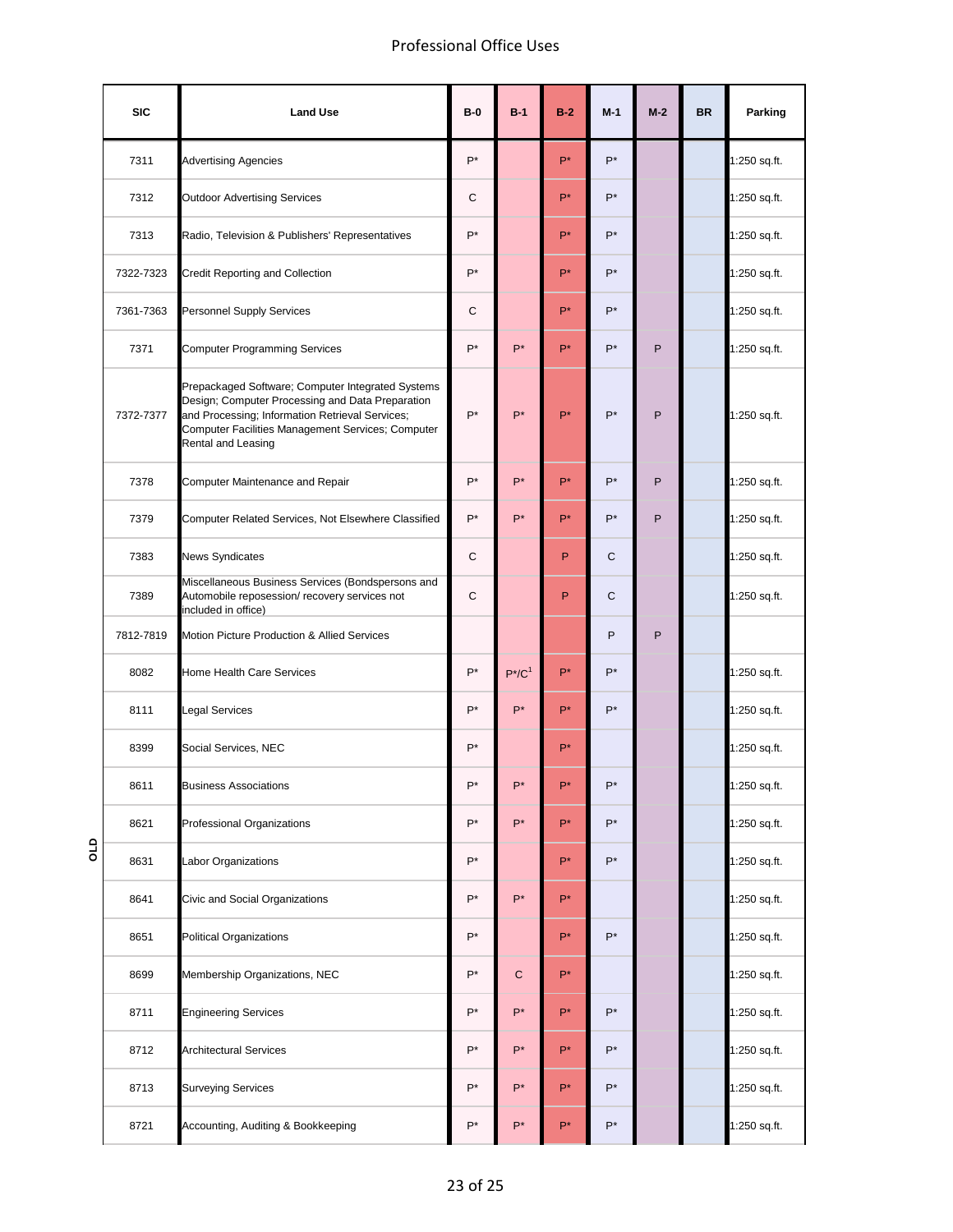## Professional Office Uses

|   | <b>SIC</b> | <b>Land Use</b>                                                                                                                                                                                                                     | $B-0$ | $B-1$     | $B-2$ | $M-1$ | $M-2$ | <b>BR</b> | Parking      |
|---|------------|-------------------------------------------------------------------------------------------------------------------------------------------------------------------------------------------------------------------------------------|-------|-----------|-------|-------|-------|-----------|--------------|
|   | 7311       | <b>Advertising Agencies</b>                                                                                                                                                                                                         | $P^*$ |           | $P^*$ | $P^*$ |       |           | :250 sq.ft.  |
|   | 7312       | <b>Outdoor Advertising Services</b>                                                                                                                                                                                                 | C     |           | P*    | $P^*$ |       |           | l:250 sq.ft. |
|   | 7313       | Radio, Television & Publishers' Representatives                                                                                                                                                                                     | $P^*$ |           | P*    | $P^*$ |       |           | l:250 sq.ft. |
|   | 7322-7323  | Credit Reporting and Collection                                                                                                                                                                                                     | $P^*$ |           | P*    | $P^*$ |       |           | :250 sq.ft.  |
|   | 7361-7363  | <b>Personnel Supply Services</b>                                                                                                                                                                                                    | С     |           | $P^*$ | $P^*$ |       |           | 1:250 sq.ft. |
|   | 7371       | <b>Computer Programming Services</b>                                                                                                                                                                                                | $P^*$ | $P^*$     | $P^*$ | $P^*$ | P     |           | :250 sq.ft.  |
|   | 7372-7377  | Prepackaged Software; Computer Integrated Systems<br>Design; Computer Processing and Data Preparation<br>and Processing; Information Retrieval Services;<br>Computer Facilities Management Services; Computer<br>Rental and Leasing | $P^*$ | $P^*$     | P*    | $P^*$ | P     |           | :250 sq.ft.  |
|   | 7378       | Computer Maintenance and Repair                                                                                                                                                                                                     | P*    | $P^*$     | $P^*$ | $P^*$ | P     |           | :250 sq.ft.  |
|   | 7379       | Computer Related Services, Not Elsewhere Classified                                                                                                                                                                                 | $P^*$ | $P^*$     | $P^*$ | $P^*$ | P     |           | :250 sq.ft.  |
|   | 7383       | <b>News Syndicates</b>                                                                                                                                                                                                              | C     |           | P     | C     |       |           | :250 sq.ft.  |
|   | 7389       | Miscellaneous Business Services (Bondspersons and<br>Automobile reposession/ recovery services not<br>included in office)                                                                                                           | C     |           | P     | C     |       |           | 1:250 sq.ft. |
|   | 7812-7819  | Motion Picture Production & Allied Services                                                                                                                                                                                         |       |           |       | P     | P     |           |              |
|   | 8082       | Home Health Care Services                                                                                                                                                                                                           | $P^*$ | $P^*/C^1$ | P*    | $P^*$ |       |           | :250 sq.ft.  |
|   | 8111       | <b>Legal Services</b>                                                                                                                                                                                                               | $P^*$ | $P^*$     | $P^*$ | $P^*$ |       |           | :250 sq.ft.  |
|   | 8399       | Social Services, NEC                                                                                                                                                                                                                | $P^*$ |           | P*    |       |       |           | :250 sq.ft.  |
|   | 8611       | <b>Business Associations</b>                                                                                                                                                                                                        | P*    | P*        | P*    | P*    |       |           | 1:250 sq.ft. |
|   | 8621       | Professional Organizations                                                                                                                                                                                                          | P*    | $P^*$     | P*    | $P^*$ |       |           | :250 sq.ft.  |
| 읍 | 8631       | Labor Organizations                                                                                                                                                                                                                 | P*    |           | $P^*$ | $P^*$ |       |           | :250 sq.ft.  |
|   | 8641       | Civic and Social Organizations                                                                                                                                                                                                      | P*    | $P^*$     | $P^*$ |       |       |           | 1:250 sq.ft. |
|   | 8651       | <b>Political Organizations</b>                                                                                                                                                                                                      | $P^*$ |           | $P^*$ | $P^*$ |       |           | :250 sq.ft.  |
|   | 8699       | Membership Organizations, NEC                                                                                                                                                                                                       | $P^*$ | C         | $P^*$ |       |       |           | :250 sq.ft.  |
|   | 8711       | <b>Engineering Services</b>                                                                                                                                                                                                         | P*    | $P^*$     | $P^*$ | $P^*$ |       |           | :250 sq.ft.  |
|   | 8712       | <b>Architectural Services</b>                                                                                                                                                                                                       | P*    | $P^*$     | $P^*$ | $P^*$ |       |           | :250 sq.ft.  |
|   | 8713       | <b>Surveying Services</b>                                                                                                                                                                                                           | P*    | $P^*$     | P*    | $P^*$ |       |           | :250 sq.ft.  |
|   | 8721       | Accounting, Auditing & Bookkeeping                                                                                                                                                                                                  | P*    | $P^*$     | $P^*$ | $P^*$ |       |           | :250 sq.ft.  |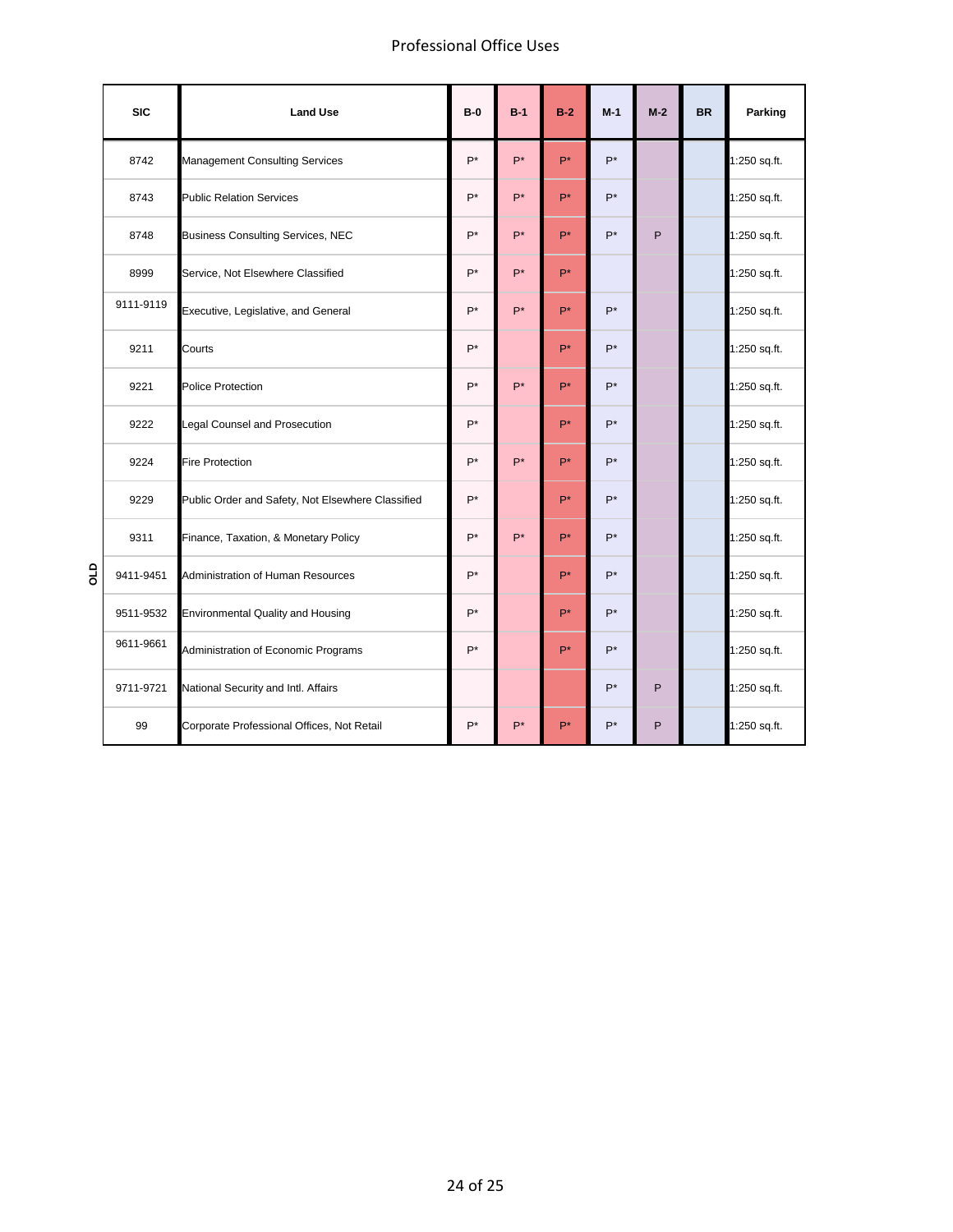## Professional Office Uses

|    | <b>SIC</b> | <b>Land Use</b>                                   | $B-0$ | $B-1$ | $B-2$          | $M-1$ | $M-2$ | <b>BR</b> | Parking      |
|----|------------|---------------------------------------------------|-------|-------|----------------|-------|-------|-----------|--------------|
|    | 8742       | <b>Management Consulting Services</b>             | $P^*$ | $P^*$ | P*             | $P^*$ |       |           | 1:250 sq.ft. |
|    | 8743       | <b>Public Relation Services</b>                   | $P^*$ | $P^*$ | $P^*$          | $P^*$ |       |           | 1:250 sq.ft. |
|    | 8748       | <b>Business Consulting Services, NEC</b>          | $P^*$ | $P^*$ | $P^*$          | $P^*$ | P     |           | 1:250 sq.ft. |
|    | 8999       | Service, Not Elsewhere Classified                 | $P^*$ | $P^*$ | P*             |       |       |           | 1:250 sq.ft. |
|    | 9111-9119  | Executive, Legislative, and General               | $P^*$ | $P^*$ | P*             | $P^*$ |       |           | 1:250 sq.ft. |
|    | 9211       | Courts                                            | $P^*$ |       | P*             | $P^*$ |       |           | 1:250 sq.ft. |
|    | 9221       | <b>Police Protection</b>                          | $P^*$ | $P^*$ | $P^*$          | $P^*$ |       |           | 1:250 sq.ft. |
|    | 9222       | Legal Counsel and Prosecution                     | $P^*$ |       | P*             | $P^*$ |       |           | 1:250 sq.ft. |
|    | 9224       | <b>Fire Protection</b>                            | $P^*$ | $P^*$ | P*             | $P^*$ |       |           | 1:250 sq.ft. |
|    | 9229       | Public Order and Safety, Not Elsewhere Classified | $P^*$ |       | P <sup>*</sup> | $P^*$ |       |           | 1:250 sq.ft. |
|    | 9311       | Finance, Taxation, & Monetary Policy              | $P^*$ | $P^*$ | P*             | $P^*$ |       |           | 1:250 sq.ft. |
| GO | 9411-9451  | Administration of Human Resources                 | $P^*$ |       | $P^*$          | $P^*$ |       |           | 1:250 sq.ft. |
|    | 9511-9532  | <b>Environmental Quality and Housing</b>          | $P^*$ |       | $P^*$          | $P^*$ |       |           | 1:250 sq.ft. |
|    | 9611-9661  | Administration of Economic Programs               | $P^*$ |       | $P^*$          | $P^*$ |       |           | 1:250 sq.ft. |
|    | 9711-9721  | National Security and Intl. Affairs               |       |       |                | $P^*$ | P     |           | 1:250 sq.ft. |
|    | 99         | Corporate Professional Offices, Not Retail        | $P^*$ | $P^*$ | P*             | $P^*$ | P     |           | 1:250 sq.ft. |

24 of 25